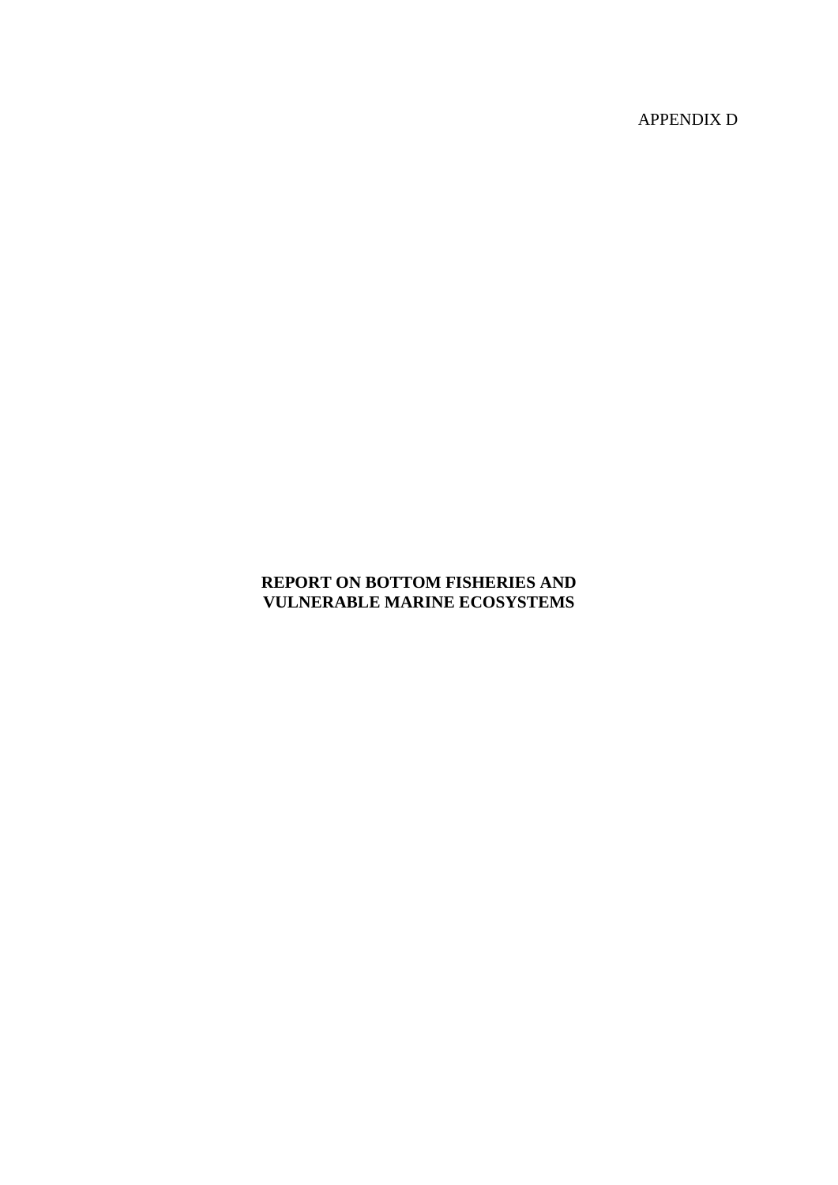APPENDIX D

## **REPORT ON BOTTOM FISHERIES AND VULNERABLE MARINE ECOSYSTEMS**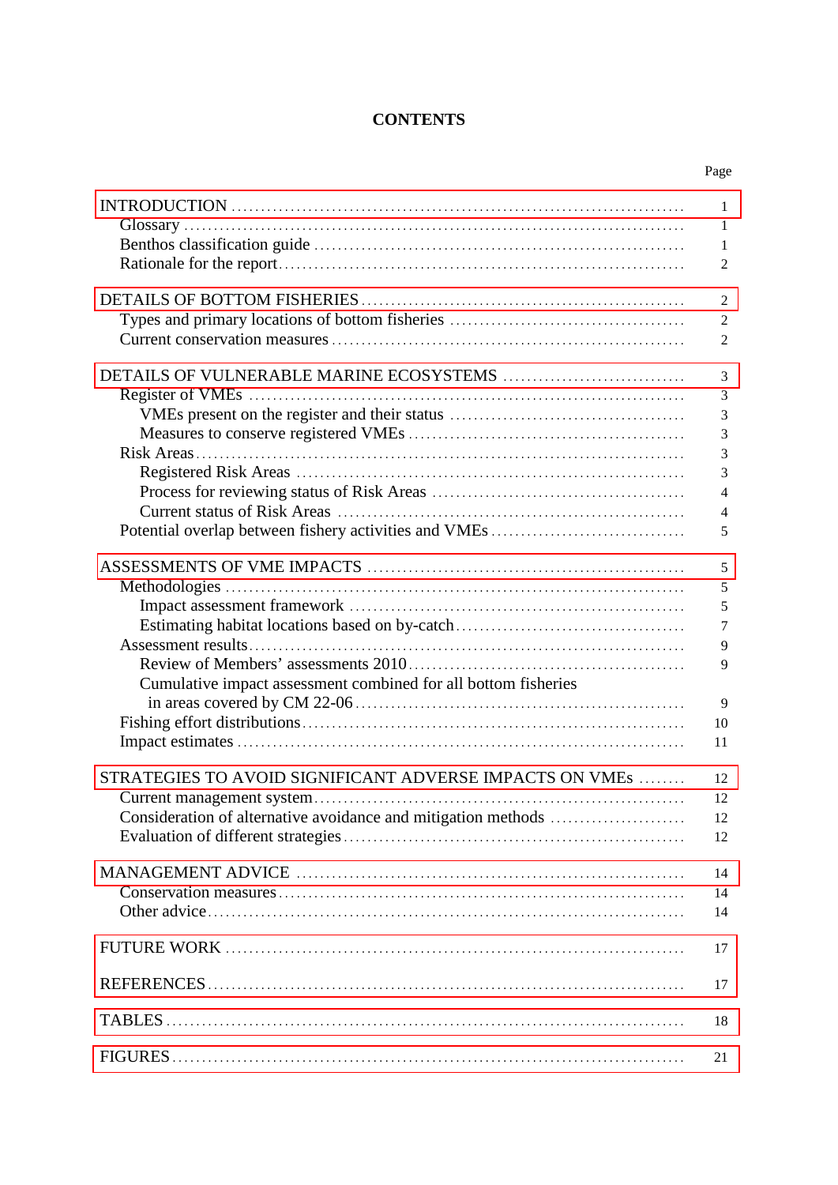# **CONTENTS**

|                                                                | Page           |
|----------------------------------------------------------------|----------------|
|                                                                | 1              |
|                                                                | 1              |
|                                                                | 1              |
|                                                                | $\overline{2}$ |
|                                                                | $\overline{2}$ |
|                                                                | $\overline{c}$ |
|                                                                | $\overline{2}$ |
|                                                                | 3              |
|                                                                | 3              |
|                                                                | 3              |
|                                                                | 3              |
|                                                                | 3              |
|                                                                | 3              |
|                                                                | $\overline{4}$ |
|                                                                | $\overline{4}$ |
|                                                                | 5              |
|                                                                | 5              |
|                                                                | 5              |
|                                                                | 5              |
|                                                                | $\overline{7}$ |
|                                                                | 9              |
|                                                                | 9              |
| Cumulative impact assessment combined for all bottom fisheries |                |
|                                                                | 9              |
|                                                                | 10             |
|                                                                | 11             |
| STRATEGIES TO AVOID SIGNIFICANT ADVERSE IMPACTS ON VMEs        | 12             |
|                                                                | 12             |
|                                                                | 12             |
|                                                                | 12             |
|                                                                | 14             |
|                                                                | 14             |
|                                                                | 14             |
|                                                                | 17             |
|                                                                | 17             |
|                                                                | 18             |
|                                                                |                |
|                                                                | 21             |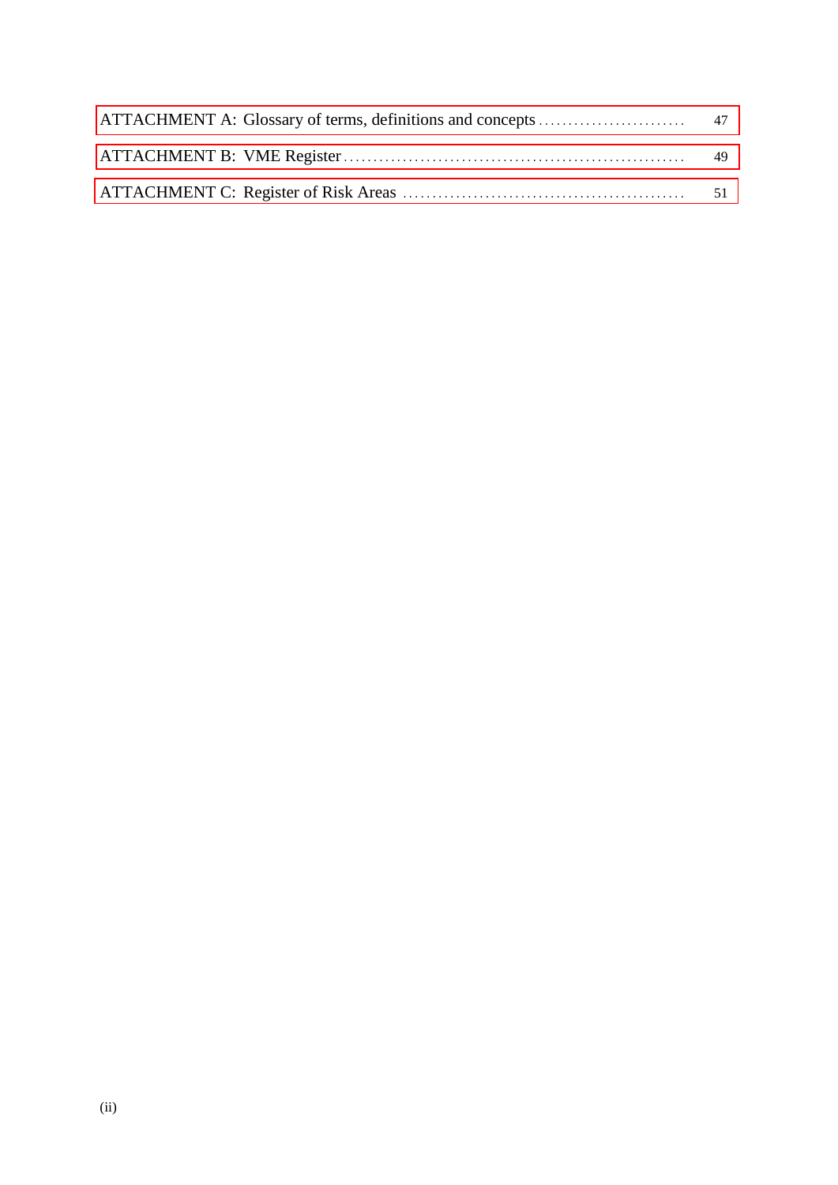| 49 |
|----|
|    |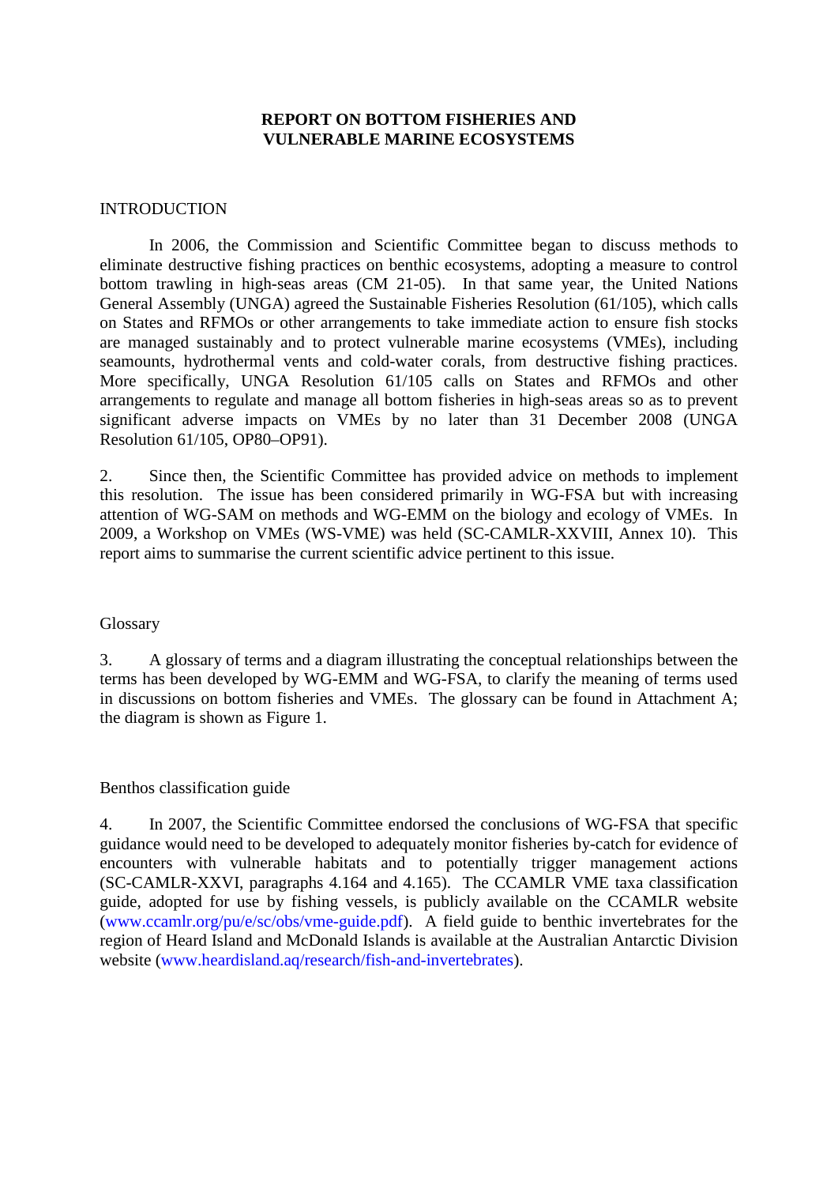#### **REPORT ON BOTTOM FISHERIES AND VULNERABLE MARINE ECOSYSTEMS**

#### <span id="page-4-0"></span>INTRODUCTION

In 2006, the Commission and Scientific Committee began to discuss methods to eliminate destructive fishing practices on benthic ecosystems, adopting a measure to control bottom trawling in high-seas areas (CM 21-05). In that same year, the United Nations General Assembly (UNGA) agreed the Sustainable Fisheries Resolution (61/105), which calls on States and RFMOs or other arrangements to take immediate action to ensure fish stocks are managed sustainably and to protect vulnerable marine ecosystems (VMEs), including seamounts, hydrothermal vents and cold-water corals, from destructive fishing practices. More specifically, UNGA Resolution 61/105 calls on States and RFMOs and other arrangements to regulate and manage all bottom fisheries in high-seas areas so as to prevent significant adverse impacts on VMEs by no later than 31 December 2008 (UNGA Resolution 61/105, OP80–OP91).

2. Since then, the Scientific Committee has provided advice on methods to implement this resolution. The issue has been considered primarily in WG-FSA but with increasing attention of WG-SAM on methods and WG-EMM on the biology and ecology of VMEs. In 2009, a Workshop on VMEs (WS-VME) was held (SC-CAMLR-XXVIII, Annex 10). This report aims to summarise the current scientific advice pertinent to this issue.

#### Glossary

3. A glossary of terms and a diagram illustrating the conceptual relationships between the terms has been developed by WG-EMM and WG-FSA, to clarify the meaning of terms used in discussions on bottom fisheries and VMEs. The glossary can be found in Attachment A; the diagram is shown as Figure 1.

#### Benthos classification guide

4. In 2007, the Scientific Committee endorsed the conclusions of WG-FSA that specific guidance would need to be developed to adequately monitor fisheries by-catch for evidence of encounters with vulnerable habitats and to potentially trigger management actions (SC-CAMLR-XXVI, paragraphs 4.164 and 4.165). The CCAMLR VME taxa classification guide, adopted for use by fishing vessels, is publicly available on the CCAMLR website [\(www.ccamlr.org/pu/e/sc/obs/vme-guide.pdf\)](http://www.ccamlr.org/pu/e/sc/obs/vme-guide.pdf). A field guide to benthic invertebrates for the region of Heard Island and McDonald Islands is available at the Australian Antarctic Division website [\(www.heardisland.aq/research/fish-and-invertebrates\)](http://www.heardisland.aq/research/fish-and-invertebrates).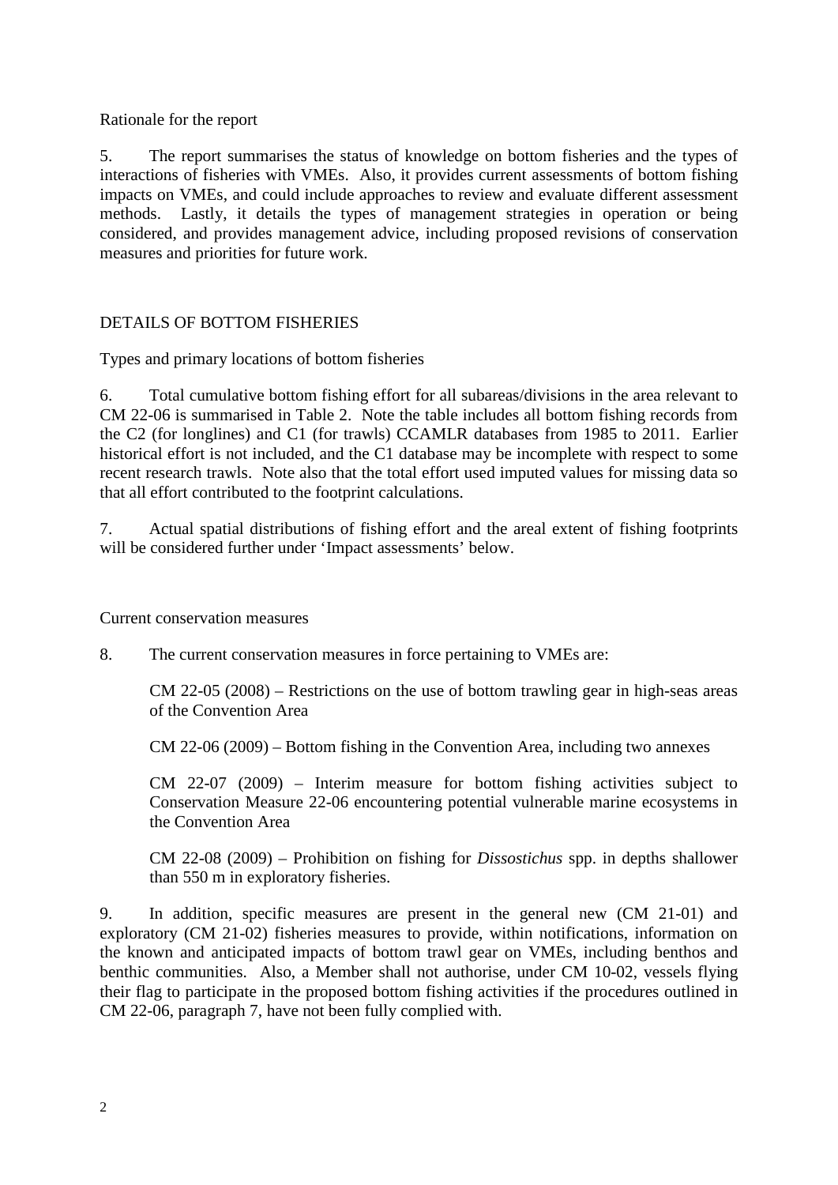### <span id="page-5-0"></span>Rationale for the report

5. The report summarises the status of knowledge on bottom fisheries and the types of interactions of fisheries with VMEs. Also, it provides current assessments of bottom fishing impacts on VMEs, and could include approaches to review and evaluate different assessment methods. Lastly, it details the types of management strategies in operation or being considered, and provides management advice, including proposed revisions of conservation measures and priorities for future work.

## DETAILS OF BOTTOM FISHERIES

Types and primary locations of bottom fisheries

6. Total cumulative bottom fishing effort for all subareas/divisions in the area relevant to CM 22-06 is summarised in Table 2. Note the table includes all bottom fishing records from the C2 (for longlines) and C1 (for trawls) CCAMLR databases from 1985 to 2011. Earlier historical effort is not included, and the C1 database may be incomplete with respect to some recent research trawls. Note also that the total effort used imputed values for missing data so that all effort contributed to the footprint calculations.

7. Actual spatial distributions of fishing effort and the areal extent of fishing footprints will be considered further under 'Impact assessments' below.

Current conservation measures

8. The current conservation measures in force pertaining to VMEs are:

CM 22-05 (2008) – Restrictions on the use of bottom trawling gear in high-seas areas of the Convention Area

CM 22-06 (2009) – Bottom fishing in the Convention Area, including two annexes

CM 22-07 (2009) – Interim measure for bottom fishing activities subject to Conservation Measure 22-06 encountering potential vulnerable marine ecosystems in the Convention Area

CM 22-08 (2009) – Prohibition on fishing for *Dissostichus* spp. in depths shallower than 550 m in exploratory fisheries.

9. In addition, specific measures are present in the general new (CM 21-01) and exploratory (CM 21-02) fisheries measures to provide, within notifications, information on the known and anticipated impacts of bottom trawl gear on VMEs, including benthos and benthic communities. Also, a Member shall not authorise, under CM 10-02, vessels flying their flag to participate in the proposed bottom fishing activities if the procedures outlined in CM 22-06, paragraph 7, have not been fully complied with.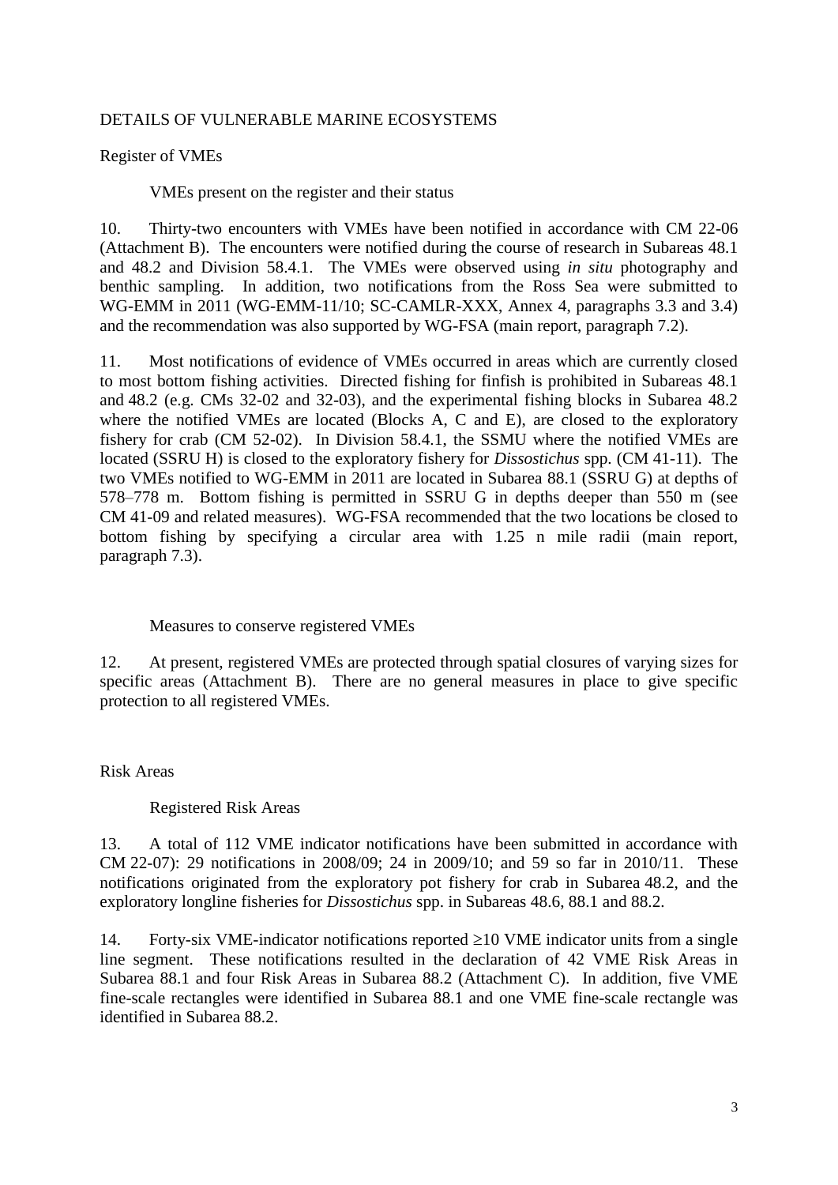### <span id="page-6-0"></span>DETAILS OF VULNERABLE MARINE ECOSYSTEMS

Register of VMEs

VMEs present on the register and their status

10. Thirty-two encounters with VMEs have been notified in accordance with CM 22-06 (Attachment B). The encounters were notified during the course of research in Subareas 48.1 and 48.2 and Division 58.4.1. The VMEs were observed using *in situ* photography and benthic sampling. In addition, two notifications from the Ross Sea were submitted to WG-EMM in 2011 (WG-EMM-11/10; SC-CAMLR-XXX, Annex 4, paragraphs 3.3 and 3.4) and the recommendation was also supported by WG-FSA (main report, paragraph 7.2).

11. Most notifications of evidence of VMEs occurred in areas which are currently closed to most bottom fishing activities. Directed fishing for finfish is prohibited in Subareas 48.1 and 48.2 (e.g. CMs 32-02 and 32-03), and the experimental fishing blocks in Subarea 48.2 where the notified VMEs are located (Blocks A, C and E), are closed to the exploratory fishery for crab (CM 52-02). In Division 58.4.1, the SSMU where the notified VMEs are located (SSRU H) is closed to the exploratory fishery for *Dissostichus* spp. (CM 41-11). The two VMEs notified to WG-EMM in 2011 are located in Subarea 88.1 (SSRU G) at depths of 578–778 m. Bottom fishing is permitted in SSRU G in depths deeper than 550 m (see CM 41-09 and related measures). WG-FSA recommended that the two locations be closed to bottom fishing by specifying a circular area with 1.25 n mile radii (main report, paragraph 7.3).

#### Measures to conserve registered VMEs

12. At present, registered VMEs are protected through spatial closures of varying sizes for specific areas (Attachment B). There are no general measures in place to give specific protection to all registered VMEs.

Risk Areas

#### Registered Risk Areas

13. A total of 112 VME indicator notifications have been submitted in accordance with CM 22-07): 29 notifications in 2008/09; 24 in 2009/10; and 59 so far in 2010/11. These notifications originated from the exploratory pot fishery for crab in Subarea 48.2, and the exploratory longline fisheries for *Dissostichus* spp. in Subareas 48.6, 88.1 and 88.2.

14. Forty-six VME-indicator notifications reported  $\geq$  10 VME indicator units from a single line segment. These notifications resulted in the declaration of 42 VME Risk Areas in Subarea 88.1 and four Risk Areas in Subarea 88.2 (Attachment C). In addition, five VME fine-scale rectangles were identified in Subarea 88.1 and one VME fine-scale rectangle was identified in Subarea 88.2.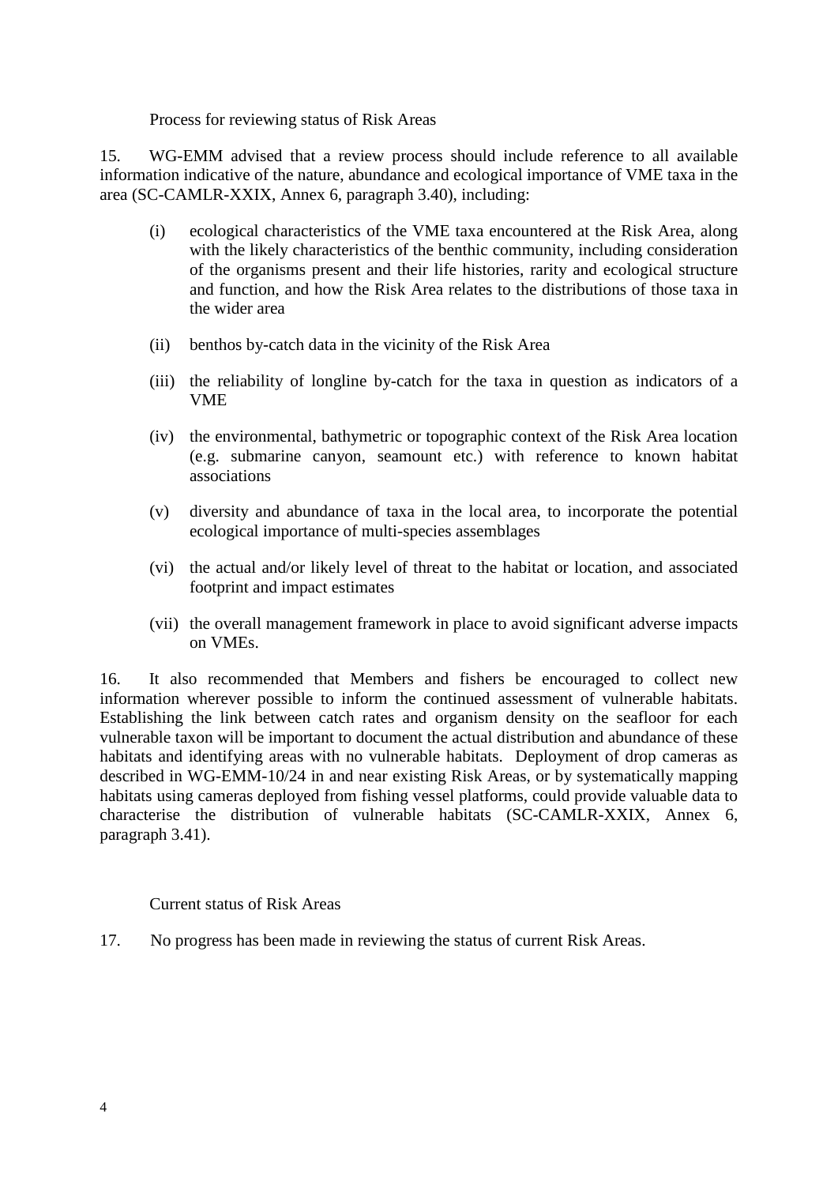Process for reviewing status of Risk Areas

15. WG-EMM advised that a review process should include reference to all available information indicative of the nature, abundance and ecological importance of VME taxa in the area (SC-CAMLR-XXIX, Annex 6, paragraph 3.40), including:

- (i) ecological characteristics of the VME taxa encountered at the Risk Area, along with the likely characteristics of the benthic community, including consideration of the organisms present and their life histories, rarity and ecological structure and function, and how the Risk Area relates to the distributions of those taxa in the wider area
- (ii) benthos by-catch data in the vicinity of the Risk Area
- (iii) the reliability of longline by-catch for the taxa in question as indicators of a VME
- (iv) the environmental, bathymetric or topographic context of the Risk Area location (e.g. submarine canyon, seamount etc.) with reference to known habitat associations
- (v) diversity and abundance of taxa in the local area, to incorporate the potential ecological importance of multi-species assemblages
- (vi) the actual and/or likely level of threat to the habitat or location, and associated footprint and impact estimates
- (vii) the overall management framework in place to avoid significant adverse impacts on VMEs.

16. It also recommended that Members and fishers be encouraged to collect new information wherever possible to inform the continued assessment of vulnerable habitats. Establishing the link between catch rates and organism density on the seafloor for each vulnerable taxon will be important to document the actual distribution and abundance of these habitats and identifying areas with no vulnerable habitats. Deployment of drop cameras as described in WG-EMM-10/24 in and near existing Risk Areas, or by systematically mapping habitats using cameras deployed from fishing vessel platforms, could provide valuable data to characterise the distribution of vulnerable habitats (SC-CAMLR-XXIX, Annex 6, paragraph 3.41).

Current status of Risk Areas

17. No progress has been made in reviewing the status of current Risk Areas.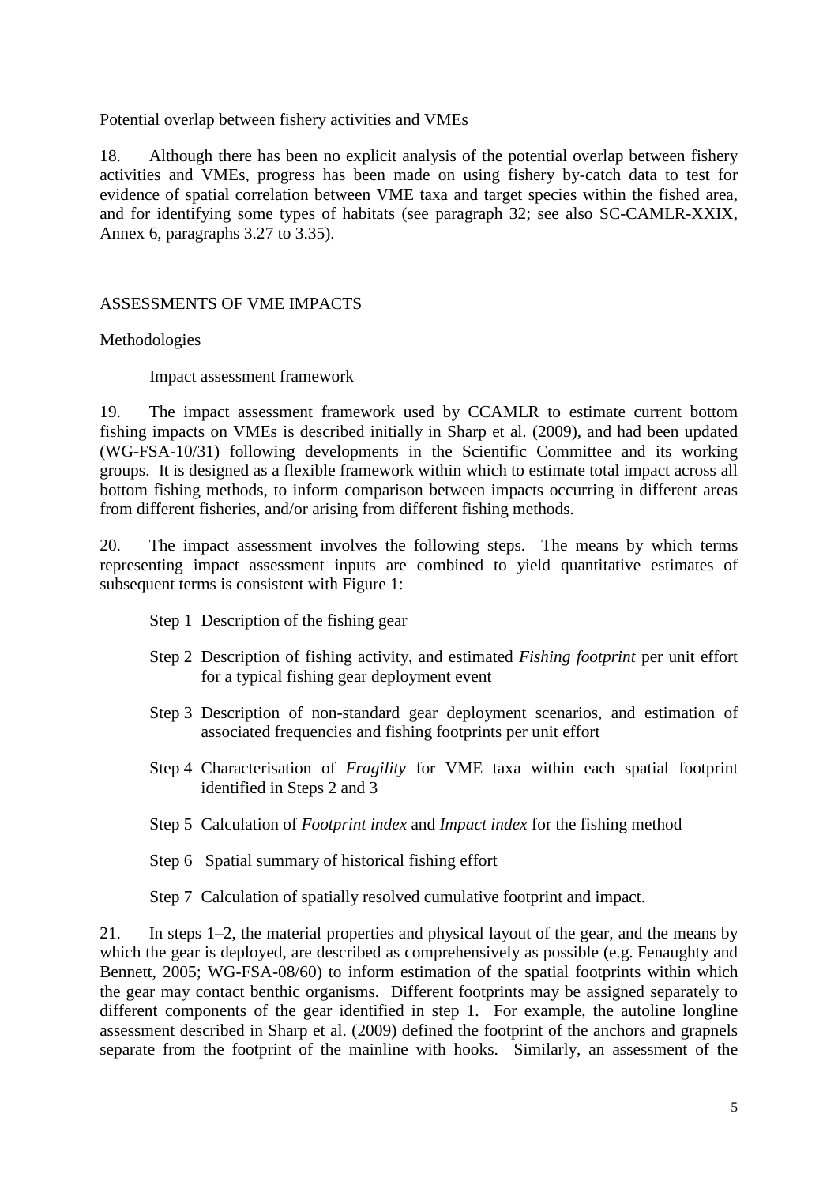<span id="page-8-0"></span>Potential overlap between fishery activities and VMEs

18. Although there has been no explicit analysis of the potential overlap between fishery activities and VMEs, progress has been made on using fishery by-catch data to test for evidence of spatial correlation between VME taxa and target species within the fished area, and for identifying some types of habitats (see paragraph 32; see also SC-CAMLR-XXIX, Annex 6, paragraphs 3.27 to 3.35).

### ASSESSMENTS OF VME IMPACTS

### Methodologies

Impact assessment framework

19. The impact assessment framework used by CCAMLR to estimate current bottom fishing impacts on VMEs is described initially in Sharp et al. (2009), and had been updated (WG-FSA-10/31) following developments in the Scientific Committee and its working groups. It is designed as a flexible framework within which to estimate total impact across all bottom fishing methods, to inform comparison between impacts occurring in different areas from different fisheries, and/or arising from different fishing methods.

20. The impact assessment involves the following steps. The means by which terms representing impact assessment inputs are combined to yield quantitative estimates of subsequent terms is consistent with Figure 1:

- Step 1 Description of the fishing gear
- Step 2 Description of fishing activity, and estimated *Fishing footprint* per unit effort for a typical fishing gear deployment event
- Step 3 Description of non-standard gear deployment scenarios, and estimation of associated frequencies and fishing footprints per unit effort
- Step 4 Characterisation of *Fragility* for VME taxa within each spatial footprint identified in Steps 2 and 3
- Step 5 Calculation of *Footprint index* and *Impact index* for the fishing method
- Step 6 Spatial summary of historical fishing effort

Step 7 Calculation of spatially resolved cumulative footprint and impact.

21. In steps 1–2, the material properties and physical layout of the gear, and the means by which the gear is deployed, are described as comprehensively as possible (e.g. Fenaughty and Bennett, 2005; WG-FSA-08/60) to inform estimation of the spatial footprints within which the gear may contact benthic organisms. Different footprints may be assigned separately to different components of the gear identified in step 1. For example, the autoline longline assessment described in Sharp et al. (2009) defined the footprint of the anchors and grapnels separate from the footprint of the mainline with hooks. Similarly, an assessment of the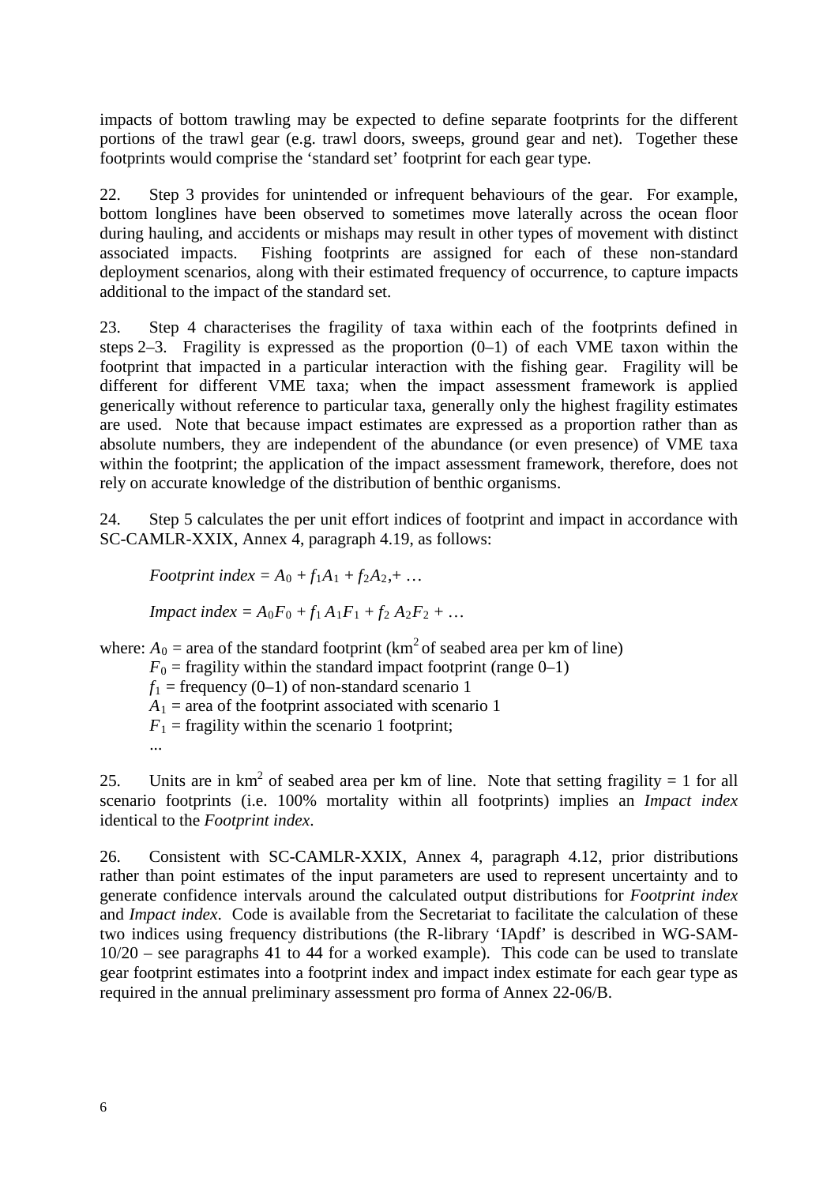impacts of bottom trawling may be expected to define separate footprints for the different portions of the trawl gear (e.g. trawl doors, sweeps, ground gear and net). Together these footprints would comprise the 'standard set' footprint for each gear type.

22. Step 3 provides for unintended or infrequent behaviours of the gear. For example, bottom longlines have been observed to sometimes move laterally across the ocean floor during hauling, and accidents or mishaps may result in other types of movement with distinct associated impacts. Fishing footprints are assigned for each of these non-standard deployment scenarios, along with their estimated frequency of occurrence, to capture impacts additional to the impact of the standard set.

23. Step 4 characterises the fragility of taxa within each of the footprints defined in steps 2–3. Fragility is expressed as the proportion (0–1) of each VME taxon within the footprint that impacted in a particular interaction with the fishing gear. Fragility will be different for different VME taxa; when the impact assessment framework is applied generically without reference to particular taxa, generally only the highest fragility estimates are used. Note that because impact estimates are expressed as a proportion rather than as absolute numbers, they are independent of the abundance (or even presence) of VME taxa within the footprint; the application of the impact assessment framework, therefore, does not rely on accurate knowledge of the distribution of benthic organisms.

24. Step 5 calculates the per unit effort indices of footprint and impact in accordance with SC-CAMLR-XXIX, Annex 4, paragraph 4.19, as follows:

*Footprint index* =  $A_0$  +  $f_1A_1$  +  $f_2A_2$ , + ...

*Impact index = A*<sub>0</sub> $F_0$  +  $f_1 A_1 F_1$  +  $f_2 A_2 F_2$  + …

where:  $A_0$  = area of the standard footprint (km<sup>2</sup> of seabed area per km of line)

 $F_0$  = fragility within the standard impact footprint (range 0–1)  $f_1$  = frequency (0–1) of non-standard scenario 1  $A_1$  = area of the footprint associated with scenario 1  $F_1$  = fragility within the scenario 1 footprint; ...

25. Units are in  $km^2$  of seabed area per km of line. Note that setting fragility = 1 for all scenario footprints (i.e. 100% mortality within all footprints) implies an *Impact index* identical to the *Footprint index*.

26. Consistent with SC-CAMLR-XXIX, Annex 4, paragraph 4.12, prior distributions rather than point estimates of the input parameters are used to represent uncertainty and to generate confidence intervals around the calculated output distributions for *Footprint index* and *Impact index*. Code is available from the Secretariat to facilitate the calculation of these two indices using frequency distributions (the R-library 'IApdf' is described in WG-SAM-10/20 – see paragraphs 41 to 44 for a worked example). This code can be used to translate gear footprint estimates into a footprint index and impact index estimate for each gear type as required in the annual preliminary assessment pro forma of Annex 22-06/B.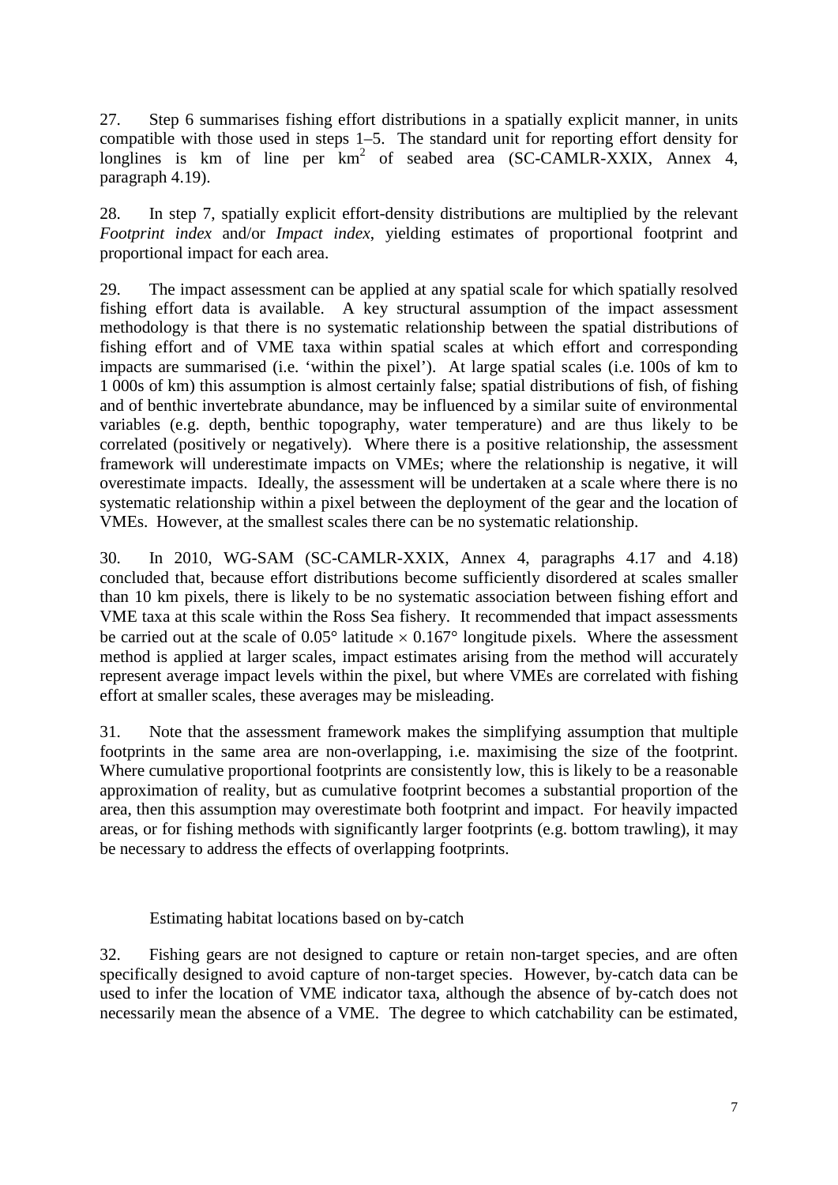27. Step 6 summarises fishing effort distributions in a spatially explicit manner, in units compatible with those used in steps 1–5. The standard unit for reporting effort density for longlines is km of line per  $km^2$  of seabed area (SC-CAMLR-XXIX, Annex 4, paragraph 4.19).

28. In step 7, spatially explicit effort-density distributions are multiplied by the relevant *Footprint index* and/or *Impact index*, yielding estimates of proportional footprint and proportional impact for each area.

29. The impact assessment can be applied at any spatial scale for which spatially resolved fishing effort data is available. A key structural assumption of the impact assessment methodology is that there is no systematic relationship between the spatial distributions of fishing effort and of VME taxa within spatial scales at which effort and corresponding impacts are summarised (i.e. 'within the pixel'). At large spatial scales (i.e. 100s of km to 1 000s of km) this assumption is almost certainly false; spatial distributions of fish, of fishing and of benthic invertebrate abundance, may be influenced by a similar suite of environmental variables (e.g. depth, benthic topography, water temperature) and are thus likely to be correlated (positively or negatively). Where there is a positive relationship, the assessment framework will underestimate impacts on VMEs; where the relationship is negative, it will overestimate impacts. Ideally, the assessment will be undertaken at a scale where there is no systematic relationship within a pixel between the deployment of the gear and the location of VMEs. However, at the smallest scales there can be no systematic relationship.

30. In 2010, WG-SAM (SC-CAMLR-XXIX, Annex 4, paragraphs 4.17 and 4.18) concluded that, because effort distributions become sufficiently disordered at scales smaller than 10 km pixels, there is likely to be no systematic association between fishing effort and VME taxa at this scale within the Ross Sea fishery. It recommended that impact assessments be carried out at the scale of  $0.05^{\circ}$  latitude  $\times 0.167^{\circ}$  longitude pixels. Where the assessment method is applied at larger scales, impact estimates arising from the method will accurately represent average impact levels within the pixel, but where VMEs are correlated with fishing effort at smaller scales, these averages may be misleading.

31. Note that the assessment framework makes the simplifying assumption that multiple footprints in the same area are non-overlapping, i.e. maximising the size of the footprint. Where cumulative proportional footprints are consistently low, this is likely to be a reasonable approximation of reality, but as cumulative footprint becomes a substantial proportion of the area, then this assumption may overestimate both footprint and impact. For heavily impacted areas, or for fishing methods with significantly larger footprints (e.g. bottom trawling), it may be necessary to address the effects of overlapping footprints.

#### Estimating habitat locations based on by-catch

32. Fishing gears are not designed to capture or retain non-target species, and are often specifically designed to avoid capture of non-target species. However, by-catch data can be used to infer the location of VME indicator taxa, although the absence of by-catch does not necessarily mean the absence of a VME. The degree to which catchability can be estimated,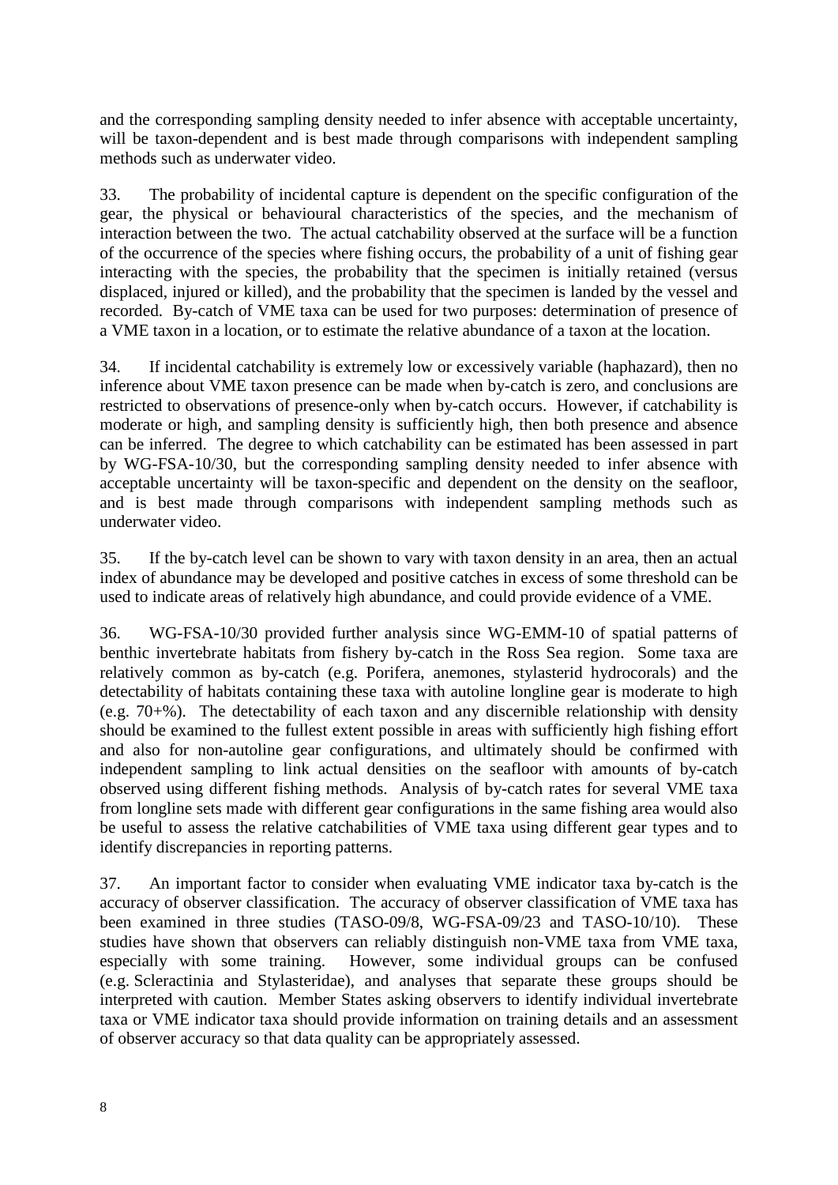and the corresponding sampling density needed to infer absence with acceptable uncertainty, will be taxon-dependent and is best made through comparisons with independent sampling methods such as underwater video.

33. The probability of incidental capture is dependent on the specific configuration of the gear, the physical or behavioural characteristics of the species, and the mechanism of interaction between the two. The actual catchability observed at the surface will be a function of the occurrence of the species where fishing occurs, the probability of a unit of fishing gear interacting with the species, the probability that the specimen is initially retained (versus displaced, injured or killed), and the probability that the specimen is landed by the vessel and recorded. By-catch of VME taxa can be used for two purposes: determination of presence of a VME taxon in a location, or to estimate the relative abundance of a taxon at the location.

34. If incidental catchability is extremely low or excessively variable (haphazard), then no inference about VME taxon presence can be made when by-catch is zero, and conclusions are restricted to observations of presence-only when by-catch occurs. However, if catchability is moderate or high, and sampling density is sufficiently high, then both presence and absence can be inferred. The degree to which catchability can be estimated has been assessed in part by WG-FSA-10/30, but the corresponding sampling density needed to infer absence with acceptable uncertainty will be taxon-specific and dependent on the density on the seafloor, and is best made through comparisons with independent sampling methods such as underwater video.

35. If the by-catch level can be shown to vary with taxon density in an area, then an actual index of abundance may be developed and positive catches in excess of some threshold can be used to indicate areas of relatively high abundance, and could provide evidence of a VME.

36. WG-FSA-10/30 provided further analysis since WG-EMM-10 of spatial patterns of benthic invertebrate habitats from fishery by-catch in the Ross Sea region. Some taxa are relatively common as by-catch (e.g. Porifera, anemones, stylasterid hydrocorals) and the detectability of habitats containing these taxa with autoline longline gear is moderate to high (e.g. 70+%). The detectability of each taxon and any discernible relationship with density should be examined to the fullest extent possible in areas with sufficiently high fishing effort and also for non-autoline gear configurations, and ultimately should be confirmed with independent sampling to link actual densities on the seafloor with amounts of by-catch observed using different fishing methods. Analysis of by-catch rates for several VME taxa from longline sets made with different gear configurations in the same fishing area would also be useful to assess the relative catchabilities of VME taxa using different gear types and to identify discrepancies in reporting patterns.

37. An important factor to consider when evaluating VME indicator taxa by-catch is the accuracy of observer classification. The accuracy of observer classification of VME taxa has been examined in three studies (TASO-09/8, WG-FSA-09/23 and TASO-10/10). These studies have shown that observers can reliably distinguish non-VME taxa from VME taxa, especially with some training. However, some individual groups can be confused (e.g. Scleractinia and Stylasteridae), and analyses that separate these groups should be interpreted with caution. Member States asking observers to identify individual invertebrate taxa or VME indicator taxa should provide information on training details and an assessment of observer accuracy so that data quality can be appropriately assessed.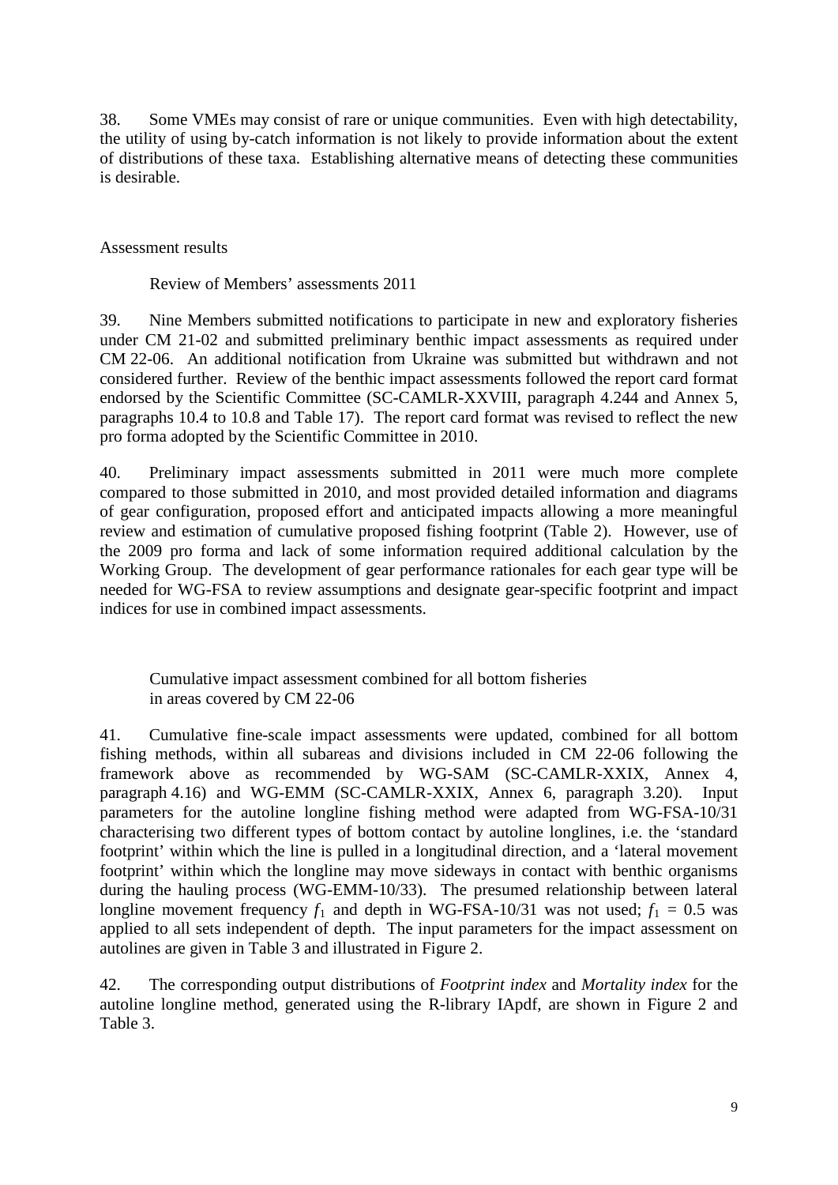38. Some VMEs may consist of rare or unique communities. Even with high detectability, the utility of using by-catch information is not likely to provide information about the extent of distributions of these taxa. Establishing alternative means of detecting these communities is desirable.

### Assessment results

Review of Members' assessments 2011

39. Nine Members submitted notifications to participate in new and exploratory fisheries under CM 21-02 and submitted preliminary benthic impact assessments as required under CM 22-06. An additional notification from Ukraine was submitted but withdrawn and not considered further. Review of the benthic impact assessments followed the report card format endorsed by the Scientific Committee (SC-CAMLR-XXVIII, paragraph 4.244 and Annex 5, paragraphs 10.4 to 10.8 and Table 17). The report card format was revised to reflect the new pro forma adopted by the Scientific Committee in 2010.

40. Preliminary impact assessments submitted in 2011 were much more complete compared to those submitted in 2010, and most provided detailed information and diagrams of gear configuration, proposed effort and anticipated impacts allowing a more meaningful review and estimation of cumulative proposed fishing footprint (Table 2). However, use of the 2009 pro forma and lack of some information required additional calculation by the Working Group. The development of gear performance rationales for each gear type will be needed for WG-FSA to review assumptions and designate gear-specific footprint and impact indices for use in combined impact assessments.

Cumulative impact assessment combined for all bottom fisheries in areas covered by CM 22-06

41. Cumulative fine-scale impact assessments were updated, combined for all bottom fishing methods, within all subareas and divisions included in CM 22-06 following the framework above as recommended by WG-SAM (SC-CAMLR-XXIX, Annex 4, paragraph 4.16) and WG-EMM (SC-CAMLR-XXIX, Annex 6, paragraph 3.20). Input parameters for the autoline longline fishing method were adapted from WG-FSA-10/31 characterising two different types of bottom contact by autoline longlines, i.e. the 'standard footprint' within which the line is pulled in a longitudinal direction, and a 'lateral movement footprint' within which the longline may move sideways in contact with benthic organisms during the hauling process (WG-EMM-10/33). The presumed relationship between lateral longline movement frequency  $f_1$  and depth in WG-FSA-10/31 was not used;  $f_1 = 0.5$  was applied to all sets independent of depth. The input parameters for the impact assessment on autolines are given in Table 3 and illustrated in Figure 2.

42. The corresponding output distributions of *Footprint index* and *Mortality index* for the autoline longline method, generated using the R-library IApdf, are shown in Figure 2 and Table 3.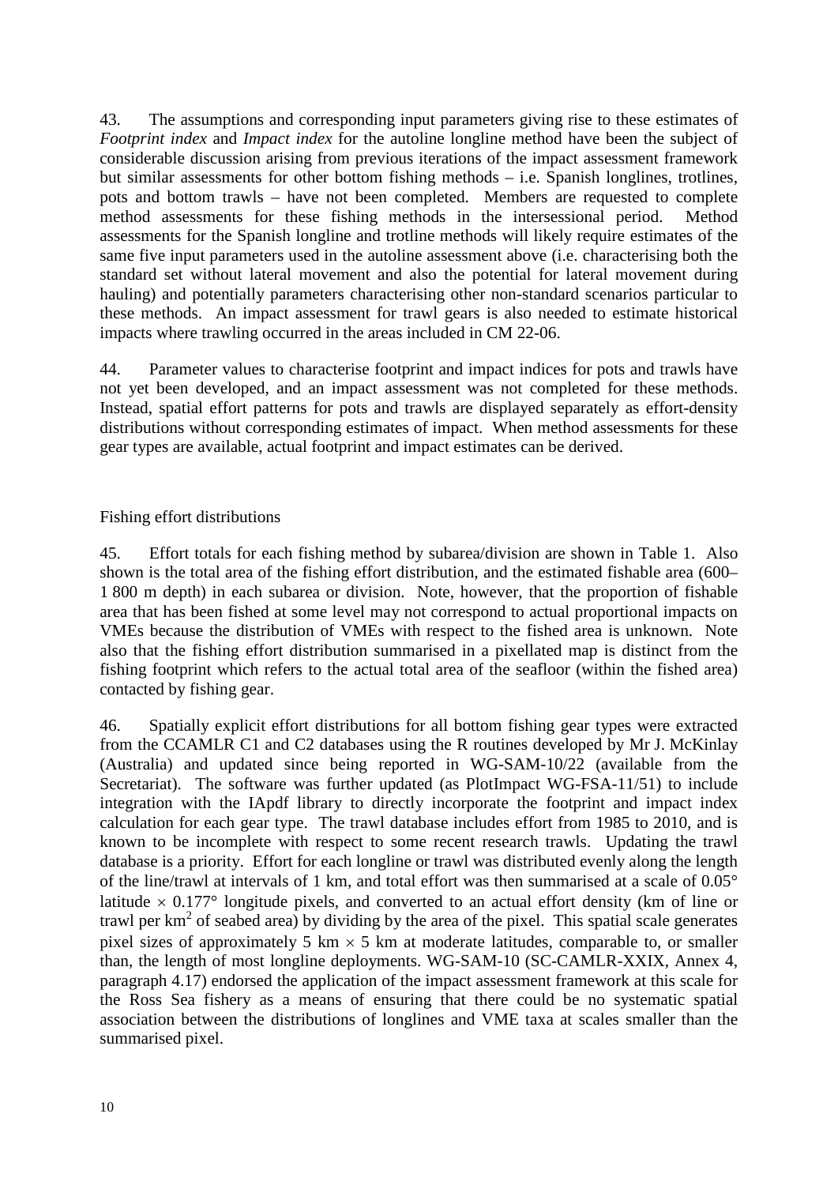43. The assumptions and corresponding input parameters giving rise to these estimates of *Footprint index* and *Impact index* for the autoline longline method have been the subject of considerable discussion arising from previous iterations of the impact assessment framework but similar assessments for other bottom fishing methods – i.e. Spanish longlines, trotlines, pots and bottom trawls – have not been completed. Members are requested to complete method assessments for these fishing methods in the intersessional period. Method assessments for the Spanish longline and trotline methods will likely require estimates of the same five input parameters used in the autoline assessment above (i.e. characterising both the standard set without lateral movement and also the potential for lateral movement during hauling) and potentially parameters characterising other non-standard scenarios particular to these methods. An impact assessment for trawl gears is also needed to estimate historical impacts where trawling occurred in the areas included in CM 22-06.

44. Parameter values to characterise footprint and impact indices for pots and trawls have not yet been developed, and an impact assessment was not completed for these methods. Instead, spatial effort patterns for pots and trawls are displayed separately as effort-density distributions without corresponding estimates of impact. When method assessments for these gear types are available, actual footprint and impact estimates can be derived.

### Fishing effort distributions

45. Effort totals for each fishing method by subarea/division are shown in Table 1. Also shown is the total area of the fishing effort distribution, and the estimated fishable area (600– 1 800 m depth) in each subarea or division. Note, however, that the proportion of fishable area that has been fished at some level may not correspond to actual proportional impacts on VMEs because the distribution of VMEs with respect to the fished area is unknown. Note also that the fishing effort distribution summarised in a pixellated map is distinct from the fishing footprint which refers to the actual total area of the seafloor (within the fished area) contacted by fishing gear.

46. Spatially explicit effort distributions for all bottom fishing gear types were extracted from the CCAMLR C1 and C2 databases using the R routines developed by Mr J. McKinlay (Australia) and updated since being reported in WG-SAM-10/22 (available from the Secretariat). The software was further updated (as PlotImpact WG-FSA-11/51) to include integration with the IApdf library to directly incorporate the footprint and impact index calculation for each gear type. The trawl database includes effort from 1985 to 2010, and is known to be incomplete with respect to some recent research trawls. Updating the trawl database is a priority. Effort for each longline or trawl was distributed evenly along the length of the line/trawl at intervals of 1 km, and total effort was then summarised at a scale of 0.05° latitude  $\times$  0.177° longitude pixels, and converted to an actual effort density (km of line or trawl per  $km<sup>2</sup>$  of seabed area) by dividing by the area of the pixel. This spatial scale generates pixel sizes of approximately 5 km  $\times$  5 km at moderate latitudes, comparable to, or smaller than, the length of most longline deployments. WG-SAM-10 (SC-CAMLR-XXIX, Annex 4, paragraph 4.17) endorsed the application of the impact assessment framework at this scale for the Ross Sea fishery as a means of ensuring that there could be no systematic spatial association between the distributions of longlines and VME taxa at scales smaller than the summarised pixel.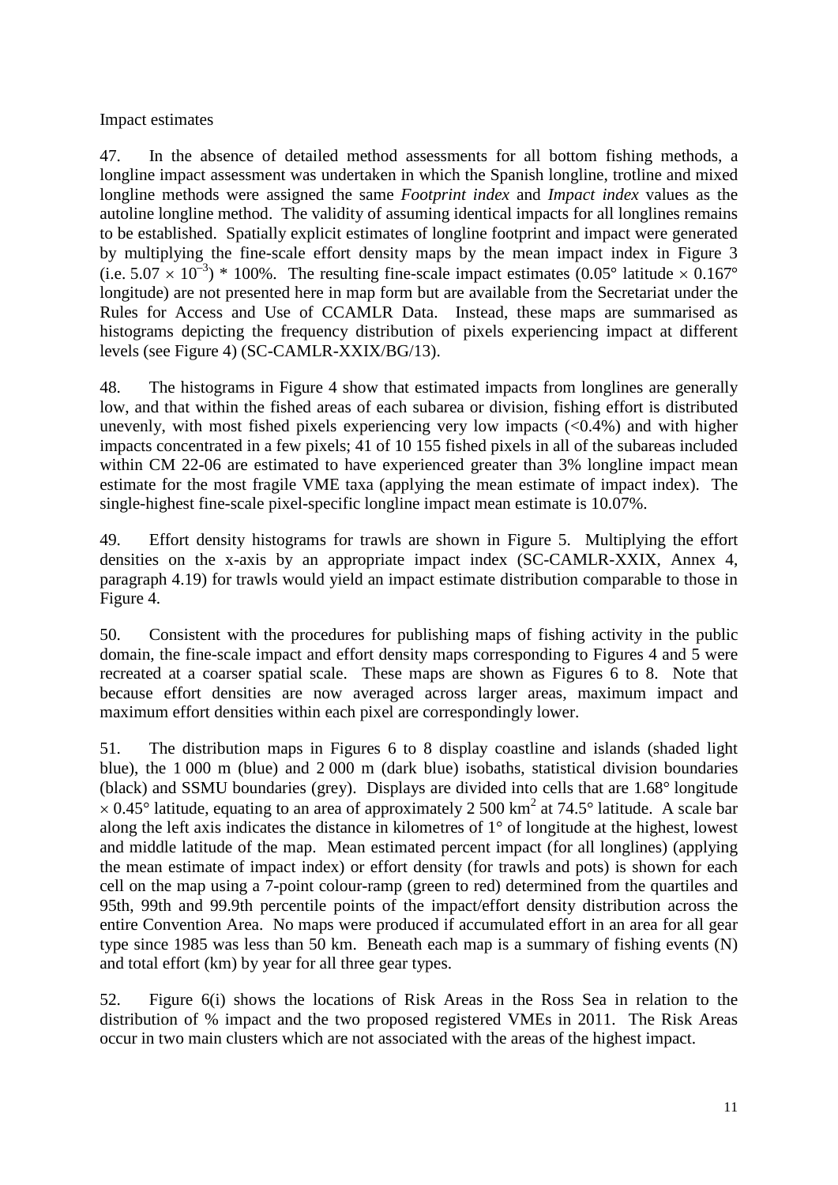Impact estimates

47. In the absence of detailed method assessments for all bottom fishing methods, a longline impact assessment was undertaken in which the Spanish longline, trotline and mixed longline methods were assigned the same *Footprint index* and *Impact index* values as the autoline longline method. The validity of assuming identical impacts for all longlines remains to be established. Spatially explicit estimates of longline footprint and impact were generated by multiplying the fine-scale effort density maps by the mean impact index in Figure 3 (i.e.  $5.07 \times 10^{-3}$ ) \* 100%. The resulting fine-scale impact estimates (0.05° latitude  $\times$  0.167° longitude) are not presented here in map form but are available from the Secretariat under the Rules for Access and Use of CCAMLR Data. Instead, these maps are summarised as histograms depicting the frequency distribution of pixels experiencing impact at different levels (see Figure 4) (SC-CAMLR-XXIX/BG/13).

48. The histograms in Figure 4 show that estimated impacts from longlines are generally low, and that within the fished areas of each subarea or division, fishing effort is distributed unevenly, with most fished pixels experiencing very low impacts  $( $0.4\%$ )$  and with higher impacts concentrated in a few pixels; 41 of 10 155 fished pixels in all of the subareas included within CM 22-06 are estimated to have experienced greater than 3% longline impact mean estimate for the most fragile VME taxa (applying the mean estimate of impact index). The single-highest fine-scale pixel-specific longline impact mean estimate is 10.07%.

49. Effort density histograms for trawls are shown in Figure 5. Multiplying the effort densities on the x-axis by an appropriate impact index (SC-CAMLR-XXIX, Annex 4, paragraph 4.19) for trawls would yield an impact estimate distribution comparable to those in Figure 4.

50. Consistent with the procedures for publishing maps of fishing activity in the public domain, the fine-scale impact and effort density maps corresponding to Figures 4 and 5 were recreated at a coarser spatial scale. These maps are shown as Figures 6 to 8. Note that because effort densities are now averaged across larger areas, maximum impact and maximum effort densities within each pixel are correspondingly lower.

51. The distribution maps in Figures 6 to 8 display coastline and islands (shaded light blue), the 1 000 m (blue) and 2 000 m (dark blue) isobaths, statistical division boundaries (black) and SSMU boundaries (grey). Displays are divided into cells that are 1.68° longitude  $\times$  0.45° latitude, equating to an area of approximately 2 500 km<sup>2</sup> at 74.5° latitude. A scale bar along the left axis indicates the distance in kilometres of 1° of longitude at the highest, lowest and middle latitude of the map. Mean estimated percent impact (for all longlines) (applying the mean estimate of impact index) or effort density (for trawls and pots) is shown for each cell on the map using a 7-point colour-ramp (green to red) determined from the quartiles and 95th, 99th and 99.9th percentile points of the impact/effort density distribution across the entire Convention Area. No maps were produced if accumulated effort in an area for all gear type since 1985 was less than 50 km. Beneath each map is a summary of fishing events (N) and total effort (km) by year for all three gear types.

52. Figure 6(i) shows the locations of Risk Areas in the Ross Sea in relation to the distribution of % impact and the two proposed registered VMEs in 2011. The Risk Areas occur in two main clusters which are not associated with the areas of the highest impact.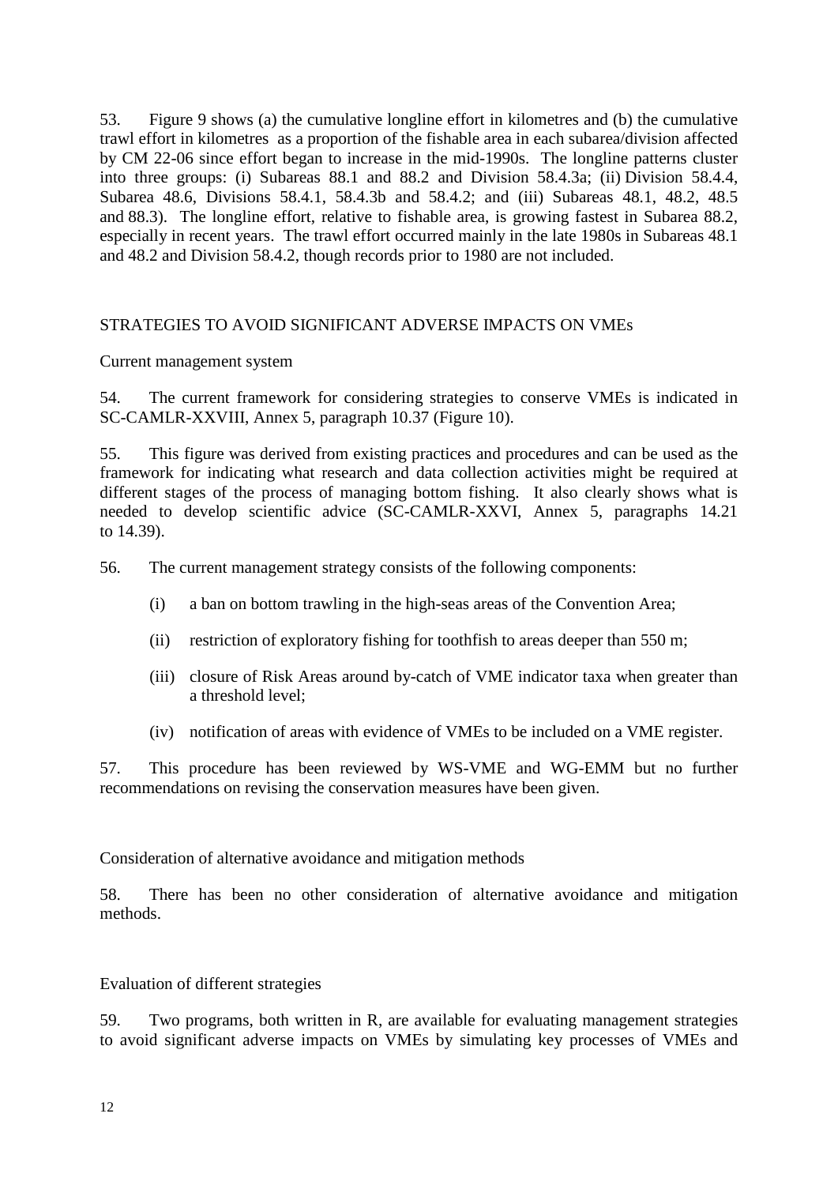<span id="page-15-0"></span>53. Figure 9 shows (a) the cumulative longline effort in kilometres and (b) the cumulative trawl effort in kilometres as a proportion of the fishable area in each subarea/division affected by CM 22-06 since effort began to increase in the mid-1990s. The longline patterns cluster into three groups: (i) Subareas 88.1 and 88.2 and Division 58.4.3a; (ii) Division 58.4.4, Subarea 48.6, Divisions 58.4.1, 58.4.3b and 58.4.2; and (iii) Subareas 48.1, 48.2, 48.5 and 88.3). The longline effort, relative to fishable area, is growing fastest in Subarea 88.2, especially in recent years. The trawl effort occurred mainly in the late 1980s in Subareas 48.1 and 48.2 and Division 58.4.2, though records prior to 1980 are not included.

### STRATEGIES TO AVOID SIGNIFICANT ADVERSE IMPACTS ON VMEs

#### Current management system

54. The current framework for considering strategies to conserve VMEs is indicated in SC-CAMLR-XXVIII, Annex 5, paragraph 10.37 (Figure 10).

55. This figure was derived from existing practices and procedures and can be used as the framework for indicating what research and data collection activities might be required at different stages of the process of managing bottom fishing. It also clearly shows what is needed to develop scientific advice (SC-CAMLR-XXVI, Annex 5, paragraphs 14.21 to 14.39).

56. The current management strategy consists of the following components:

- (i) a ban on bottom trawling in the high-seas areas of the Convention Area;
- (ii) restriction of exploratory fishing for toothfish to areas deeper than 550 m;
- (iii) closure of Risk Areas around by-catch of VME indicator taxa when greater than a threshold level;
- (iv) notification of areas with evidence of VMEs to be included on a VME register.

57. This procedure has been reviewed by WS-VME and WG-EMM but no further recommendations on revising the conservation measures have been given.

Consideration of alternative avoidance and mitigation methods

58. There has been no other consideration of alternative avoidance and mitigation methods.

Evaluation of different strategies

59. Two programs, both written in R, are available for evaluating management strategies to avoid significant adverse impacts on VMEs by simulating key processes of VMEs and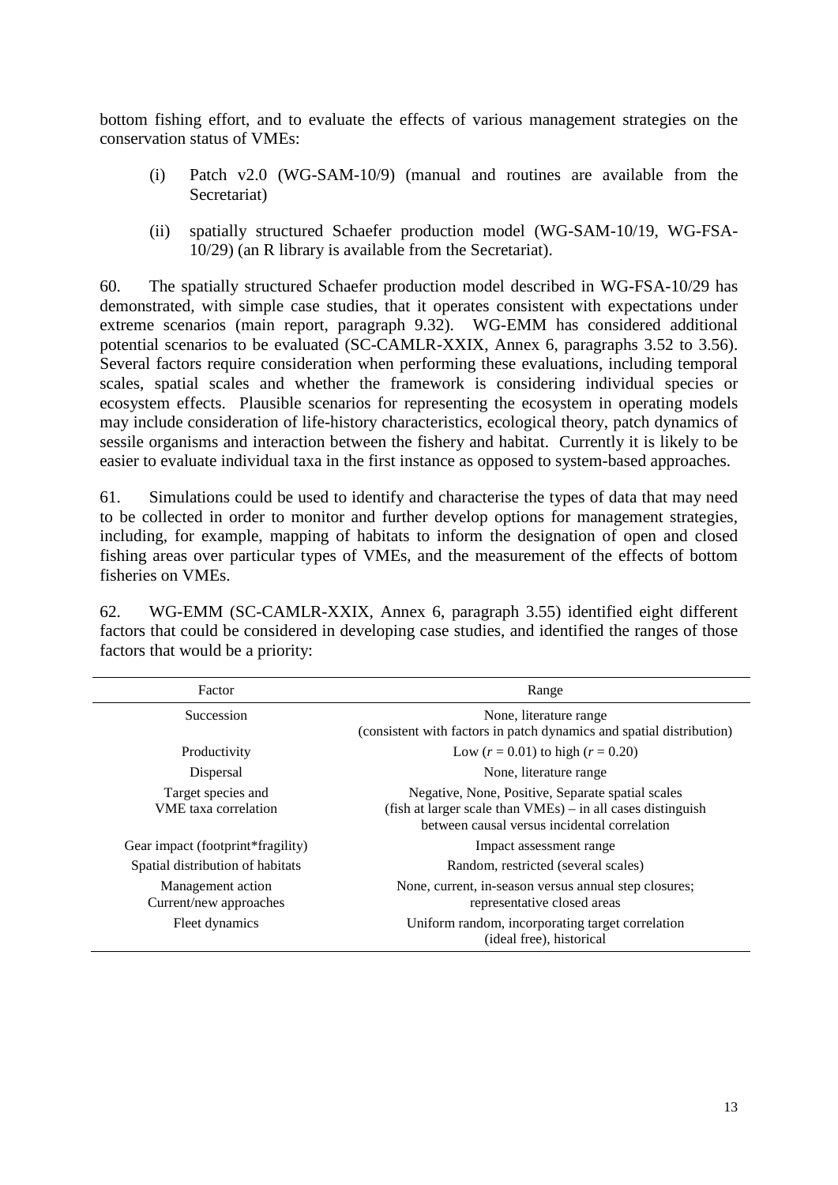bottom fishing effort, and to evaluate the effects of various management strategies on the conservation status of VMEs:

- (i) Patch v2.0 (WG-SAM-10/9) (manual and routines are available from the Secretariat)
- (ii) spatially structured Schaefer production model (WG-SAM-10/19, WG-FSA-10/29) (an R library is available from the Secretariat).

60. The spatially structured Schaefer production model described in WG-FSA-10/29 has demonstrated, with simple case studies, that it operates consistent with expectations under extreme scenarios (main report, paragraph 9.32). WG-EMM has considered additional potential scenarios to be evaluated (SC-CAMLR-XXIX, Annex 6, paragraphs 3.52 to 3.56). Several factors require consideration when performing these evaluations, including temporal scales, spatial scales and whether the framework is considering individual species or ecosystem effects. Plausible scenarios for representing the ecosystem in operating models may include consideration of life-history characteristics, ecological theory, patch dynamics of sessile organisms and interaction between the fishery and habitat. Currently it is likely to be easier to evaluate individual taxa in the first instance as opposed to system-based approaches.

61. Simulations could be used to identify and characterise the types of data that may need to be collected in order to monitor and further develop options for management strategies, including, for example, mapping of habitats to inform the designation of open and closed fishing areas over particular types of VMEs, and the measurement of the effects of bottom fisheries on VMEs.

62. WG-EMM (SC-CAMLR-XXIX, Annex 6, paragraph 3.55) identified eight different factors that could be considered in developing case studies, and identified the ranges of those factors that would be a priority:

| Factor                                            | Range                                                                                                                                                              |
|---------------------------------------------------|--------------------------------------------------------------------------------------------------------------------------------------------------------------------|
| Succession                                        | None, literature range<br>(consistent with factors in patch dynamics and spatial distribution)                                                                     |
| Productivity                                      | Low $(r = 0.01)$ to high $(r = 0.20)$                                                                                                                              |
| Dispersal                                         | None, literature range                                                                                                                                             |
| Target species and<br><b>VME</b> taxa correlation | Negative, None, Positive, Separate spatial scales<br>$(fish at larger scale than VMEs) – in all cases distinguish$<br>between causal versus incidental correlation |
| Gear impact (footprint*fragility)                 | Impact assessment range                                                                                                                                            |
| Spatial distribution of habitats                  | Random, restricted (several scales)                                                                                                                                |
| Management action<br>Current/new approaches       | None, current, in-season versus annual step closures;<br>representative closed areas                                                                               |
| Fleet dynamics                                    | Uniform random, incorporating target correlation<br>(ideal free), historical                                                                                       |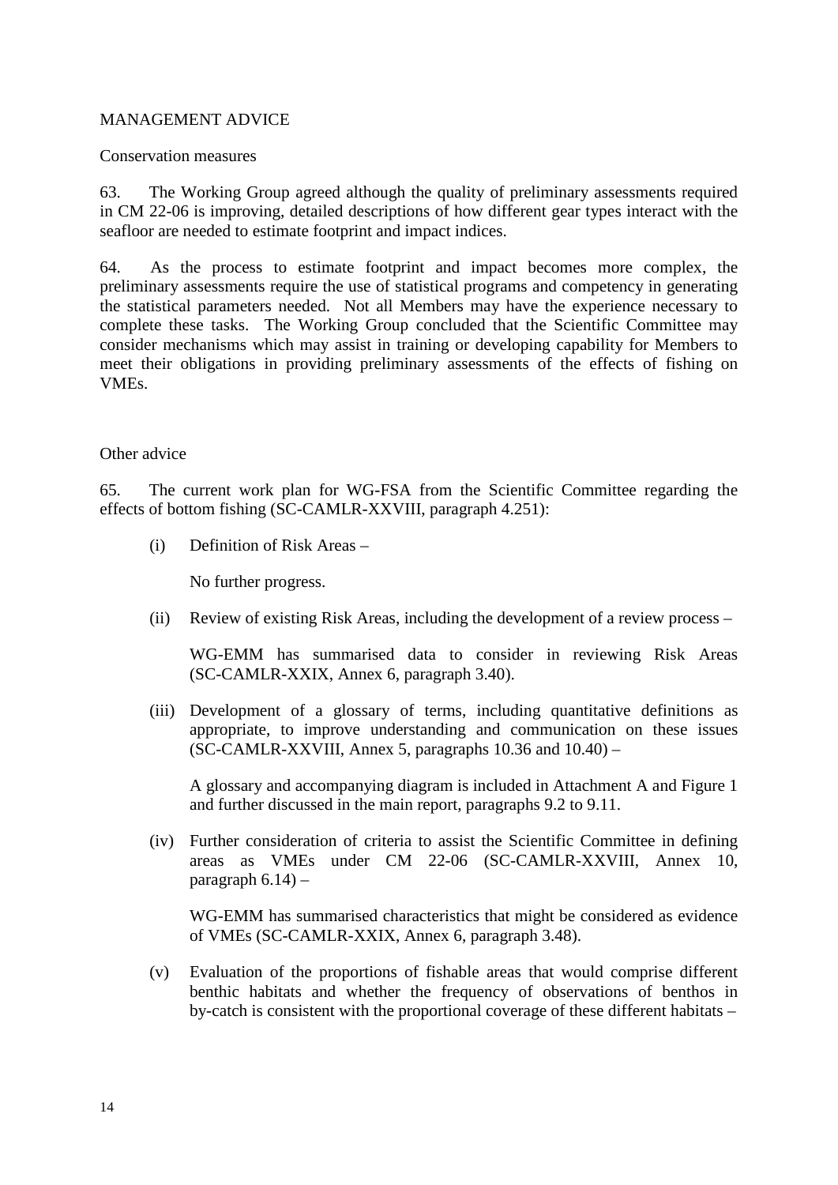### <span id="page-17-0"></span>MANAGEMENT ADVICE

Conservation measures

63. The Working Group agreed although the quality of preliminary assessments required in CM 22-06 is improving, detailed descriptions of how different gear types interact with the seafloor are needed to estimate footprint and impact indices.

64. As the process to estimate footprint and impact becomes more complex, the preliminary assessments require the use of statistical programs and competency in generating the statistical parameters needed. Not all Members may have the experience necessary to complete these tasks. The Working Group concluded that the Scientific Committee may consider mechanisms which may assist in training or developing capability for Members to meet their obligations in providing preliminary assessments of the effects of fishing on VMEs.

#### Other advice

65. The current work plan for WG-FSA from the Scientific Committee regarding the effects of bottom fishing (SC-CAMLR-XXVIII, paragraph 4.251):

(i) Definition of Risk Areas –

No further progress.

(ii) Review of existing Risk Areas, including the development of a review process –

WG-EMM has summarised data to consider in reviewing Risk Areas (SC-CAMLR-XXIX, Annex 6, paragraph 3.40).

(iii) Development of a glossary of terms, including quantitative definitions as appropriate, to improve understanding and communication on these issues (SC-CAMLR-XXVIII, Annex 5, paragraphs  $10.36$  and  $10.40$ ) –

A glossary and accompanying diagram is included in Attachment A and Figure 1 and further discussed in the main report, paragraphs 9.2 to 9.11.

(iv) Further consideration of criteria to assist the Scientific Committee in defining areas as VMEs under CM 22-06 (SC-CAMLR-XXVIII, Annex 10, paragraph  $6.14$ ) –

WG-EMM has summarised characteristics that might be considered as evidence of VMEs (SC-CAMLR-XXIX, Annex 6, paragraph 3.48).

(v) Evaluation of the proportions of fishable areas that would comprise different benthic habitats and whether the frequency of observations of benthos in by-catch is consistent with the proportional coverage of these different habitats –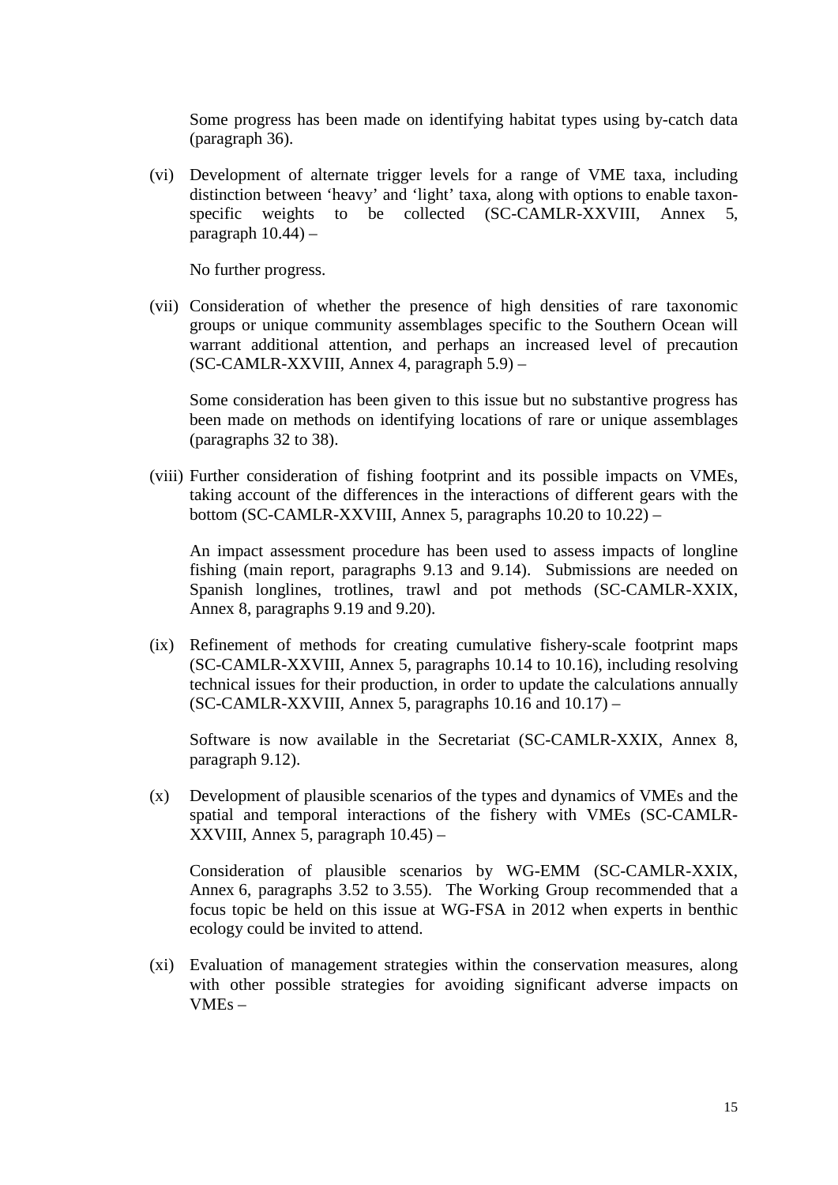Some progress has been made on identifying habitat types using by-catch data (paragraph 36).

(vi) Development of alternate trigger levels for a range of VME taxa, including distinction between 'heavy' and 'light' taxa, along with options to enable taxonspecific weights to be collected (SC-CAMLR-XXVIII, Annex 5, paragraph  $10.44$ ) –

No further progress.

(vii) Consideration of whether the presence of high densities of rare taxonomic groups or unique community assemblages specific to the Southern Ocean will warrant additional attention, and perhaps an increased level of precaution (SC-CAMLR-XXVIII, Annex 4, paragraph 5.9) –

Some consideration has been given to this issue but no substantive progress has been made on methods on identifying locations of rare or unique assemblages (paragraphs 32 to 38).

(viii) Further consideration of fishing footprint and its possible impacts on VMEs, taking account of the differences in the interactions of different gears with the bottom (SC-CAMLR-XXVIII, Annex 5, paragraphs 10.20 to 10.22) –

An impact assessment procedure has been used to assess impacts of longline fishing (main report, paragraphs 9.13 and 9.14). Submissions are needed on Spanish longlines, trotlines, trawl and pot methods (SC-CAMLR-XXIX, Annex 8, paragraphs 9.19 and 9.20).

(ix) Refinement of methods for creating cumulative fishery-scale footprint maps (SC-CAMLR-XXVIII, Annex 5, paragraphs 10.14 to 10.16), including resolving technical issues for their production, in order to update the calculations annually  $SC-CAMLR-XXVIII$ , Annex 5, paragraphs 10.16 and 10.17) –

Software is now available in the Secretariat (SC-CAMLR-XXIX, Annex 8, paragraph 9.12).

(x) Development of plausible scenarios of the types and dynamics of VMEs and the spatial and temporal interactions of the fishery with VMEs (SC-CAMLR-XXVIII, Annex 5, paragraph 10.45) –

Consideration of plausible scenarios by WG-EMM (SC-CAMLR-XXIX, Annex 6, paragraphs 3.52 to 3.55). The Working Group recommended that a focus topic be held on this issue at WG-FSA in 2012 when experts in benthic ecology could be invited to attend.

(xi) Evaluation of management strategies within the conservation measures, along with other possible strategies for avoiding significant adverse impacts on VMEs –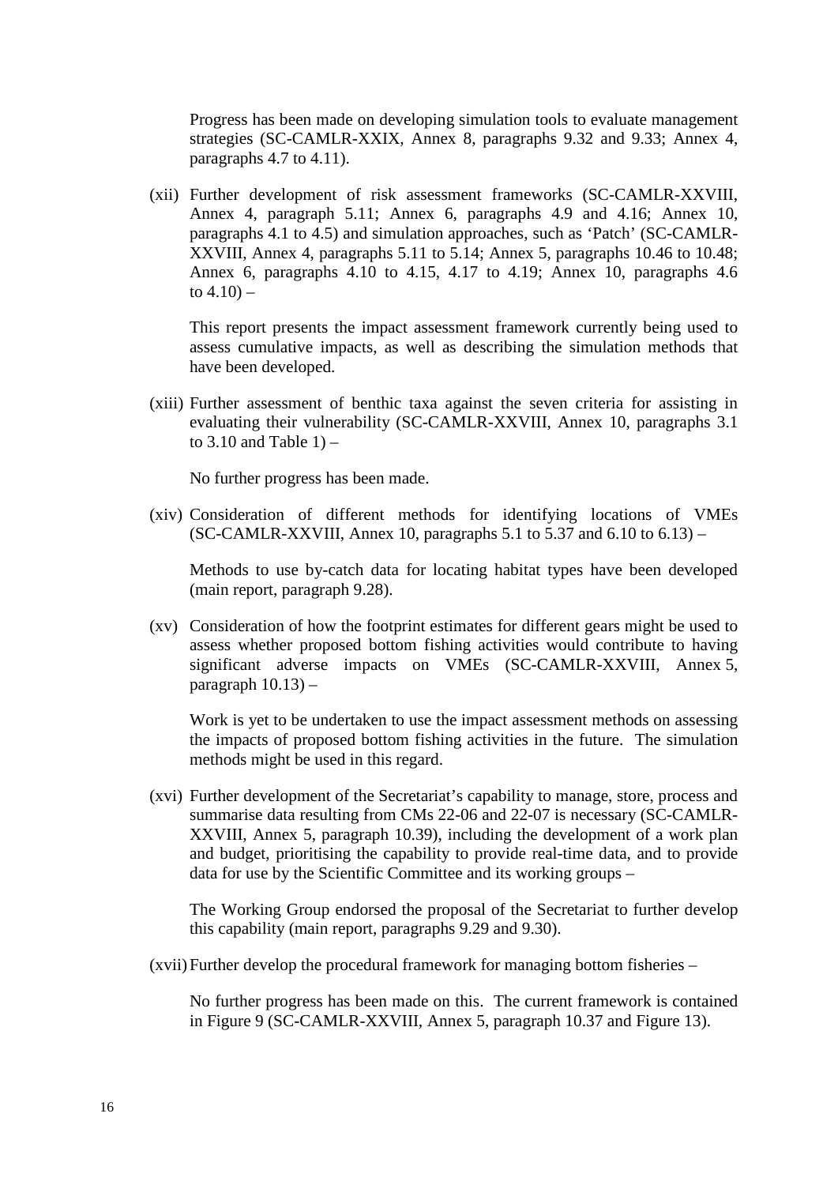Progress has been made on developing simulation tools to evaluate management strategies (SC-CAMLR-XXIX, Annex 8, paragraphs 9.32 and 9.33; Annex 4, paragraphs 4.7 to 4.11).

(xii) Further development of risk assessment frameworks (SC-CAMLR-XXVIII, Annex 4, paragraph 5.11; Annex 6, paragraphs 4.9 and 4.16; Annex 10, paragraphs 4.1 to 4.5) and simulation approaches, such as 'Patch' (SC-CAMLR-XXVIII, Annex 4, paragraphs 5.11 to 5.14; Annex 5, paragraphs 10.46 to 10.48; Annex 6, paragraphs 4.10 to 4.15, 4.17 to 4.19; Annex 10, paragraphs 4.6 to  $4.10$ ) –

This report presents the impact assessment framework currently being used to assess cumulative impacts, as well as describing the simulation methods that have been developed.

(xiii) Further assessment of benthic taxa against the seven criteria for assisting in evaluating their vulnerability (SC-CAMLR-XXVIII, Annex 10, paragraphs 3.1 to  $3.10$  and Table  $1$ ) –

No further progress has been made.

(xiv) Consideration of different methods for identifying locations of VMEs (SC-CAMLR-XXVIII, Annex 10, paragraphs 5.1 to 5.37 and 6.10 to  $6.13$ ) –

Methods to use by-catch data for locating habitat types have been developed (main report, paragraph 9.28).

(xv) Consideration of how the footprint estimates for different gears might be used to assess whether proposed bottom fishing activities would contribute to having significant adverse impacts on VMEs (SC-CAMLR-XXVIII, Annex 5, paragraph  $10.13$ ) –

Work is yet to be undertaken to use the impact assessment methods on assessing the impacts of proposed bottom fishing activities in the future. The simulation methods might be used in this regard.

(xvi) Further development of the Secretariat's capability to manage, store, process and summarise data resulting from CMs 22-06 and 22-07 is necessary (SC-CAMLR-XXVIII, Annex 5, paragraph 10.39), including the development of a work plan and budget, prioritising the capability to provide real-time data, and to provide data for use by the Scientific Committee and its working groups –

The Working Group endorsed the proposal of the Secretariat to further develop this capability (main report, paragraphs 9.29 and 9.30).

(xvii)Further develop the procedural framework for managing bottom fisheries –

No further progress has been made on this. The current framework is contained in Figure 9 (SC-CAMLR-XXVIII, Annex 5, paragraph 10.37 and Figure 13).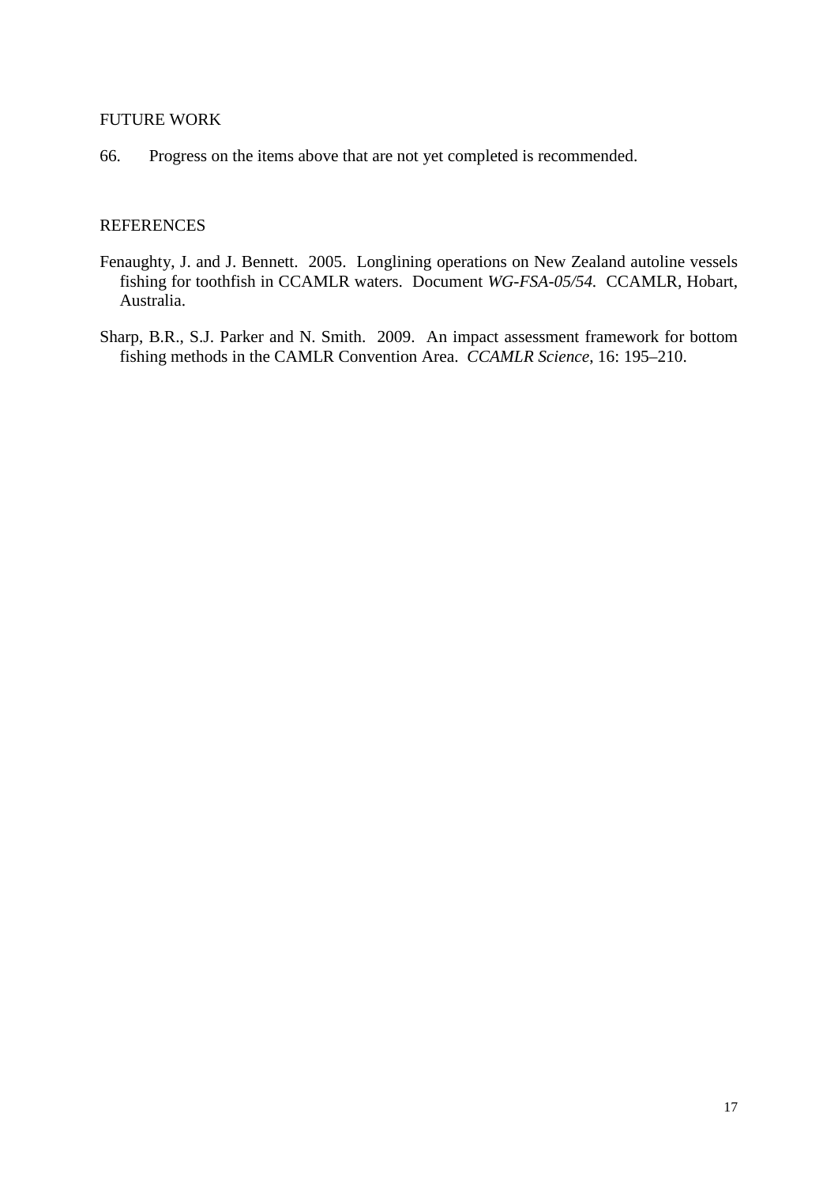### <span id="page-20-0"></span>FUTURE WORK

66. Progress on the items above that are not yet completed is recommended.

### **REFERENCES**

- Fenaughty, J. and J. Bennett. 2005. Longlining operations on New Zealand autoline vessels fishing for toothfish in CCAMLR waters. Document *WG-FSA-05/54.* CCAMLR, Hobart, Australia.
- Sharp, B.R., S.J. Parker and N. Smith. 2009. An impact assessment framework for bottom fishing methods in the CAMLR Convention Area. *CCAMLR Science*, 16: 195–210.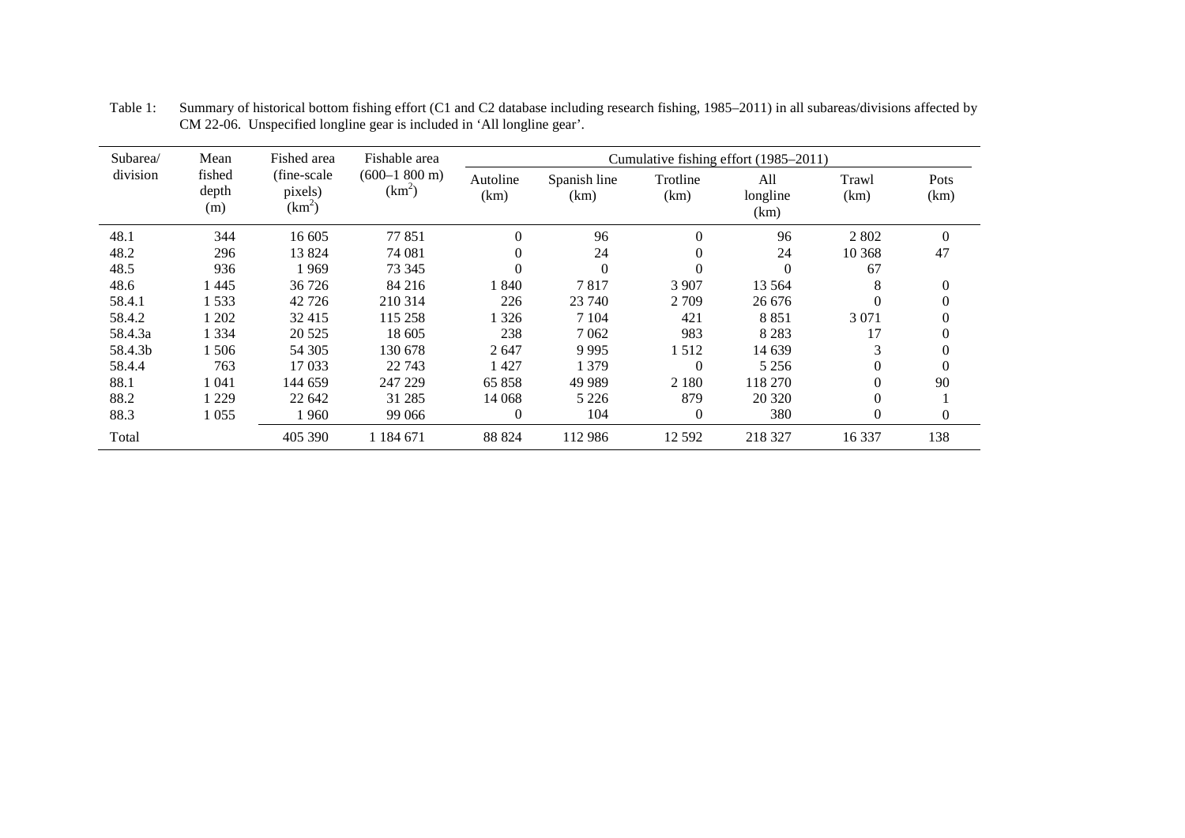| Subarea/ | Mean                   | Fished area                         | Fishable area                      |                  |                      |                  | Cumulative fishing effort (1985–2011) |               |              |
|----------|------------------------|-------------------------------------|------------------------------------|------------------|----------------------|------------------|---------------------------------------|---------------|--------------|
| division | fished<br>depth<br>(m) | (fine-scale)<br>pixels)<br>$(km^2)$ | $(600-1800 \text{ m})$<br>$(km^2)$ | Autoline<br>(km) | Spanish line<br>(km) | Trotline<br>(km) | All<br>longline<br>(km)               | Trawl<br>(km) | Pots<br>(km) |
| 48.1     | 344                    | 16 605                              | 77851                              | $\Omega$         | 96                   | $\overline{0}$   | 96                                    | 2 8 0 2       | $\theta$     |
| 48.2     | 296                    | 13 824                              | 74 081                             | $\Omega$         | 24                   | $\theta$         | 24                                    | 10 368        | 47           |
| 48.5     | 936                    | 1969                                | 73 345                             |                  | $\Omega$             | $\theta$         | $\theta$                              | 67            |              |
| 48.6     | $-445$                 | 36 726                              | 84 216                             | 1840             | 7817                 | 3 9 0 7          | 13 5 64                               | 8             | $\theta$     |
| 58.4.1   | 1533                   | 42 7 26                             | 210 314                            | 226              | 23 740               | 2 7 0 9          | 26 676                                | $\Omega$      |              |
| 58.4.2   | 1202                   | 32415                               | 115 258                            | 326              | 7 1 0 4              | 421              | 8851                                  | 3 0 7 1       |              |
| 58.4.3a  | 1 334                  | 20 5 25                             | 18 605                             | 238              | 7062                 | 983              | 8 2 8 3                               | 17            |              |
| 58.4.3b  | 1506                   | 54 30 5                             | 130 678                            | 2647             | 9995                 | .512             | 14 639                                | 3             |              |
| 58.4.4   | 763                    | 17 033                              | 22 743                             | 1427             | 1 3 7 9              | $\theta$         | 5 2 5 6                               | $\Omega$      |              |
| 88.1     | 1 041                  | 144 659                             | 247 229                            | 65 858           | 49 9 89              | 2 1 8 0          | 118 270                               | $\Omega$      | 90           |
| 88.2     | 1 2 2 9                | 22 642                              | 31 285                             | 14 068           | 5 2 2 6              | 879              | 20 3 20                               | $\Omega$      |              |
| 88.3     | 1 0 5 5                | 1 960                               | 99 066                             | $\theta$         | 104                  | 0                | 380                                   | $\theta$      | $\theta$     |
| Total    |                        | 405 390                             | 1 1 8 4 6 7 1                      | 88 824           | 112 986              | 12 5 9 2         | 218 327                               | 16 3 37       | 138          |

<span id="page-21-0"></span>Table 1: Summary of historical bottom fishing effort (C1 and C2 database including research fishing, 1985–2011) in all subareas/divisions affected by CM 22-06. Unspecified longline gear is included in 'All longline gear'.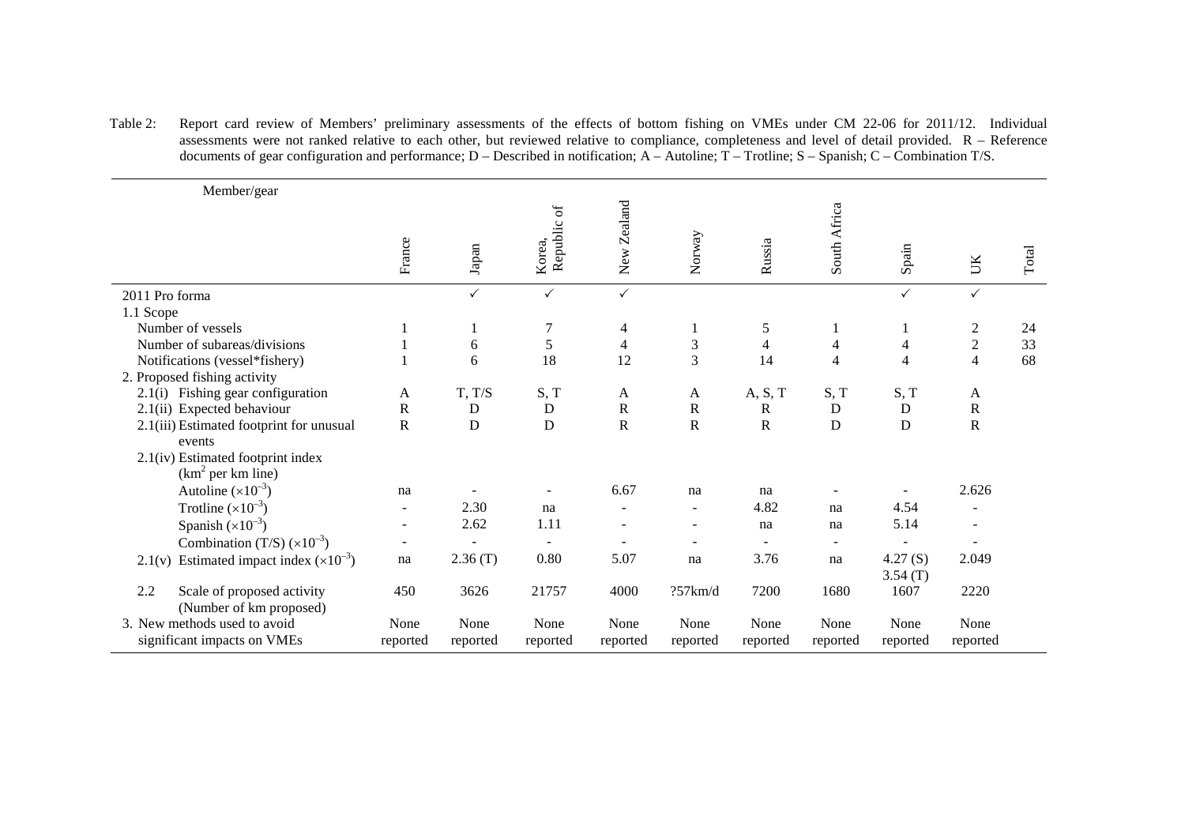Table 2: Report card review of Members' preliminary assessments of the effects of bottom fishing on VMEs under CM 22-06 for 2011/12. Individual assessments were not ranked relative to each other, but reviewed relative to compliance, completeness and level of detail provided. R – Reference documents of gear configuration and performance; D – Described in notification; A – Autoline; T – Trotline; S – Spanish; C – Combination T/S.

| Member/gear                                                  |                          |               |                       |                |                             |                         |                |                    |                          |       |
|--------------------------------------------------------------|--------------------------|---------------|-----------------------|----------------|-----------------------------|-------------------------|----------------|--------------------|--------------------------|-------|
|                                                              | France                   | ${\rm Japan}$ | Republic of<br>Korea, | New Zealand    | Norway                      | Russia                  | South Africa   | Spain              | UK                       | Total |
| 2011 Pro forma                                               |                          | $\checkmark$  | $\checkmark$          | $\checkmark$   |                             |                         |                | $\checkmark$       | $\checkmark$             |       |
| 1.1 Scope                                                    |                          |               |                       |                |                             |                         |                |                    |                          |       |
| Number of vessels                                            |                          |               | $\boldsymbol{7}$      | 4              | -1                          | 5                       |                |                    | $\overline{c}$           | 24    |
| Number of subareas/divisions                                 |                          | 6             | 5                     | $\overline{4}$ | $\ensuremath{\mathfrak{Z}}$ | $\overline{\mathbf{4}}$ | 4              | 4                  | $\sqrt{2}$               | 33    |
| Notifications (vessel*fishery)                               |                          | 6             | 18                    | 12             | 3                           | 14                      | $\overline{4}$ | $\overline{4}$     | $\overline{4}$           | 68    |
| 2. Proposed fishing activity                                 |                          |               |                       |                |                             |                         |                |                    |                          |       |
| 2.1(i) Fishing gear configuration                            | A                        | T, T/S        | S, T                  | A              | A                           | A, S, T                 | S, T           | S, T               | A                        |       |
| 2.1(ii) Expected behaviour                                   | ${\bf R}$                | $\mathbf D$   | ${\bf D}$             | ${\bf R}$      | ${\bf R}$                   | ${\bf R}$               | $\mathbf D$    | $\mathbf D$        | $\mathbf R$              |       |
| 2.1(iii) Estimated footprint for unusual<br>events           | $\mathbf R$              | $\mathbf D$   | $\mathbf D$           | ${\bf R}$      | ${\bf R}$                   | ${\bf R}$               | D              | D                  | ${\bf R}$                |       |
| 2.1(iv) Estimated footprint index<br>$(km2$ per km line)     |                          |               |                       |                |                             |                         |                |                    |                          |       |
| Autoline $(\times 10^{-3})$                                  | na                       |               | $\sim$                | 6.67           | na                          | na                      |                | ÷,                 | 2.626                    |       |
| Trotline $(x10^{-3})$                                        |                          | 2.30          | na                    |                | $\blacksquare$              | 4.82                    | na             | 4.54               | $\overline{\phantom{a}}$ |       |
| Spanish $(\times 10^{-3})$                                   |                          | 2.62          | 1.11                  |                | $\overline{a}$              | na                      | na             | 5.14               | $\overline{a}$           |       |
| Combination (T/S) $(\times 10^{-3})$                         | $\overline{\phantom{a}}$ |               | $\blacksquare$        |                | $\overline{a}$              |                         | $\blacksquare$ |                    | $\overline{a}$           |       |
| Estimated impact index $(\times 10^{-3})$<br>2.1(v)          | na                       | 2.36(T)       | 0.80                  | 5.07           | na                          | 3.76                    | na             | 4.27(S)<br>3.54(T) | 2.049                    |       |
| 2.2<br>Scale of proposed activity<br>(Number of km proposed) | 450                      | 3626          | 21757                 | 4000           | ?57km/d                     | 7200                    | 1680           | 1607               | 2220                     |       |
| 3. New methods used to avoid                                 | None                     | None          | None                  | None           | None                        | None                    | None           | None               | None                     |       |
| significant impacts on VMEs                                  | reported                 | reported      | reported              | reported       | reported                    | reported                | reported       | reported           | reported                 |       |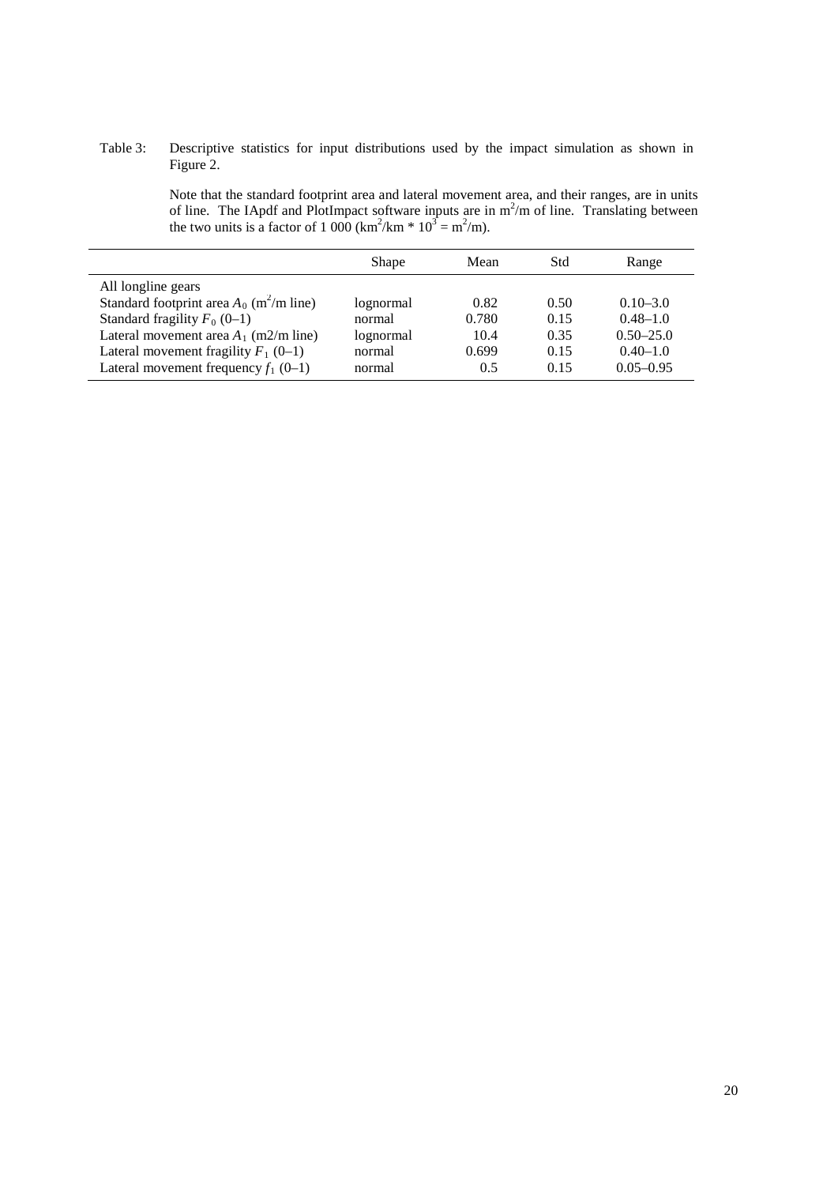#### Table 3: Descriptive statistics for input distributions used by the impact simulation as shown in Figure 2.

Note that the standard footprint area and lateral movement area, and their ranges, are in units of line. The IApdf and PlotImpact software inputs are in  $m^2/m$  of line. Translating between the two units is a factor of 1 000 (km<sup>2</sup>/km  $*$  10<sup>3</sup> = m<sup>2</sup>/m).

|                                                        | Shape     | Mean  | Std  | Range         |
|--------------------------------------------------------|-----------|-------|------|---------------|
| All longline gears                                     |           |       |      |               |
| Standard footprint area $A_0$ (m <sup>2</sup> /m line) | lognormal | 0.82  | 0.50 | $0.10 - 3.0$  |
| Standard fragility $F_0$ (0–1)                         | normal    | 0.780 | 0.15 | $0.48 - 1.0$  |
| Lateral movement area $A_1$ (m2/m line)                | lognormal | 10.4  | 0.35 | $0.50 - 25.0$ |
| Lateral movement fragility $F_1$ (0–1)                 | normal    | 0.699 | 0.15 | $0.40 - 1.0$  |
| Lateral movement frequency $f_1$ (0-1)                 | normal    | 0.5   | 0.15 | $0.05 - 0.95$ |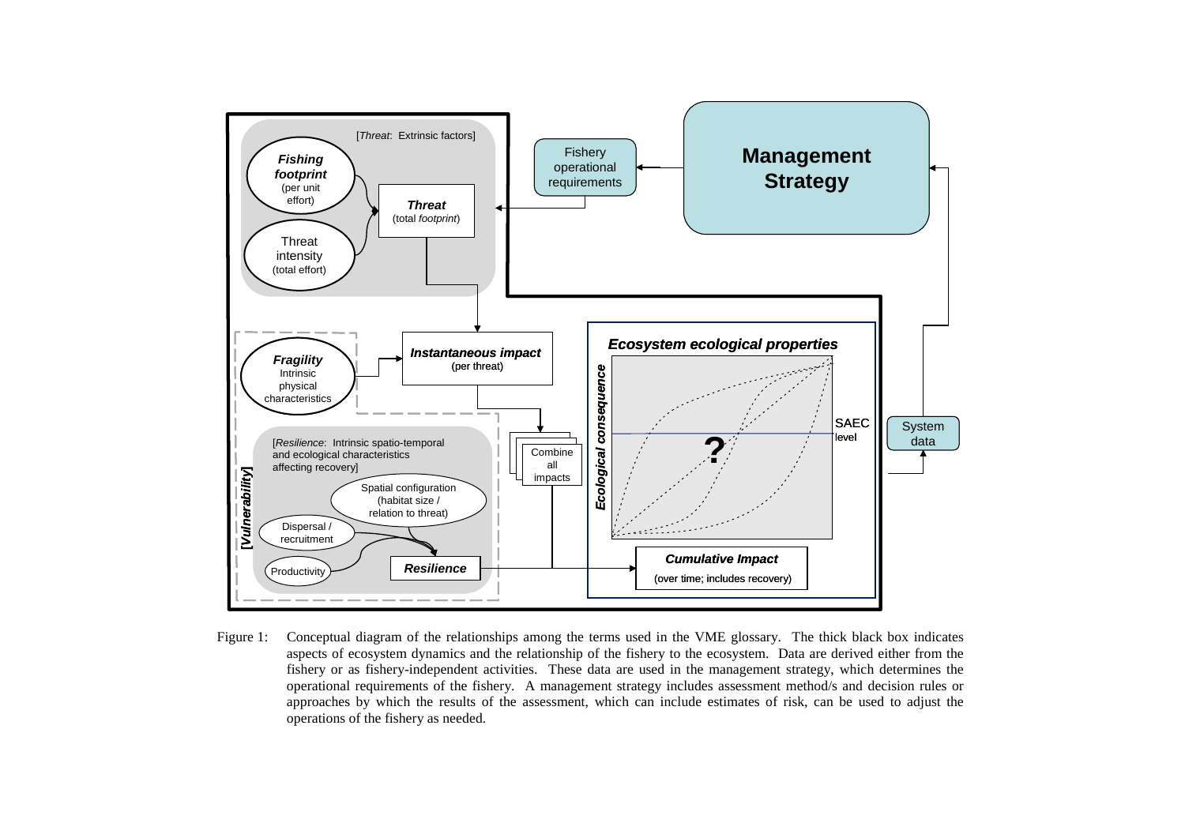<span id="page-24-0"></span>

Figure 1: Conceptual diagram of the relationships among the terms used in the VME glossary. The thick black box indicates aspects of ecosystem dynamics and the relationship of the fishery to the ecosystem. Data are derived either from the fishery or as fishery-independent activities. These data are used in the management strategy, which determines the operational requirements of the fishery. A management strategy includes assessment method/s and decision rules or approaches by which the results of the assessment, which can include estimates of risk, can be used to adjust the operations of the fishery as needed.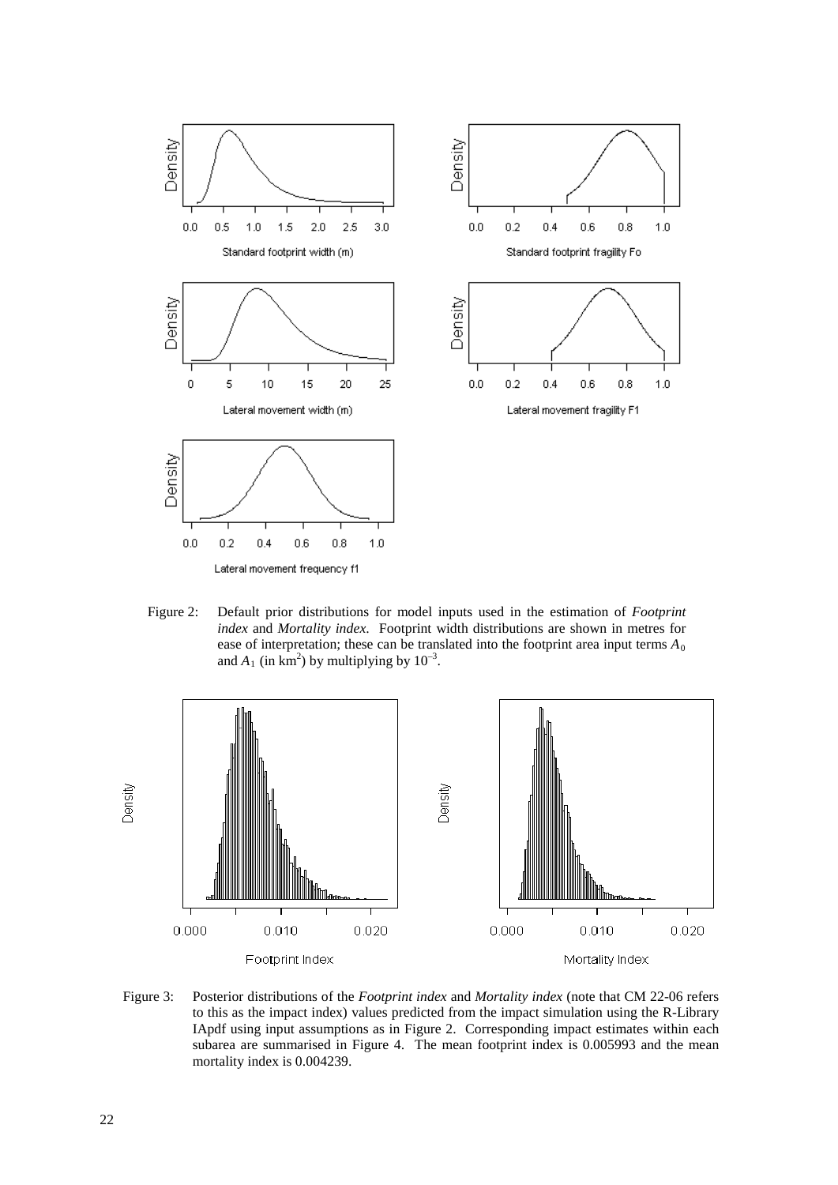

Figure 2: Default prior distributions for model inputs used in the estimation of *Footprint index* and *Mortality index*. Footprint width distributions are shown in metres for ease of interpretation; these can be translated into the footprint area input terms  $A_0$ and  $A_1$  (in km<sup>2</sup>) by multiplying by  $10^{-3}$ .



Figure 3: Posterior distributions of the *Footprint index* and *Mortality index* (note that CM 22-06 refers to this as the impact index) values predicted from the impact simulation using the R-Library IApdf using input assumptions as in Figure 2. Corresponding impact estimates within each subarea are summarised in Figure 4. The mean footprint index is 0.005993 and the mean mortality index is 0.004239.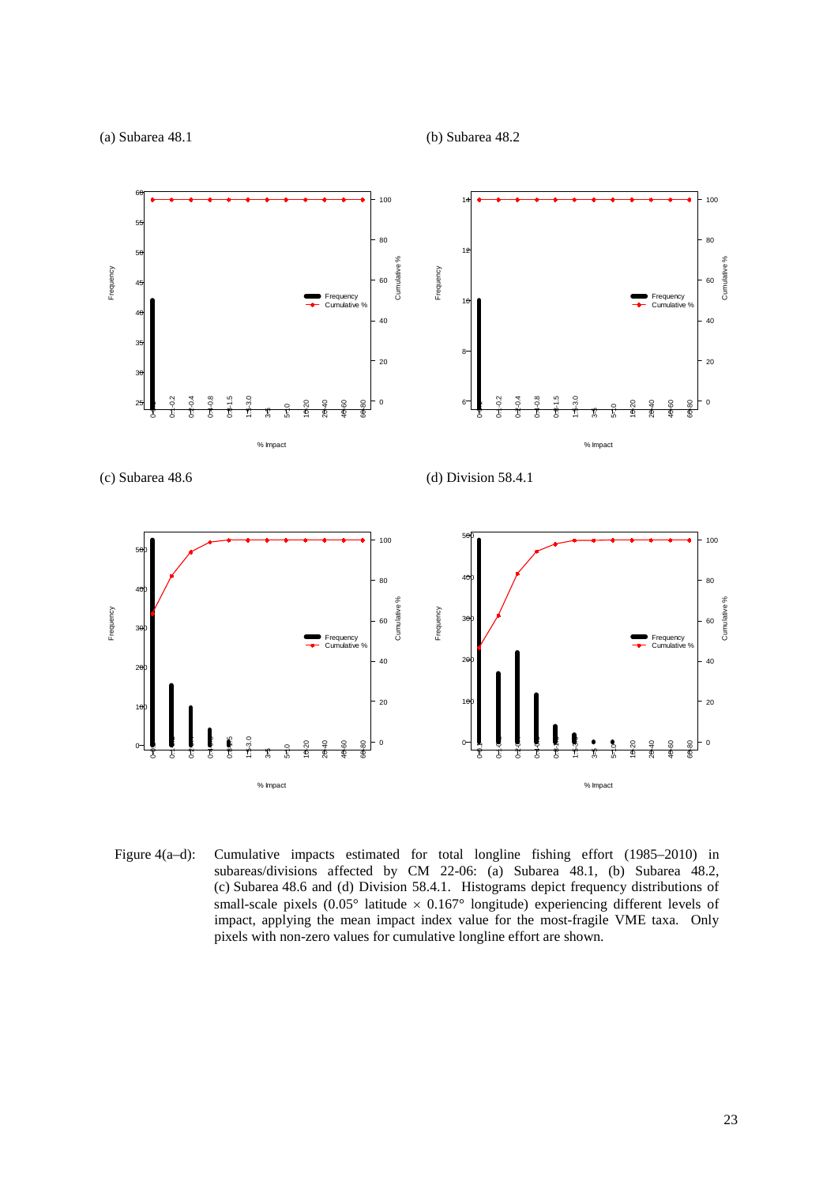(a) Subarea 48.1 (b) Subarea 48.2



Figure 4(a–d): Cumulative impacts estimated for total longline fishing effort (1985–2010) in subareas/divisions affected by CM 22-06: (a) Subarea 48.1, (b) Subarea 48.2, (c) Subarea 48.6 and (d) Division 58.4.1. Histograms depict frequency distributions of small-scale pixels  $(0.05^{\circ}$  latitude  $\times 0.167^{\circ}$  longitude) experiencing different levels of impact, applying the mean impact index value for the most-fragile VME taxa. Only pixels with non-zero values for cumulative longline effort are shown.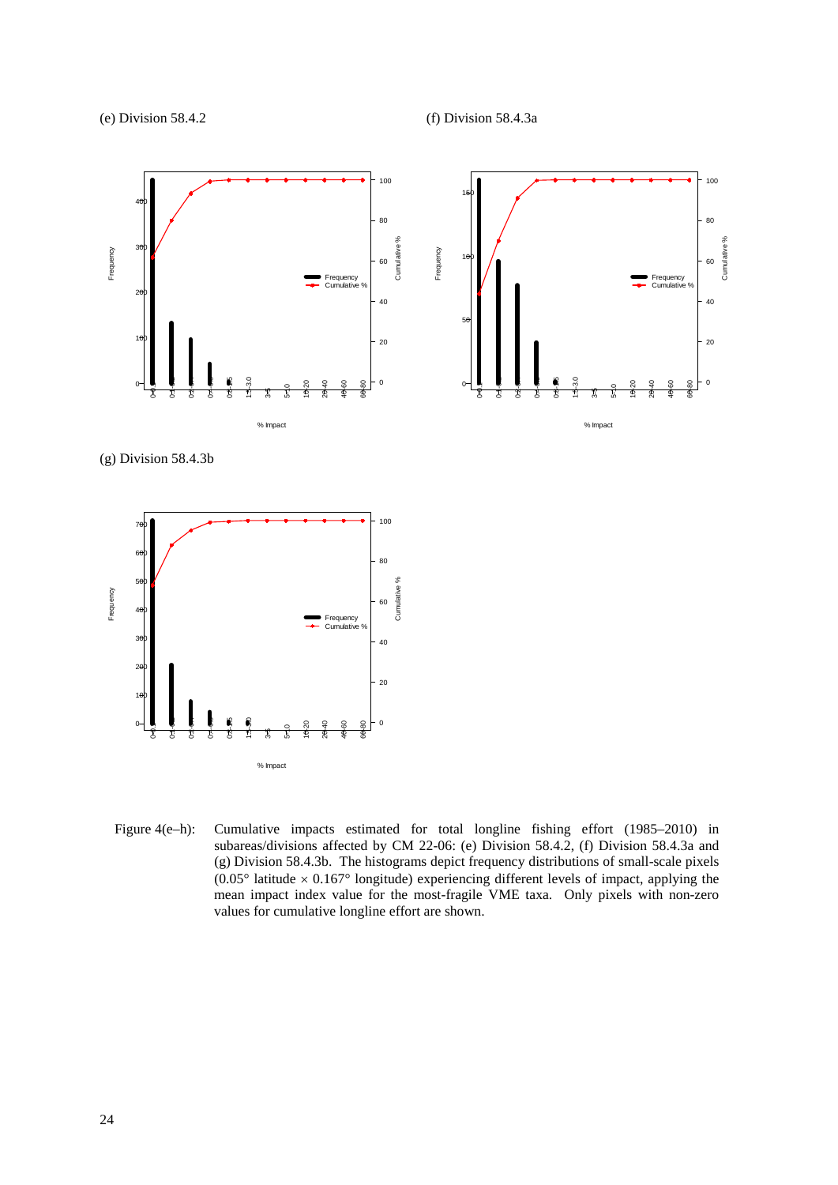(e) Division 58.4.2 (f) Division 58.4.3a



(g) Division 58.4.3b



Figure 4(e–h): Cumulative impacts estimated for total longline fishing effort (1985–2010) in subareas/divisions affected by CM 22-06: (e) Division 58.4.2, (f) Division 58.4.3a and (g) Division 58.4.3b. The histograms depict frequency distributions of small-scale pixels  $(0.05^{\circ})$  latitude  $\times$  0.167° longitude) experiencing different levels of impact, applying the mean impact index value for the most-fragile VME taxa. Only pixels with non-zero values for cumulative longline effort are shown.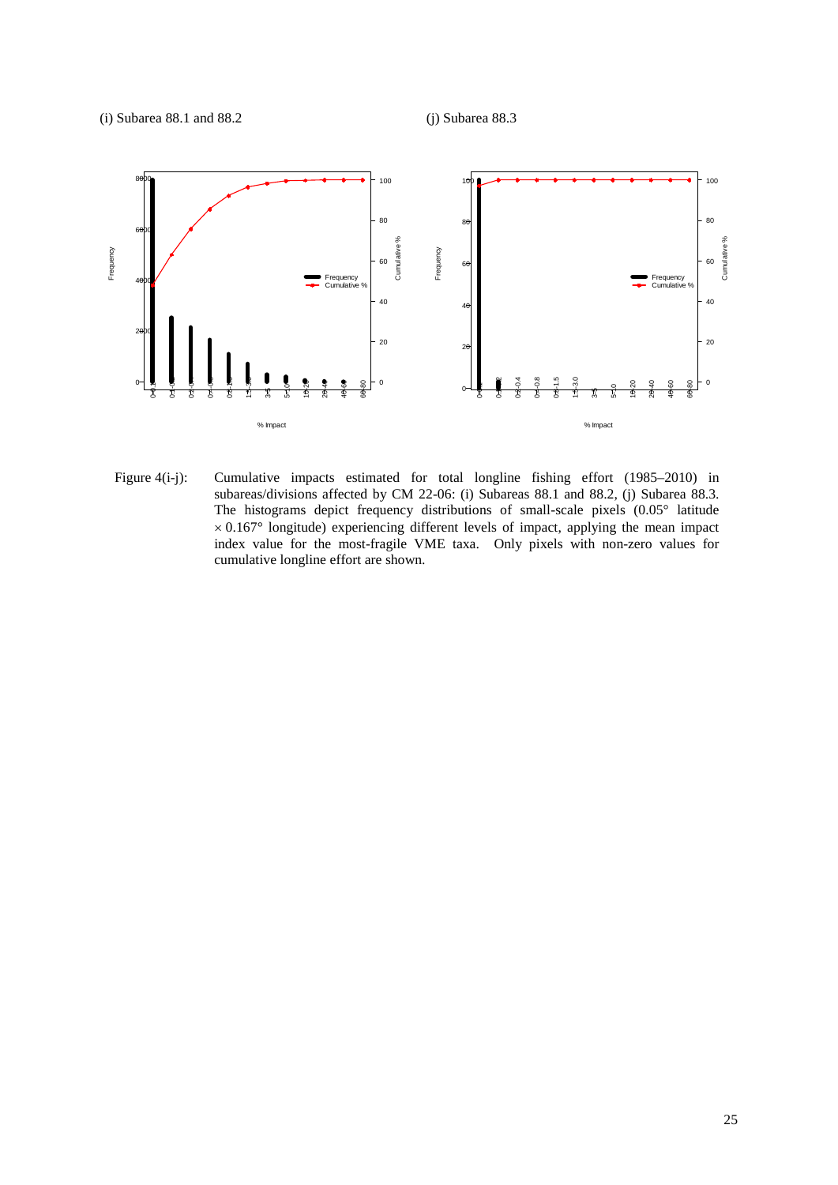

Figure 4(i-j): Cumulative impacts estimated for total longline fishing effort (1985–2010) in subareas/divisions affected by CM 22-06: (i) Subareas 88.1 and 88.2, (j) Subarea 88.3. The histograms depict frequency distributions of small-scale pixels (0.05° latitude  $\times$  0.167 $\textdegree$  longitude) experiencing different levels of impact, applying the mean impact index value for the most-fragile VME taxa. Only pixels with non-zero values for cumulative longline effort are shown.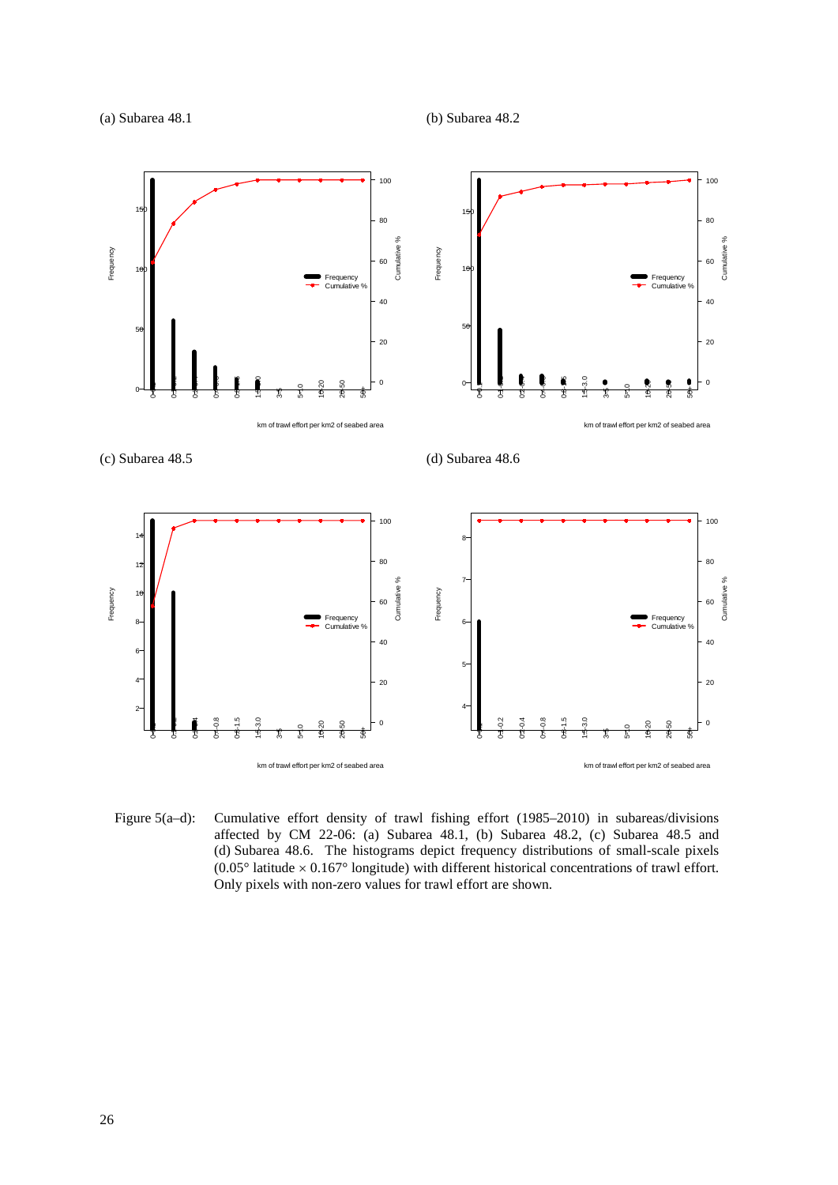

Figure 5(a–d): Cumulative effort density of trawl fishing effort (1985–2010) in subareas/divisions affected by CM 22-06: (a) Subarea 48.1, (b) Subarea 48.2, (c) Subarea 48.5 and (d) Subarea 48.6. The histograms depict frequency distributions of small-scale pixels (0.05° latitude  $\times$  0.167° longitude) with different historical concentrations of trawl effort. Only pixels with non-zero values for trawl effort are shown.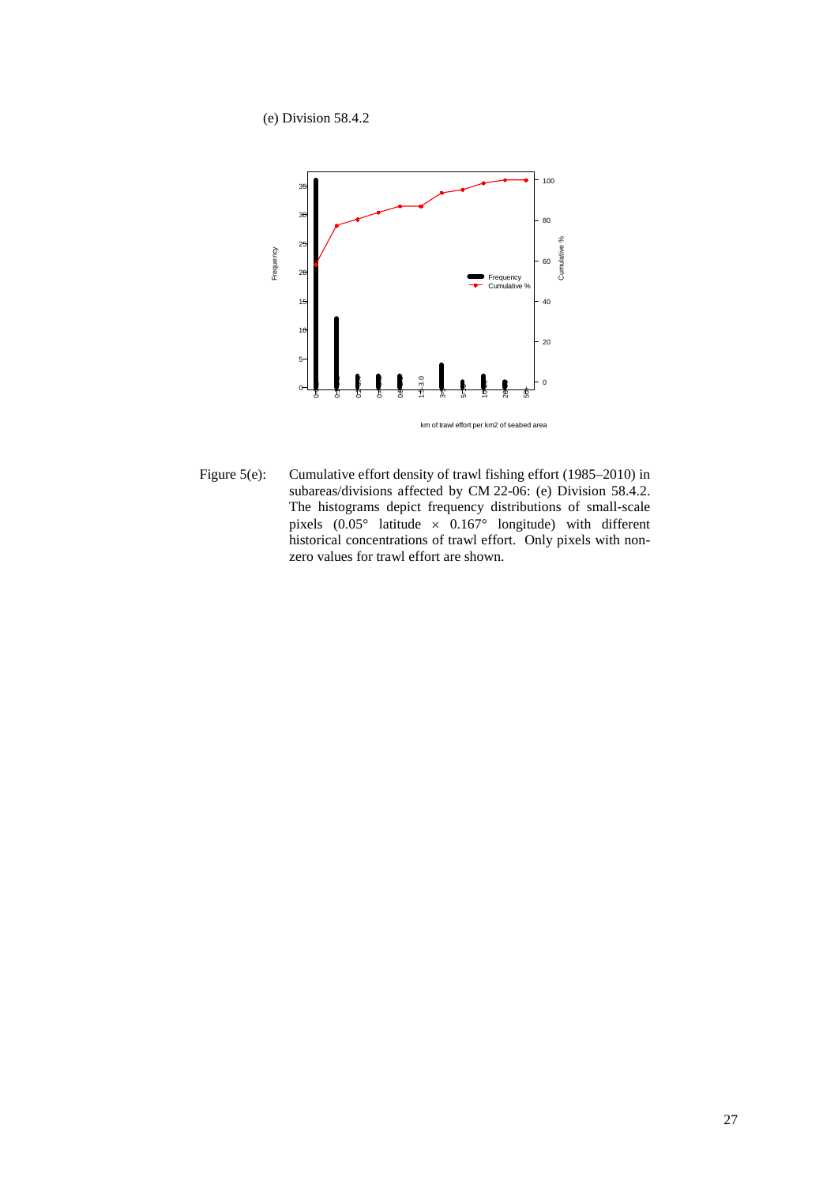(e) Division 58.4.2



Figure 5(e): Cumulative effort density of trawl fishing effort (1985–2010) in subareas/divisions affected by CM 22-06: (e) Division 58.4.2. The histograms depict frequency distributions of small-scale pixels  $(0.05^{\circ}$  latitude  $\times$  0.167° longitude) with different historical concentrations of trawl effort. Only pixels with nonzero values for trawl effort are shown.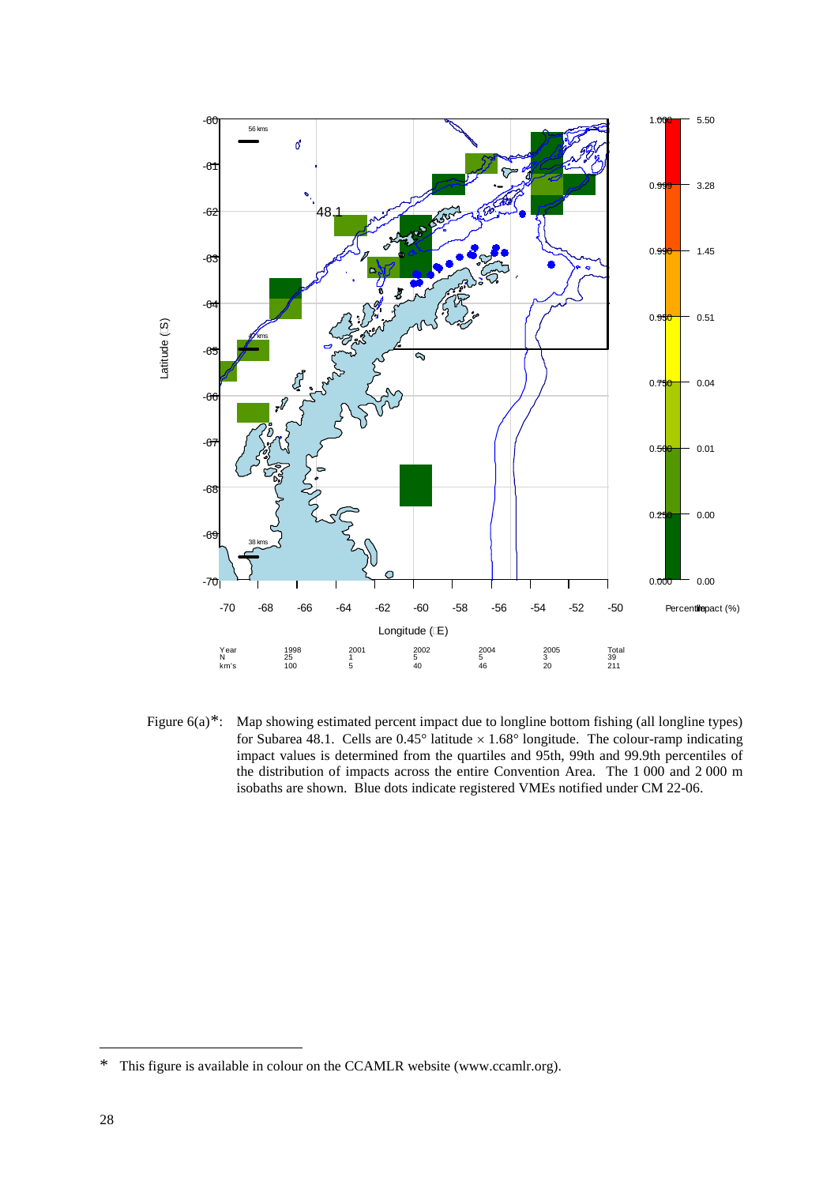

Figure  $6(a)^*$ : Map showing estimated percent impact due to longline bottom fishing (all longline types) for Subarea 48.1. Cells are  $0.45^{\circ}$  latitude  $\times 1.68^{\circ}$  longitude. The colour-ramp indicating impact values is determined from the quartiles and 95th, 99th and 99.9th percentiles of the distribution of impacts across the entire Convention Area. The 1 000 and 2 000 m isobaths are shown. Blue dots indicate registered VMEs notified under CM 22-06.

<span id="page-31-0"></span><sup>\*</sup> This figure is available in colour on the CCAMLR website (www.ccamlr.org).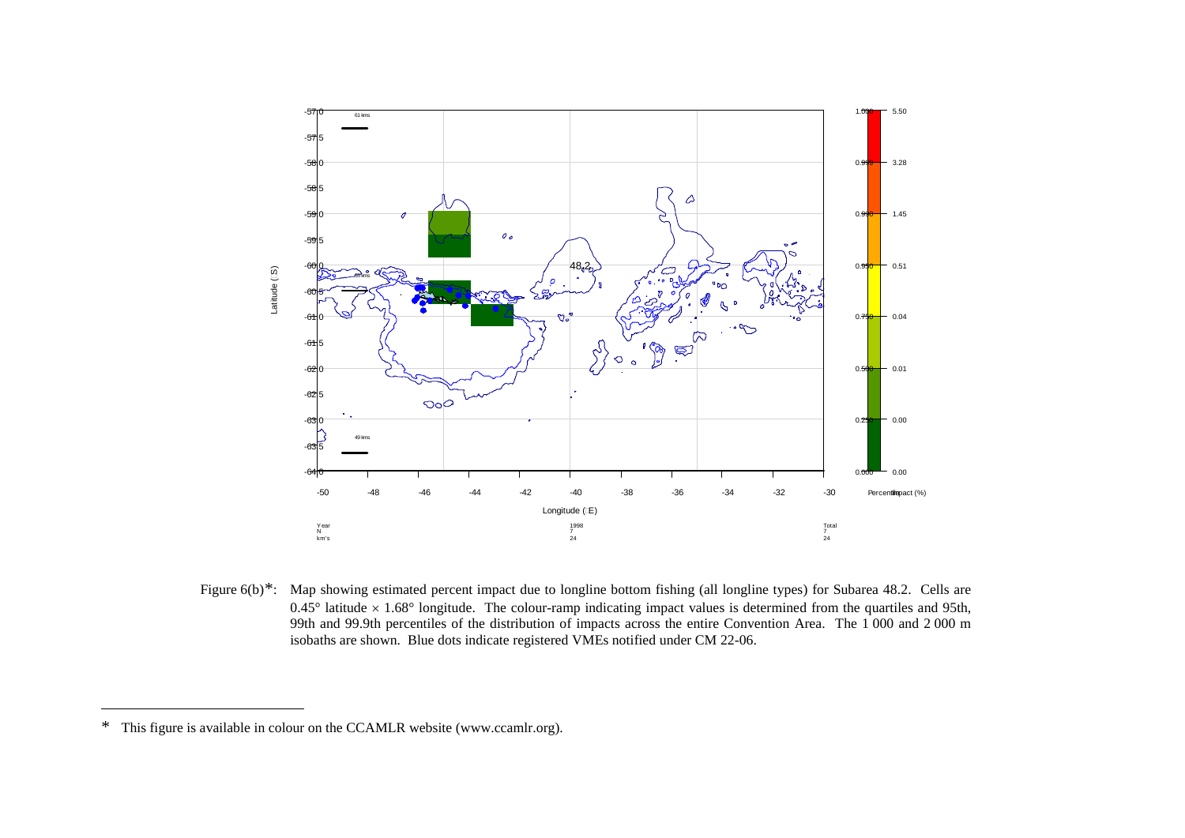<span id="page-32-0"></span>

Figure 6(b)<sup>[\\*](#page-32-0)</sup>: Map showing estimated percent impact due to longline bottom fishing (all longline types) for Subarea 48.2. Cells are  $0.45^{\circ}$  latitude  $\times$  1.68° longitude. The colour-ramp indicating impact values is determined from the quartiles and 95th, 99th and 99.9th percentiles of the distribution of impacts across the entire Convention Area. The 1 000 and 2 000 m isobaths are shown. Blue dots indicate registered VMEs notified under CM 22-06.

 $\overline{a}$ 

<sup>\*</sup> This figure is available in colour on the CCAMLR website (www.ccamlr.org).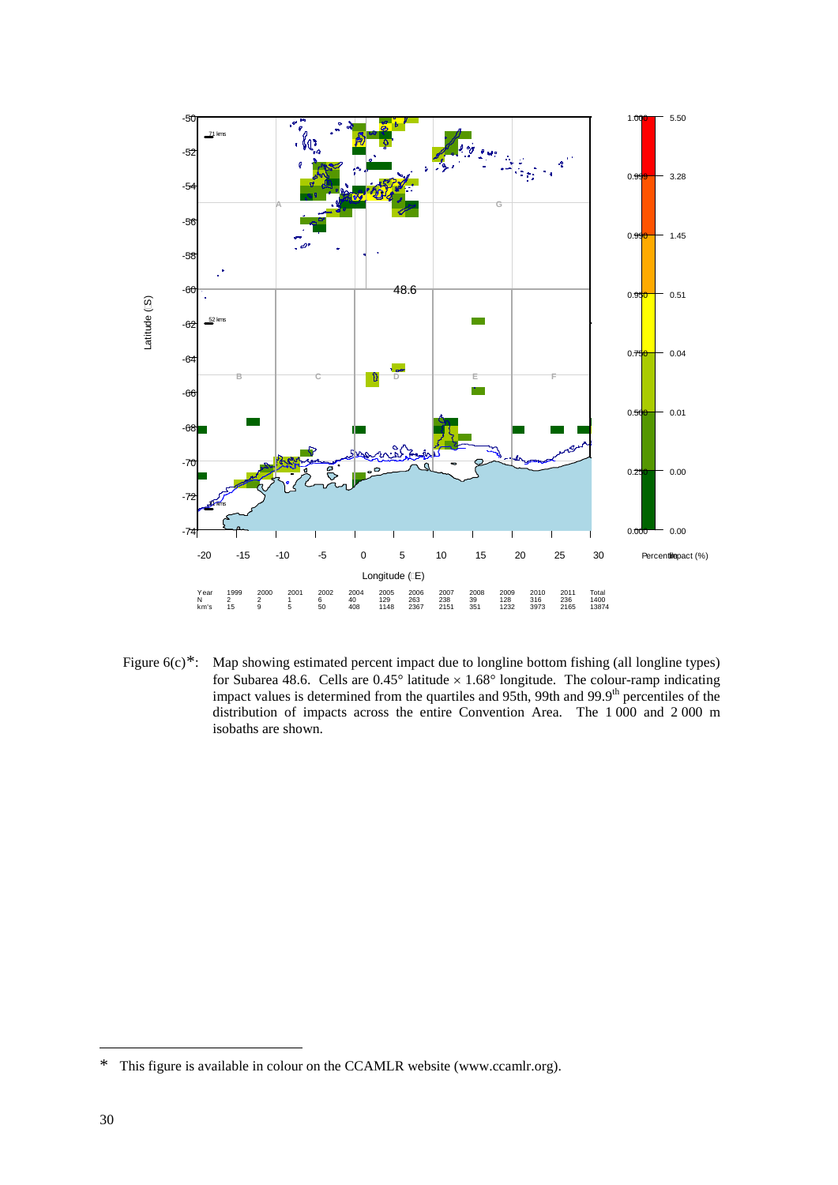

Figure 6(c)<sup>\*</sup>: Map showing estimated percent impact due to longline bottom fishing (all longline types) for Subarea 48.6. Cells are  $0.45^{\circ}$  latitude  $\times$  1.68° longitude. The colour-ramp indicating impact values is determined from the quartiles and 95th, 99th and 99.9<sup>th</sup> percentiles of the distribution of impacts across the entire Convention Area. The 1 000 and 2 000 m isobaths are shown.

<span id="page-33-0"></span><sup>\*</sup> This figure is available in colour on the CCAMLR website (www.ccamlr.org).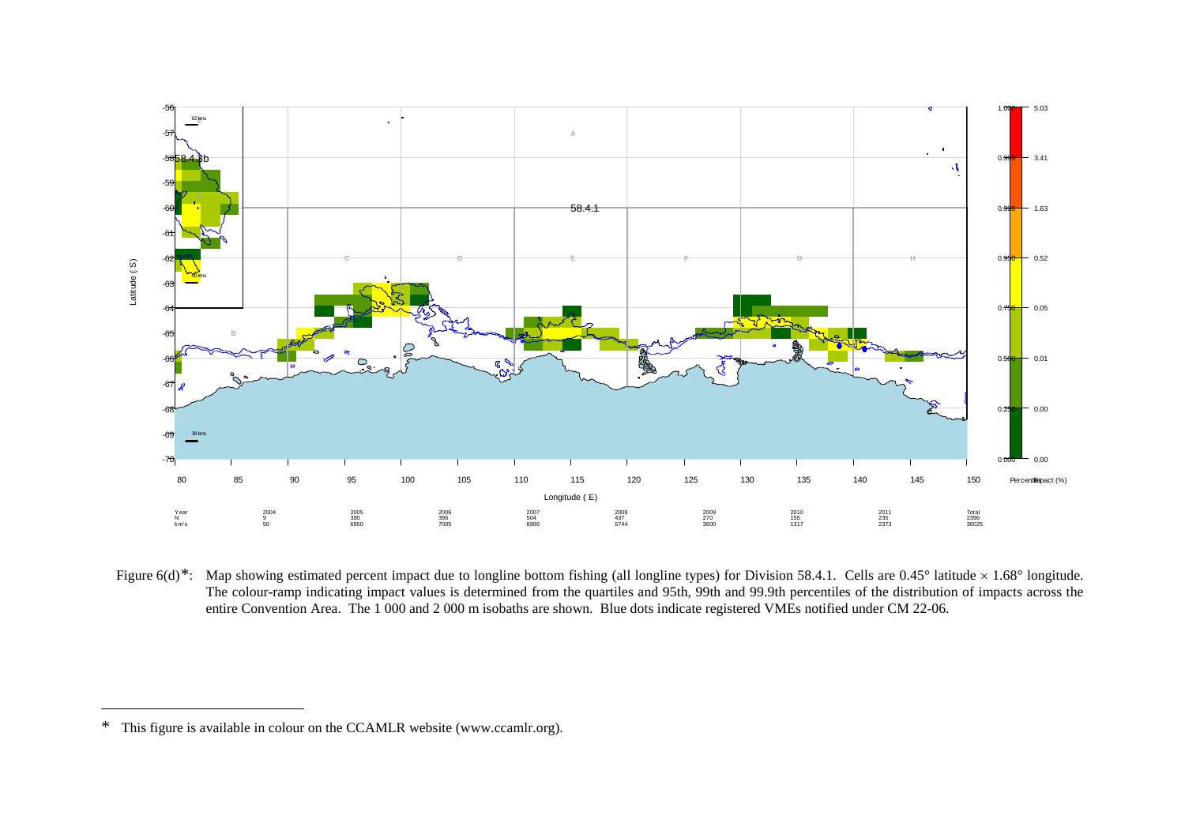<span id="page-34-0"></span>

Figure 6(d)[\\*](#page-34-0): Map showing estimated percent impact due to longline bottom fishing (all longline types) for Division 58.4.1. Cells are 0.45° latitude × 1.68° longitude. The colour-ramp indicating impact values is determined from the quartiles and 95th, 99th and 99.9th percentiles of the distribution of impacts across the entire Convention Area. The 1 000 and 2 000 m isobaths are shown. Blue dots indicate registered VMEs notified under CM 22-06.

 $\overline{a}$ 

<sup>\*</sup> This figure is available in colour on the CCAMLR website (www.ccamlr.org).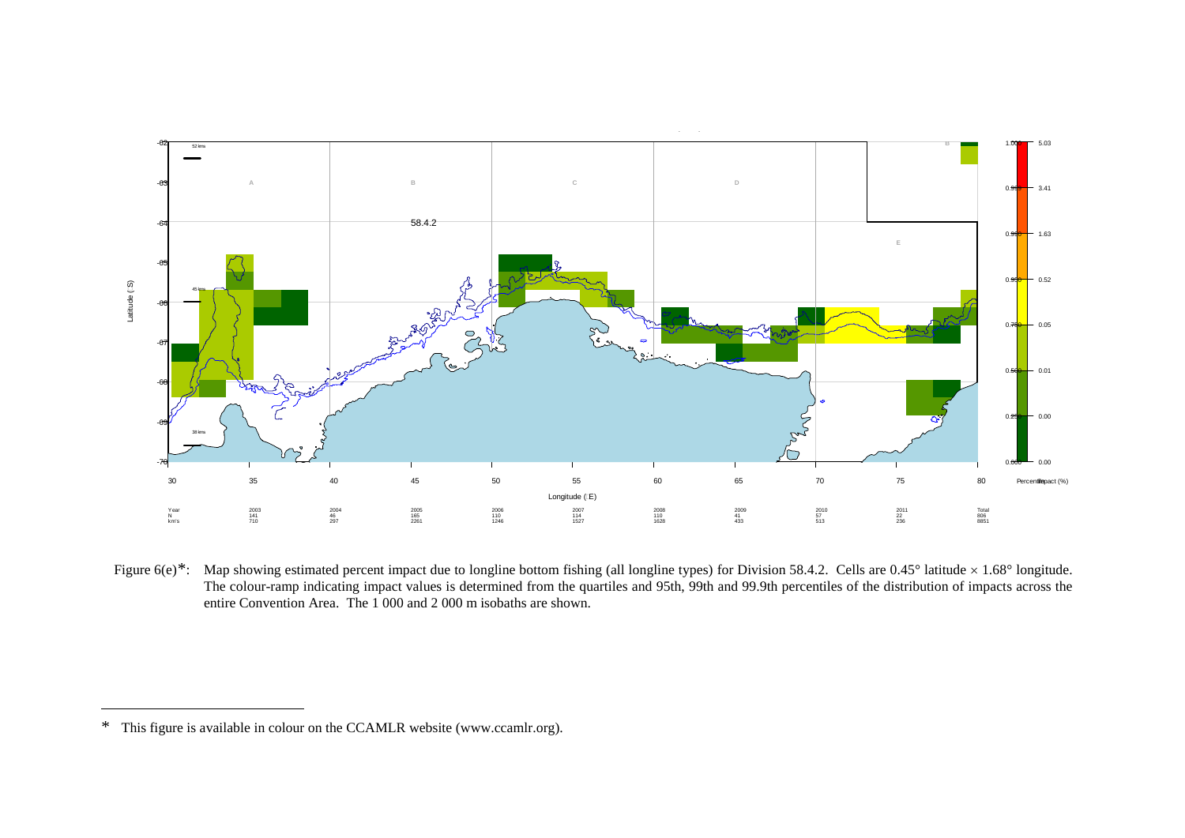<span id="page-35-0"></span>

Figure 6(e)[\\*](#page-35-0): Map showing estimated percent impact due to longline bottom fishing (all longline types) for Division 58.4.2. Cells are 0.45° latitude × 1.68° longitude. The colour-ramp indicating impact values is determined from the quartiles and 95th, 99th and 99.9th percentiles of the distribution of impacts across the entire Convention Area. The 1 000 and 2 000 m isobaths are shown.

 $\overline{a}$ 

<sup>\*</sup> This figure is available in colour on the CCAMLR website (www.ccamlr.org).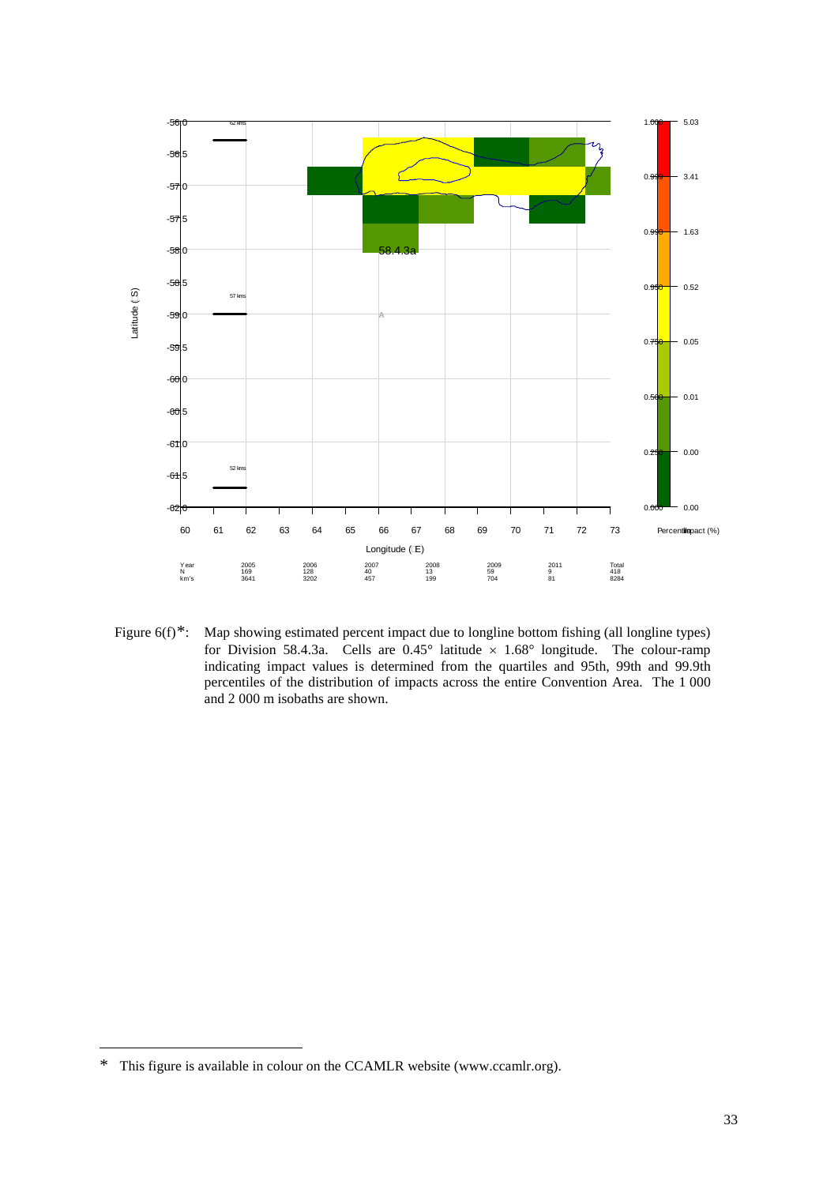

Figure 6(f)<sup>\*</sup>: Map showing estimated percent impact due to longline bottom fishing (all longline types) for Division 58.4.3a. Cells are  $0.45^{\circ}$  latitude  $\times$  1.68° longitude. The colour-ramp indicating impact values is determined from the quartiles and 95th, 99th and 99.9th percentiles of the distribution of impacts across the entire Convention Area. The 1 000 and 2 000 m isobaths are shown.

<span id="page-36-0"></span><sup>\*</sup> This figure is available in colour on the CCAMLR website (www.ccamlr.org).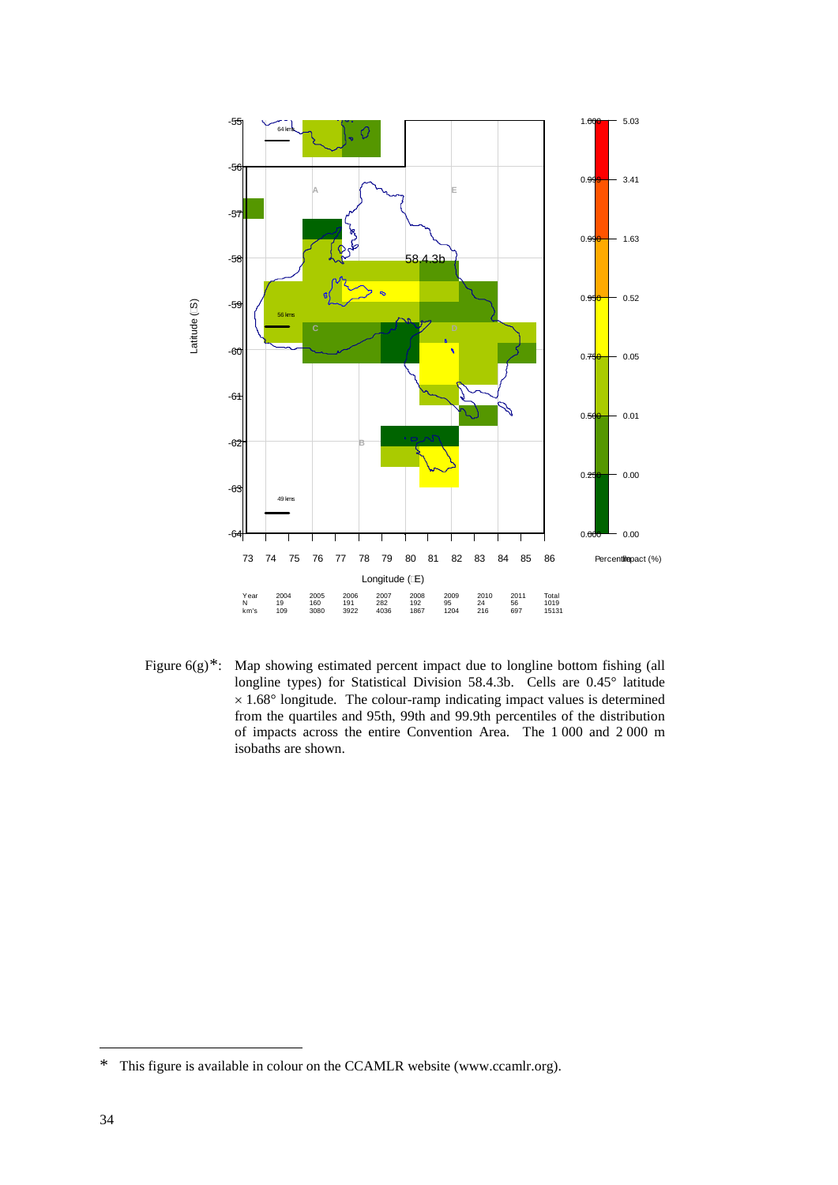

Figure 6(g)<sup>\*</sup>: Map showing estimated percent impact due to longline bottom fishing (all longline types) for Statistical Division 58.4.3b. Cells are 0.45° latitude  $\times$  1.68 $^{\circ}$  longitude. The colour-ramp indicating impact values is determined from the quartiles and 95th, 99th and 99.9th percentiles of the distribution of impacts across the entire Convention Area. The 1 000 and 2 000 m isobaths are shown.

<span id="page-37-0"></span><sup>\*</sup> This figure is available in colour on the CCAMLR website (www.ccamlr.org).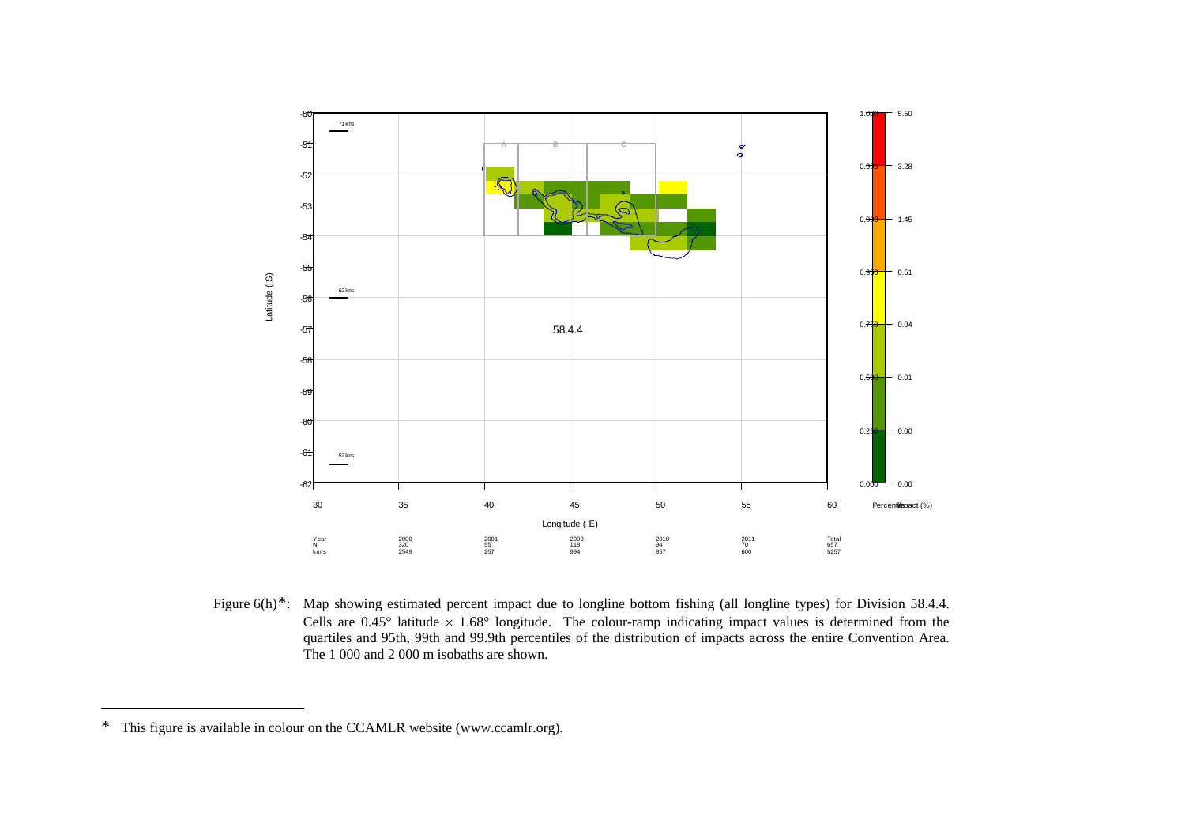<span id="page-38-0"></span>

Figure 6(h)<sup>\*</sup>: Map showing estimated percent impact due to longline bottom fishing (all longline types) for Division 58.4.4. Cells are  $0.45^{\circ}$  latitude  $\times$  1.68° longitude. The colour-ramp indicating impact values is determined from the quartiles and 95th, 99th and 99.9th percentiles of the distribution of impacts across the entire Convention Area. The 1 000 and 2 000 m isobaths are shown.

 $\overline{a}$ 

<sup>\*</sup> This figure is available in colour on the CCAMLR website (www.ccamlr.org).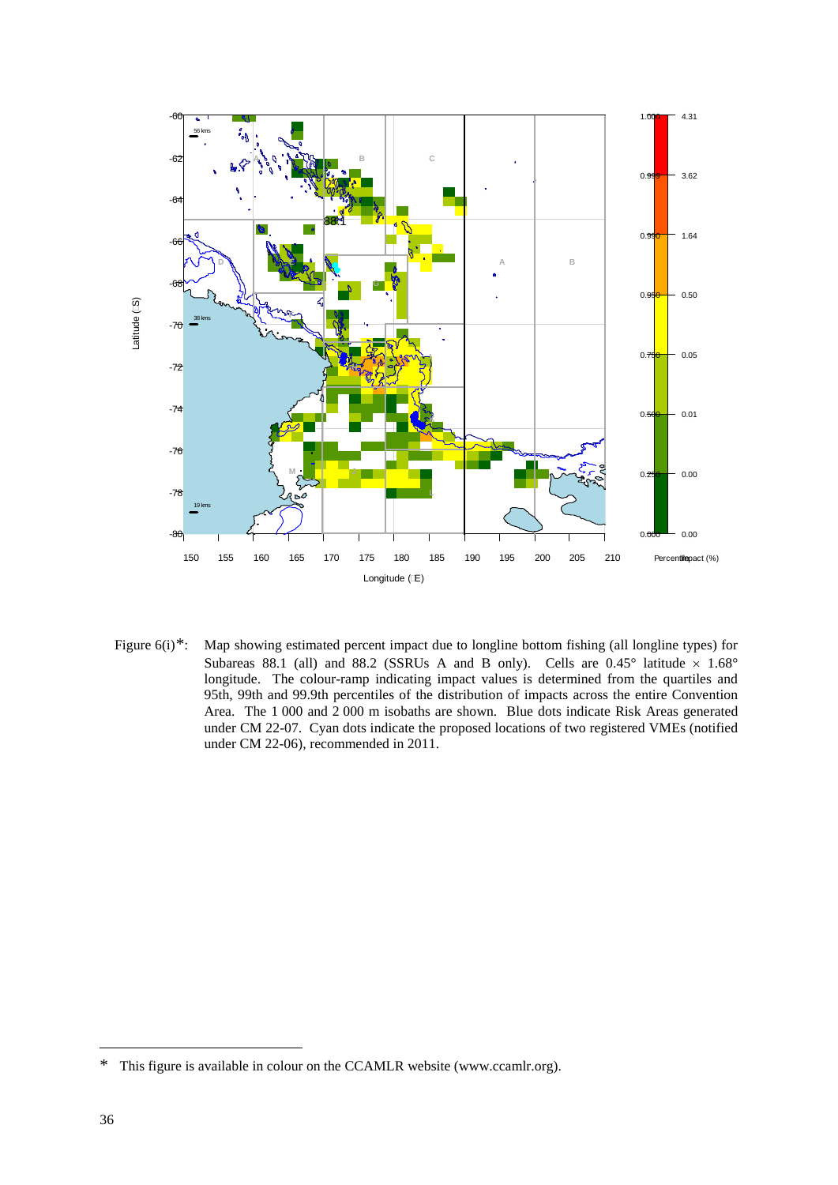

Figure 6(i)[\\*](#page-39-0): Map showing estimated percent impact due to longline bottom fishing (all longline types) for Subareas 88.1 (all) and 88.2 (SSRUs A and B only). Cells are  $0.45^{\circ}$  latitude  $\times$  1.68° longitude. The colour-ramp indicating impact values is determined from the quartiles and 95th, 99th and 99.9th percentiles of the distribution of impacts across the entire Convention Area. The 1 000 and 2 000 m isobaths are shown. Blue dots indicate Risk Areas generated under CM 22-07. Cyan dots indicate the proposed locations of two registered VMEs (notified under CM 22-06), recommended in 2011.

<span id="page-39-0"></span><sup>\*</sup> This figure is available in colour on the CCAMLR website (www.ccamlr.org).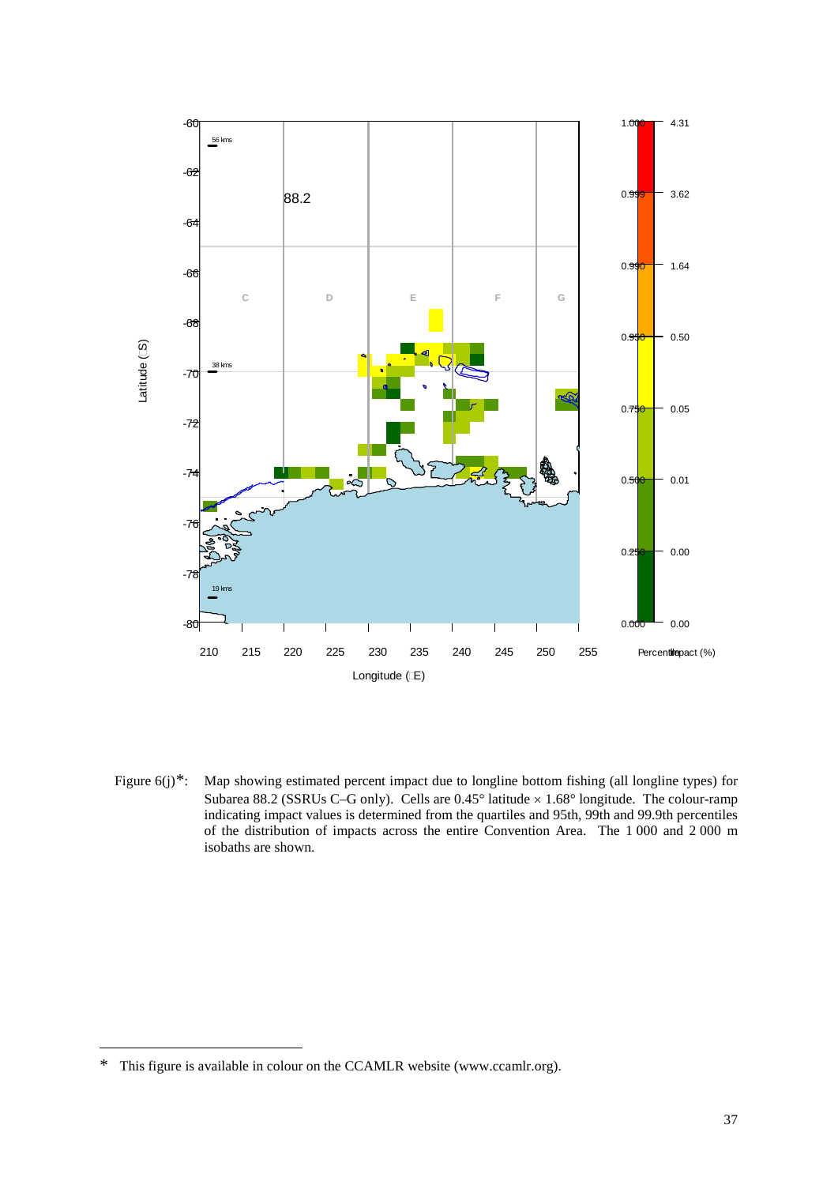

Figure 6(j)[\\*](#page-40-0): Map showing estimated percent impact due to longline bottom fishing (all longline types) for Subarea 88.2 (SSRUs C–G only). Cells are 0.45° latitude × 1.68° longitude. The colour-ramp indicating impact values is determined from the quartiles and 95th, 99th and 99.9th percentiles of the distribution of impacts across the entire Convention Area. The 1 000 and 2 000 m isobaths are shown.

<span id="page-40-0"></span><sup>\*</sup> This figure is available in colour on the CCAMLR website (www.ccamlr.org).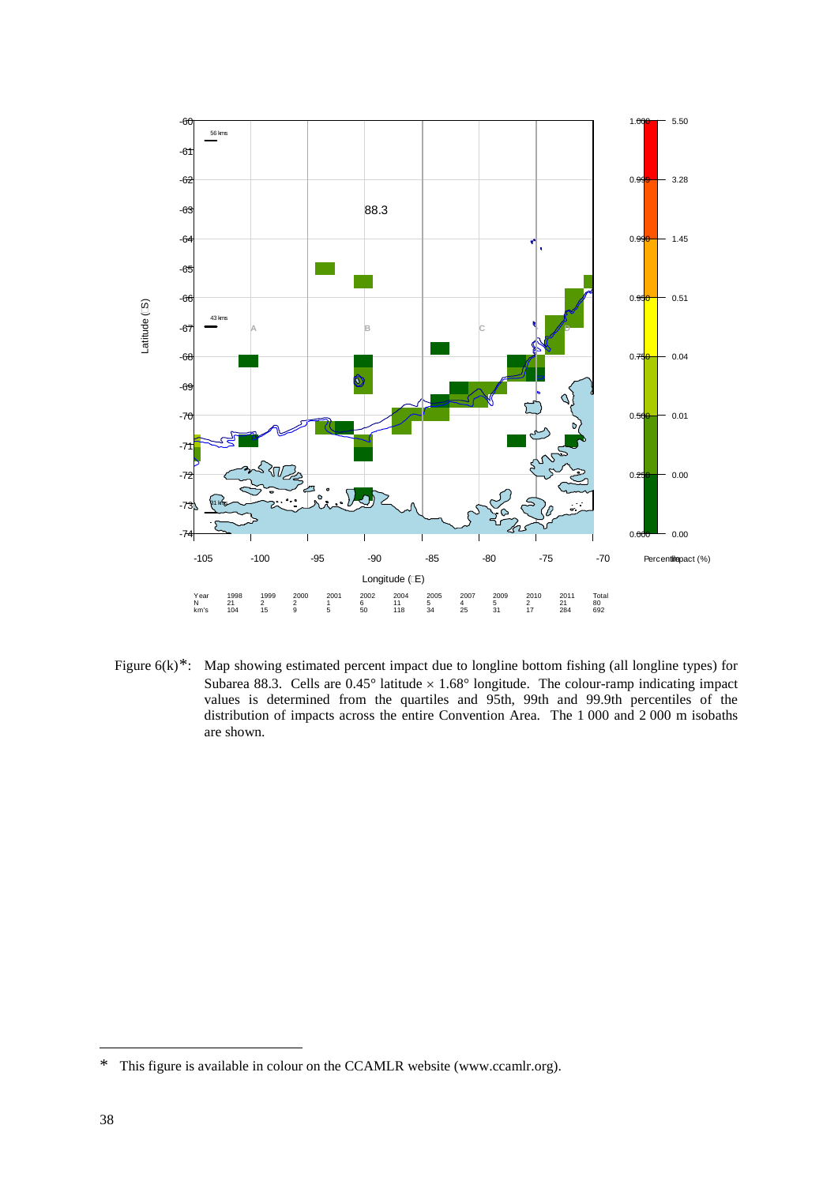

Figure 6(k)<sup>[\\*](#page-41-0)</sup>: Map showing estimated percent impact due to longline bottom fishing (all longline types) for Subarea 88.3. Cells are  $0.45^{\circ}$  latitude  $\times$  1.68° longitude. The colour-ramp indicating impact values is determined from the quartiles and 95th, 99th and 99.9th percentiles of the distribution of impacts across the entire Convention Area. The 1 000 and 2 000 m isobaths are shown.

<span id="page-41-0"></span><sup>\*</sup> This figure is available in colour on the CCAMLR website (www.ccamlr.org).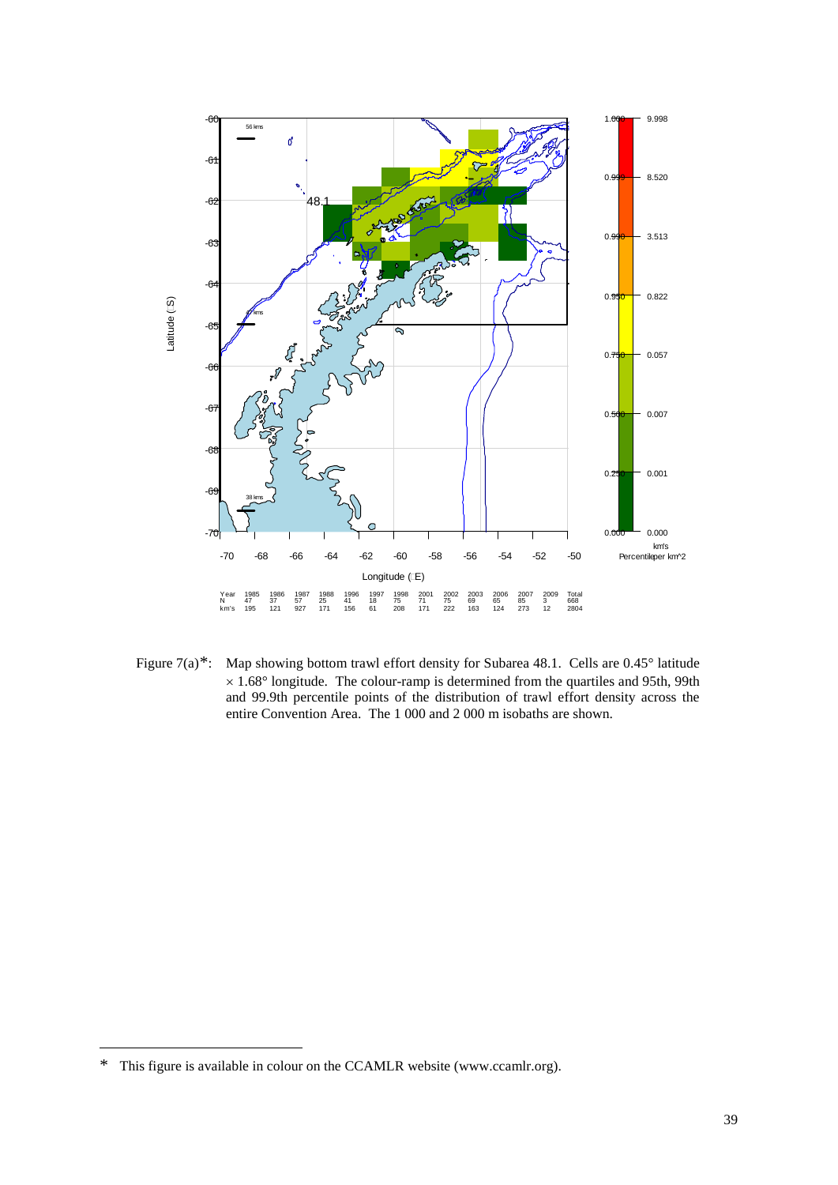

Figure 7(a)[\\*:](#page-42-0) Map showing bottom trawl effort density for Subarea 48.1. Cells are 0.45° latitude  $\times$  1.68 $^{\circ}$  longitude. The colour-ramp is determined from the quartiles and 95th, 99th and 99.9th percentile points of the distribution of trawl effort density across the entire Convention Area. The 1 000 and 2 000 m isobaths are shown.

<span id="page-42-0"></span><sup>\*</sup> This figure is available in colour on the CCAMLR website (www.ccamlr.org).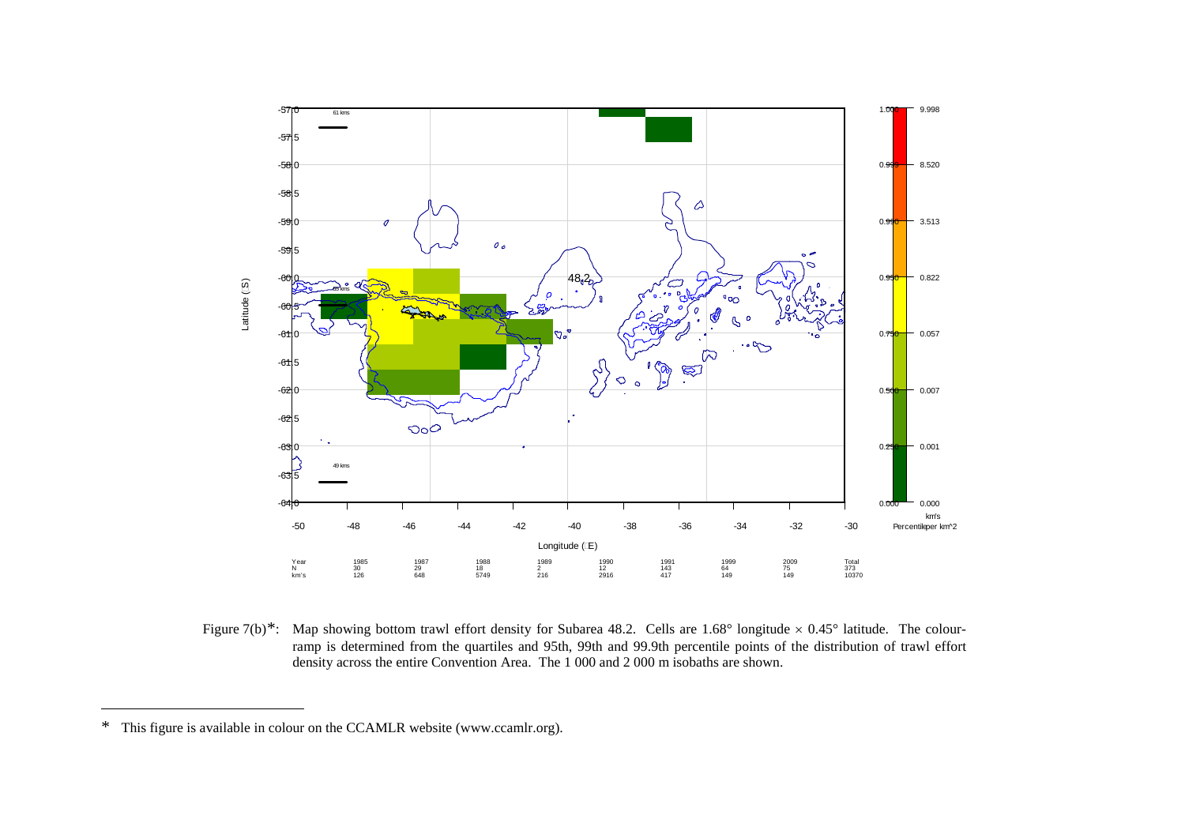<span id="page-43-0"></span>

Figure 7(b)<sup>\*</sup>: Map showing bottom trawl effort density for Subarea 48.2. Cells are 1.68° longitude  $\times$  0.45° latitude. The colourramp is determined from the quartiles and 95th, 99th and 99.9th percentile points of the distribution of trawl effort density across the entire Convention Area. The 1 000 and 2 000 m isobaths are shown.

 $\overline{a}$ 

<sup>\*</sup> This figure is available in colour on the CCAMLR website (www.ccamlr.org).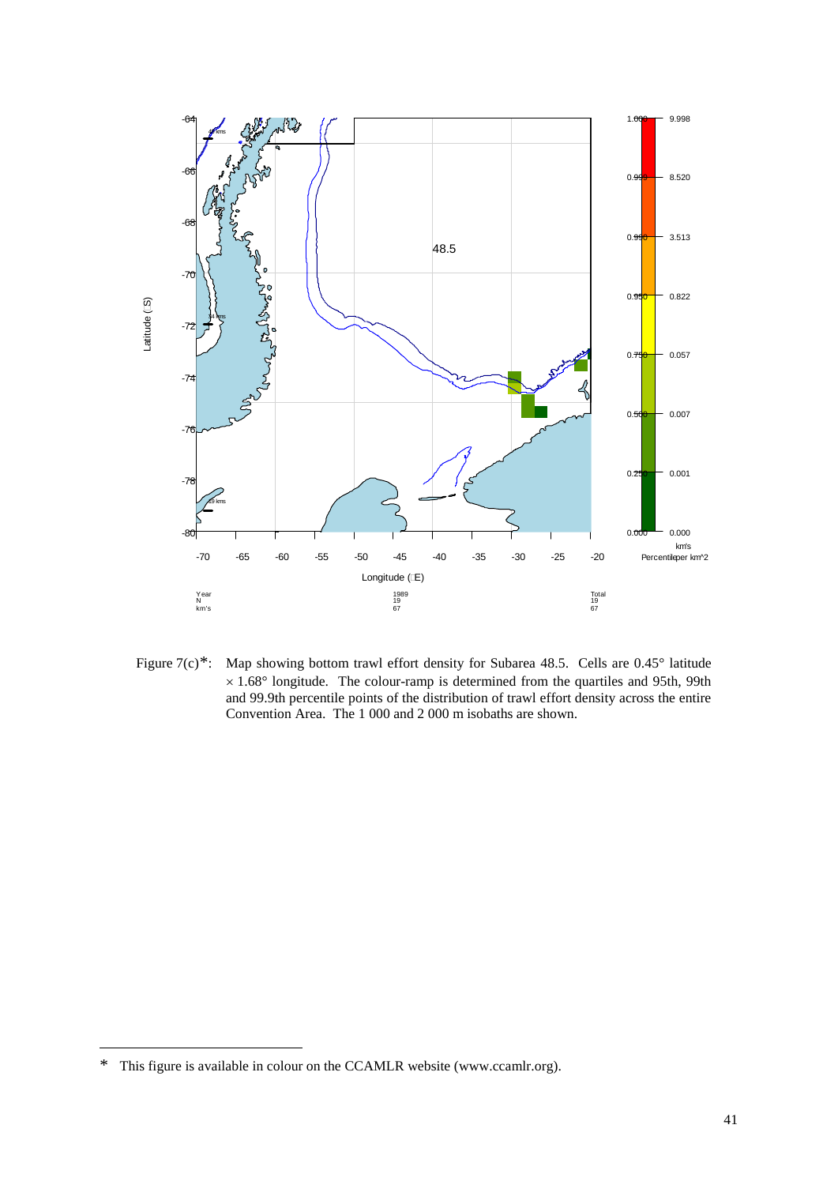

Figure 7(c)[\\*:](#page-44-0) Map showing bottom trawl effort density for Subarea 48.5. Cells are 0.45° latitude  $\times$  1.68 $^{\circ}$  longitude. The colour-ramp is determined from the quartiles and 95th, 99th and 99.9th percentile points of the distribution of trawl effort density across the entire Convention Area. The 1 000 and 2 000 m isobaths are shown.

<span id="page-44-0"></span><sup>\*</sup> This figure is available in colour on the CCAMLR website (www.ccamlr.org).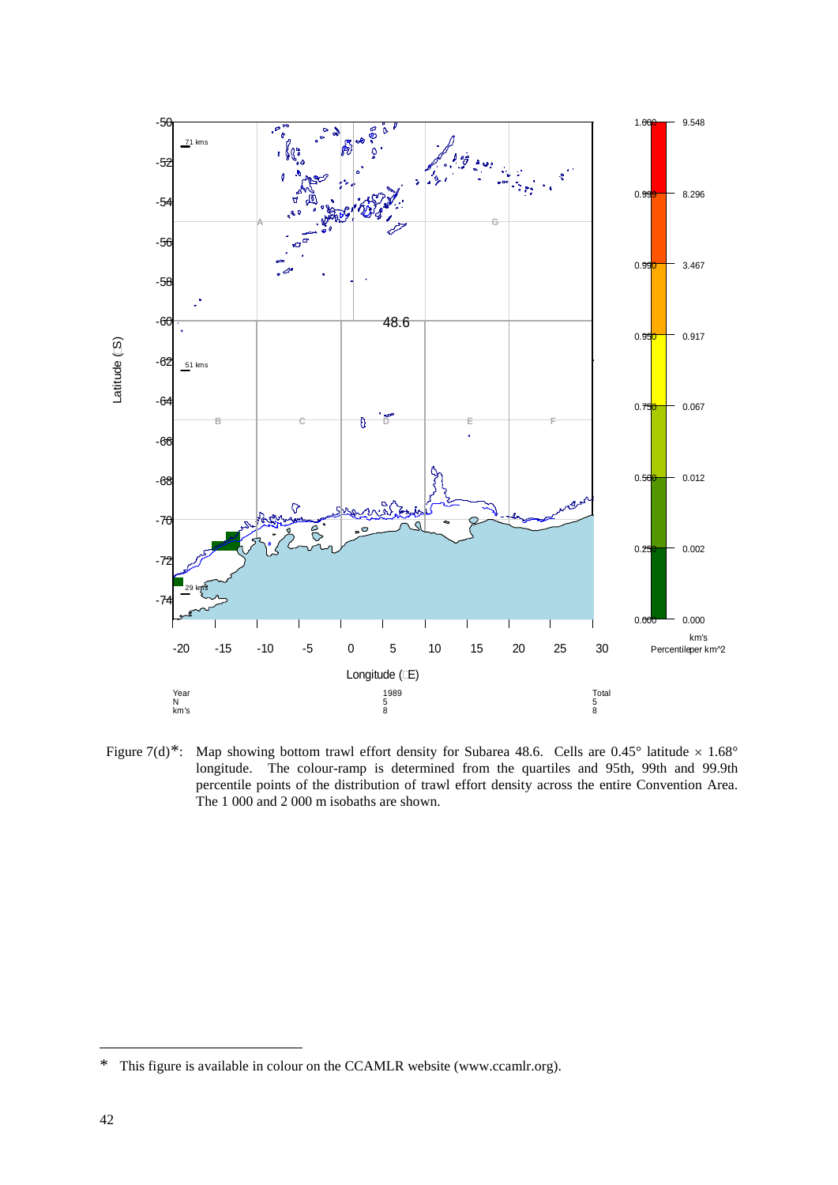

Figure 7(d)[\\*](#page-45-0): Map showing bottom trawl effort density for Subarea 48.6. Cells are  $0.45^{\circ}$  latitude  $\times 1.68^{\circ}$ longitude. The colour-ramp is determined from the quartiles and 95th, 99th and 99.9th percentile points of the distribution of trawl effort density across the entire Convention Area. The 1 000 and 2 000 m isobaths are shown.

<span id="page-45-0"></span><sup>\*</sup> This figure is available in colour on the CCAMLR website (www.ccamlr.org).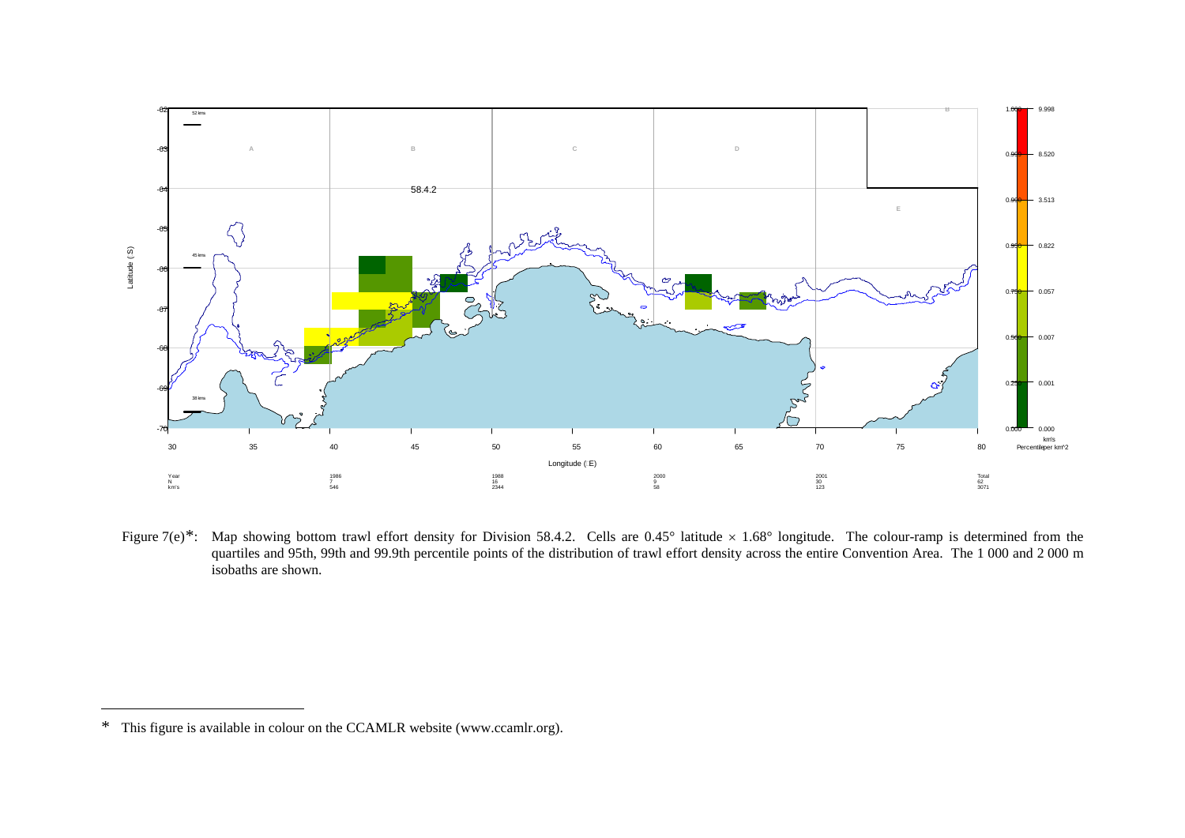<span id="page-46-0"></span>

Figure 7(e)[\\*:](#page-46-0) Map showing bottom trawl effort density for Division 58.4.2. Cells are 0.45° latitude × 1.68° longitude. The colour-ramp is determined from the quartiles and 95th, 99th and 99.9th percentile points of the distribution of trawl effort density across the entire Convention Area. The 1 000 and 2 000 m isobaths are shown.

 $\overline{a}$ 

<sup>\*</sup> This figure is available in colour on the CCAMLR website (www.ccamlr.org).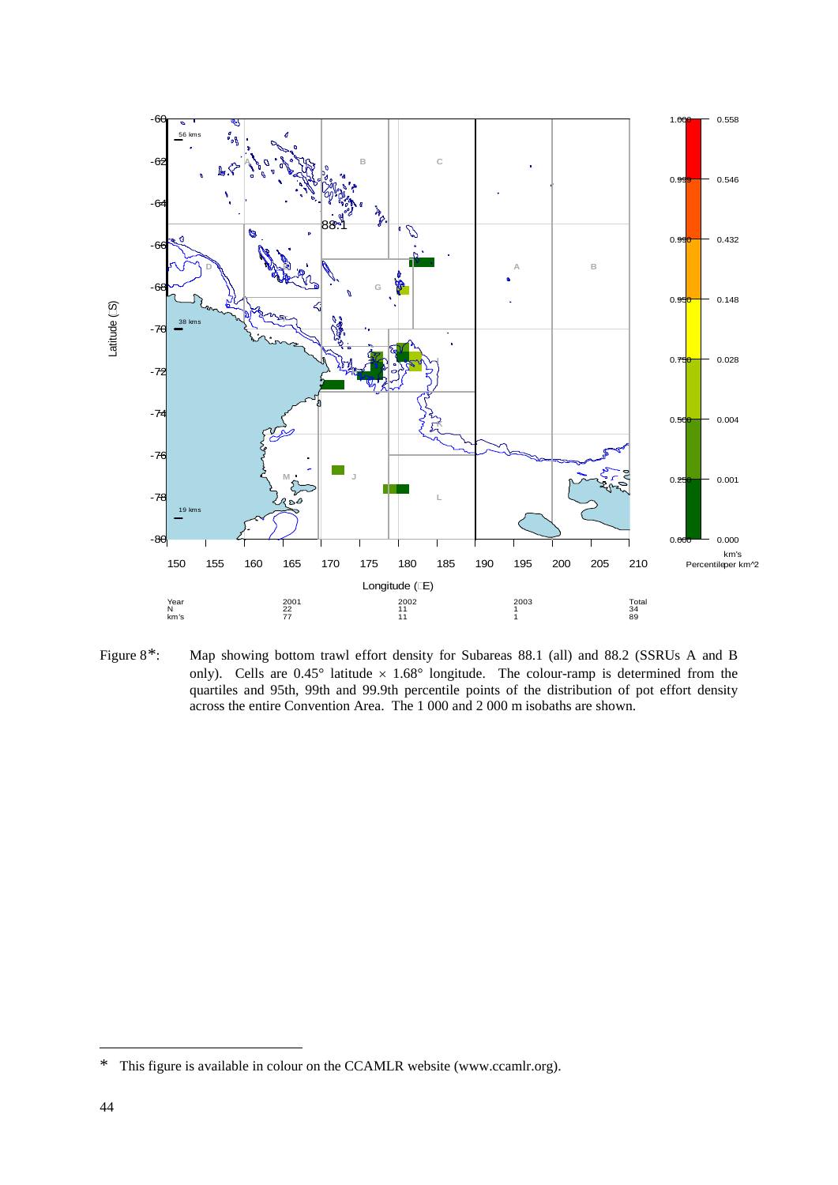

Figure 8[\\*](#page-47-0): Map showing bottom trawl effort density for Subareas 88.1 (all) and 88.2 (SSRUs A and B only). Cells are  $0.45^{\circ}$  latitude  $\times$  1.68° longitude. The colour-ramp is determined from the quartiles and 95th, 99th and 99.9th percentile points of the distribution of pot effort density across the entire Convention Area. The 1 000 and 2 000 m isobaths are shown.

<span id="page-47-0"></span><sup>\*</sup> This figure is available in colour on the CCAMLR website (www.ccamlr.org).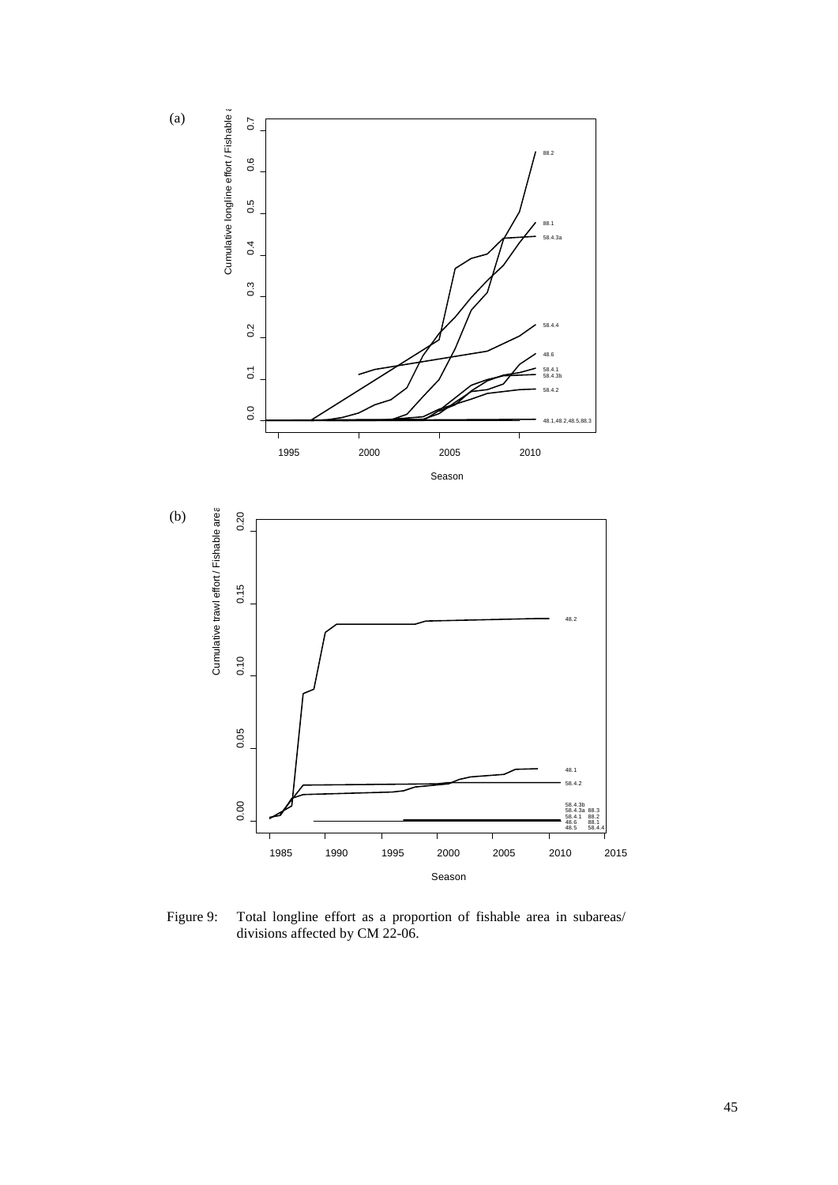

Figure 9: Total longline effort as a proportion of fishable area in subareas/ divisions affected by CM 22-06.

(a)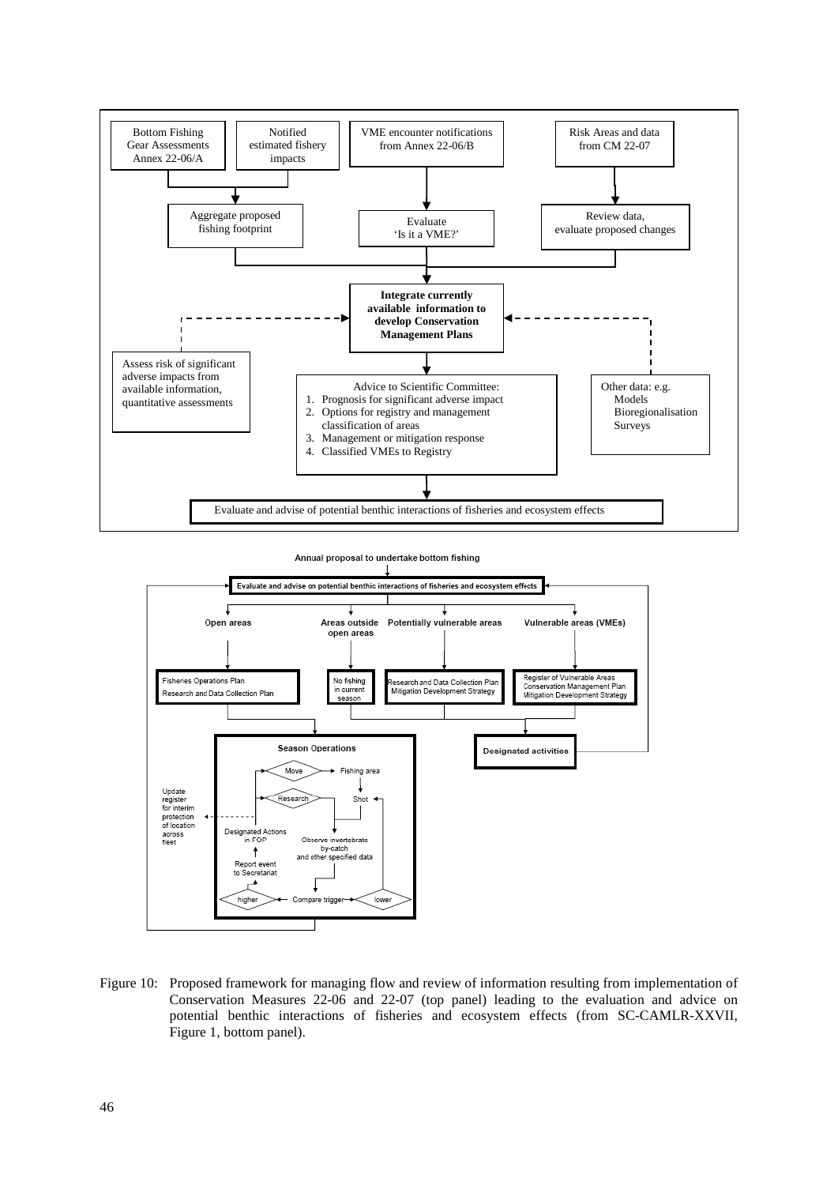

Annual proposal to undertake bottom fishing



Figure 10: Proposed framework for managing flow and review of information resulting from implementation of Conservation Measures 22-06 and 22-07 (top panel) leading to the evaluation and advice on potential benthic interactions of fisheries and ecosystem effects (from SC-CAMLR-XXVII, Figure 1, bottom panel).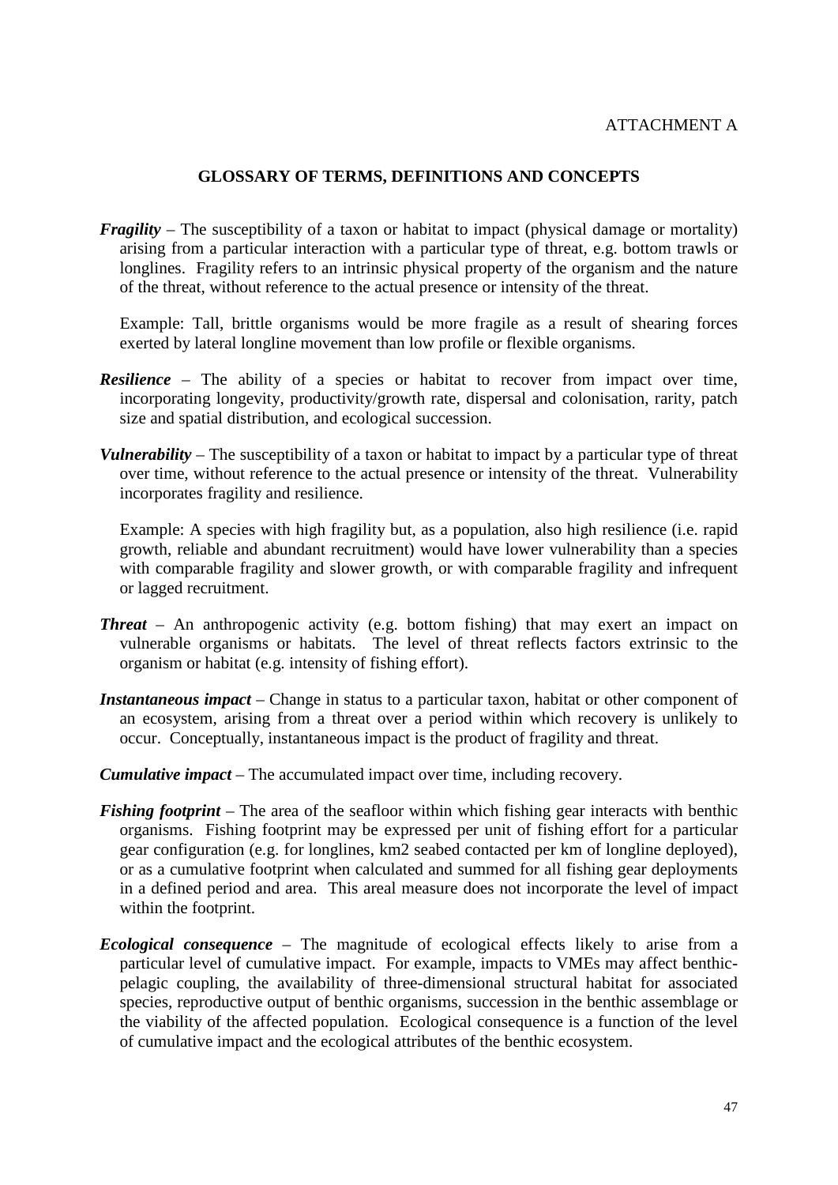#### **GLOSSARY OF TERMS, DEFINITIONS AND CONCEPTS**

<span id="page-50-0"></span>*Fragility* – The susceptibility of a taxon or habitat to impact (physical damage or mortality) arising from a particular interaction with a particular type of threat, e.g. bottom trawls or longlines. Fragility refers to an intrinsic physical property of the organism and the nature of the threat, without reference to the actual presence or intensity of the threat.

Example: Tall, brittle organisms would be more fragile as a result of shearing forces exerted by lateral longline movement than low profile or flexible organisms.

- *Resilience* The ability of a species or habitat to recover from impact over time, incorporating longevity, productivity/growth rate, dispersal and colonisation, rarity, patch size and spatial distribution, and ecological succession.
- *Vulnerability* The susceptibility of a taxon or habitat to impact by a particular type of threat over time, without reference to the actual presence or intensity of the threat. Vulnerability incorporates fragility and resilience.

Example: A species with high fragility but, as a population, also high resilience (i.e. rapid growth, reliable and abundant recruitment) would have lower vulnerability than a species with comparable fragility and slower growth, or with comparable fragility and infrequent or lagged recruitment.

- *Threat* An anthropogenic activity (e.g. bottom fishing) that may exert an impact on vulnerable organisms or habitats. The level of threat reflects factors extrinsic to the organism or habitat (e.g. intensity of fishing effort).
- *Instantaneous impact* Change in status to a particular taxon, habitat or other component of an ecosystem, arising from a threat over a period within which recovery is unlikely to occur. Conceptually, instantaneous impact is the product of fragility and threat.
- *Cumulative impact* The accumulated impact over time, including recovery.
- *Fishing footprint* The area of the seafloor within which fishing gear interacts with benthic organisms. Fishing footprint may be expressed per unit of fishing effort for a particular gear configuration (e.g. for longlines, km2 seabed contacted per km of longline deployed), or as a cumulative footprint when calculated and summed for all fishing gear deployments in a defined period and area. This areal measure does not incorporate the level of impact within the footprint.
- *Ecological consequence* The magnitude of ecological effects likely to arise from a particular level of cumulative impact. For example, impacts to VMEs may affect benthicpelagic coupling, the availability of three-dimensional structural habitat for associated species, reproductive output of benthic organisms, succession in the benthic assemblage or the viability of the affected population. Ecological consequence is a function of the level of cumulative impact and the ecological attributes of the benthic ecosystem.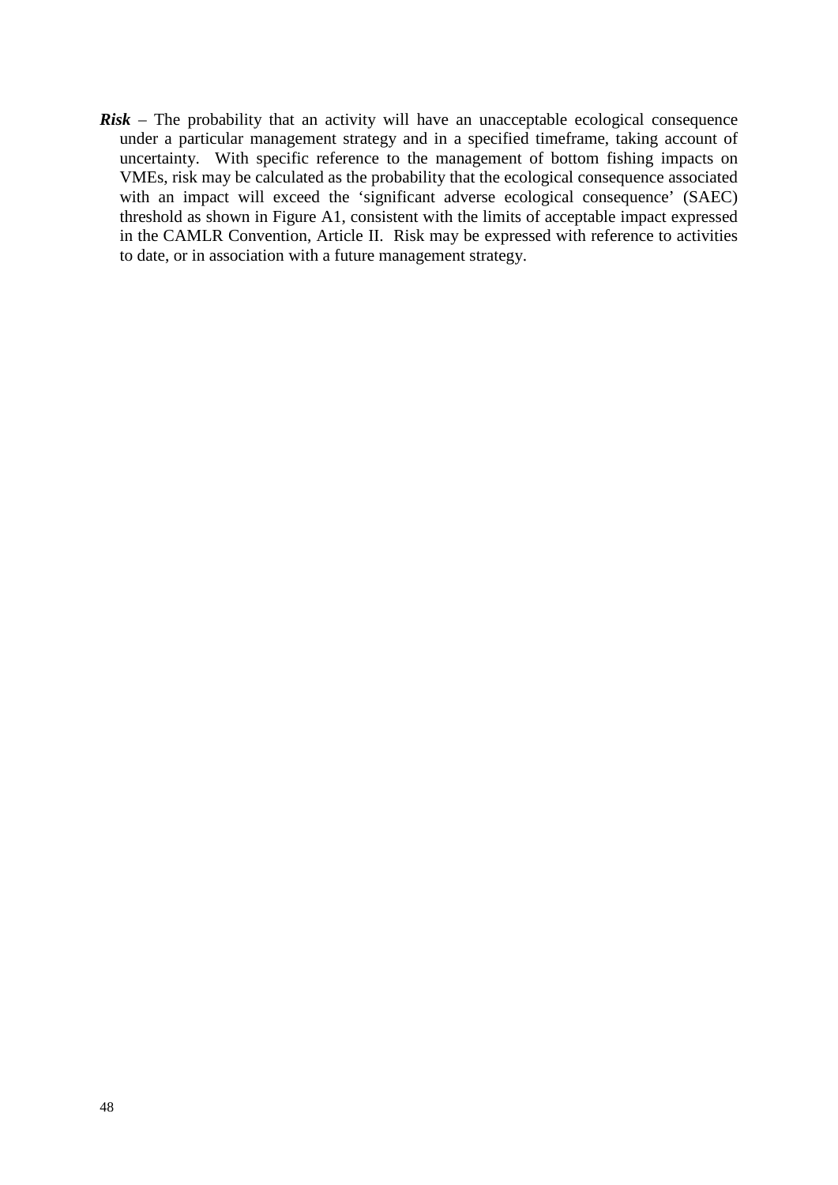*Risk* – The probability that an activity will have an unacceptable ecological consequence under a particular management strategy and in a specified timeframe, taking account of uncertainty. With specific reference to the management of bottom fishing impacts on VMEs, risk may be calculated as the probability that the ecological consequence associated with an impact will exceed the 'significant adverse ecological consequence' (SAEC) threshold as shown in Figure A1, consistent with the limits of acceptable impact expressed in the CAMLR Convention, Article II. Risk may be expressed with reference to activities to date, or in association with a future management strategy.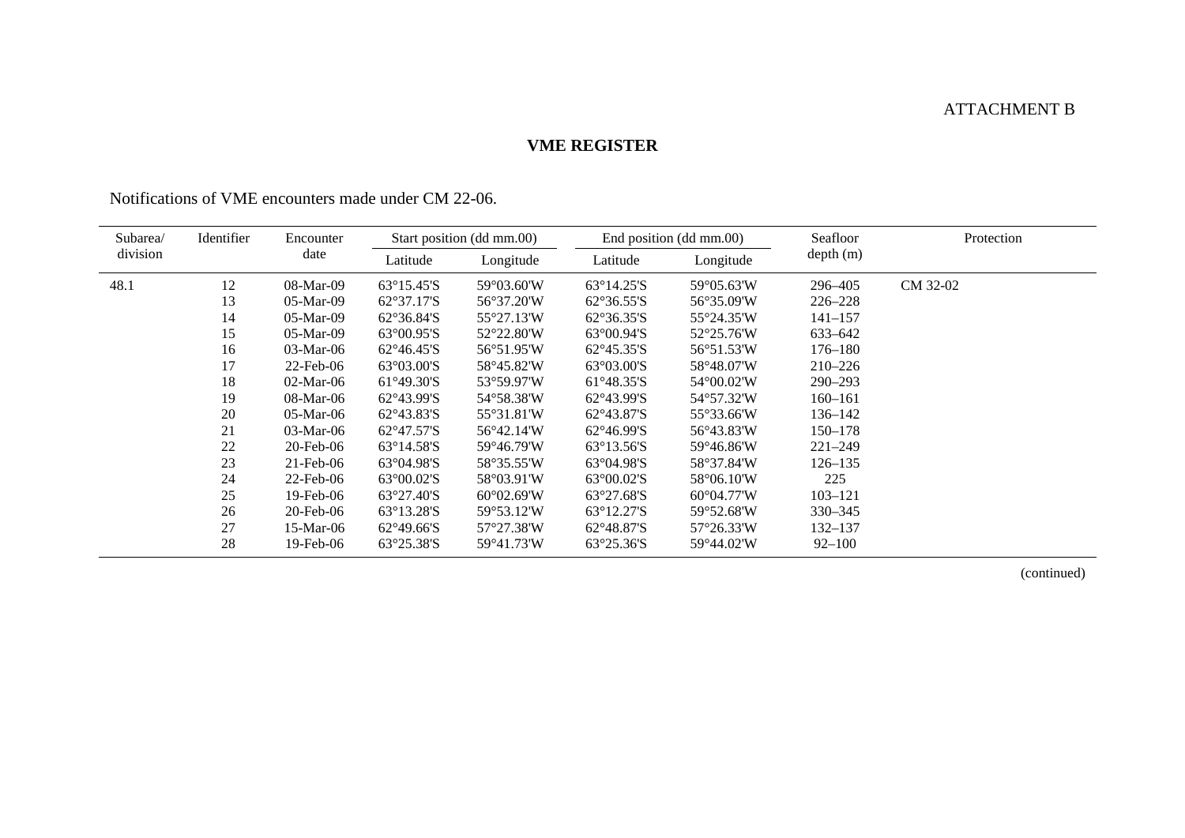## ATTACHMENT B

## **VME REGISTER**

| Subarea/<br>division | Identifier |                 | Encounter                  |                            | Start position (dd mm.00)  |                             | End position (dd mm.00) | Seafloor | Protection |
|----------------------|------------|-----------------|----------------------------|----------------------------|----------------------------|-----------------------------|-------------------------|----------|------------|
|                      |            | date            | Latitude                   | Longitude                  | Latitude                   | Longitude                   | depth(m)                |          |            |
| 48.1                 | 12         | 08-Mar-09       | $63^{\circ}15.45^{\circ}S$ | 59°03.60'W                 | $63^{\circ}14.25^{\circ}S$ | 59°05.63'W                  | 296–405                 | CM 32-02 |            |
|                      | 13         | $05-Mar-09$     | $62^{\circ}37.17$ 'S       | 56°37.20'W                 | $62^{\circ}36.55^{\circ}S$ | 56°35.09'W                  | $226 - 228$             |          |            |
|                      | 14         | $05-Mar-09$     | $62^{\circ}36.84^{\circ}S$ | 55°27.13'W                 | $62^{\circ}36.35^{\circ}S$ | 55°24.35'W                  | $141 - 157$             |          |            |
|                      | 15         | 05-Mar-09       | $63^{\circ}00.95^{\circ}S$ | 52°22.80'W                 | $63^{\circ}00.94^{\circ}S$ | 52°25.76'W                  | 633-642                 |          |            |
|                      | 16         | $03$ -Mar-06    | $62^{\circ}46.45^{\circ}S$ | 56°51.95'W                 | $62^{\circ}45.35^{\circ}S$ | 56°51.53°W                  | $176 - 180$             |          |            |
|                      | 17         | $22$ -Feb-06    | $63^{\circ}03.00^{\circ}S$ | 58°45.82'W                 | $63^{\circ}03.00^{\circ}S$ | 58°48.07'W                  | $210 - 226$             |          |            |
|                      | 18         | $02$ -Mar-06    | $61^{\circ}49.30^{\circ}S$ | 53°59.97'W                 | $61^{\circ}48.35^{\circ}S$ | 54°00.02'W                  | $290 - 293$             |          |            |
|                      | 19         | 08-Mar-06       | $62^{\circ}43.99^{\circ}S$ | 54°58.38'W                 | $62^{\circ}43.99^{\circ}S$ | 54°57.32'W                  | $160 - 161$             |          |            |
|                      | 20         | $05$ -Mar-06    | $62^{\circ}43.83^{\circ}S$ | 55°31.81'W                 | 62°43.87'S                 | 55°33.66'W                  | 136–142                 |          |            |
|                      | 21         | $03$ -Mar-06    | $62^{\circ}47.57^{\circ}S$ | 56°42.14'W                 | $62^{\circ}46.99^{\circ}S$ | 56°43.83'W                  | $150 - 178$             |          |            |
|                      | 22         | $20$ -Feb- $06$ | $63^{\circ}14.58$ 'S       | 59°46.79'W                 | $63^{\circ}13.56^{\circ}S$ | 59°46.86'W                  | $221 - 249$             |          |            |
|                      | 23         | $21$ -Feb-06    | $63^{\circ}04.98^{\circ}S$ | 58°35.55'W                 | $63^{\circ}04.98^{\circ}S$ | 58°37.84'W                  | $126 - 135$             |          |            |
|                      | 24         | $22$ -Feb-06    | $63^{\circ}00.02$ 'S       | 58°03.91'W                 | $63^{\circ}00.02$ 'S       | 58°06.10'W                  | 225                     |          |            |
|                      | 25         | $19$ -Feb-06    | $63^{\circ}27.40$ 'S       | $60^{\circ}02.69^{\circ}W$ | $63^{\circ}27.68^{\circ}S$ | $60^{\circ}04.77^{\prime}W$ | $103 - 121$             |          |            |
|                      | 26         | $20$ -Feb- $06$ | $63^{\circ}13.28$ 'S       | 59°53.12'W                 | $63^{\circ}12.27$ 'S       | 59°52.68'W                  | $330 - 345$             |          |            |
|                      | 27         | $15-Mar-06$     | $62^{\circ}49.66^{\circ}S$ | 57°27.38'W                 | $62^{\circ}48.87^{\circ}S$ | $57^{\circ}26.33^{\circ}W$  | $132 - 137$             |          |            |
|                      | 28         | $19$ -Feb-06    | $63^{\circ}25.38^{\circ}S$ | 59°41.73'W                 | $63^{\circ}25.36^{\circ}S$ | 59°44.02'W                  | $92 - 100$              |          |            |

<span id="page-52-0"></span>Notifications of VME encounters made under CM 22-06.

(continued)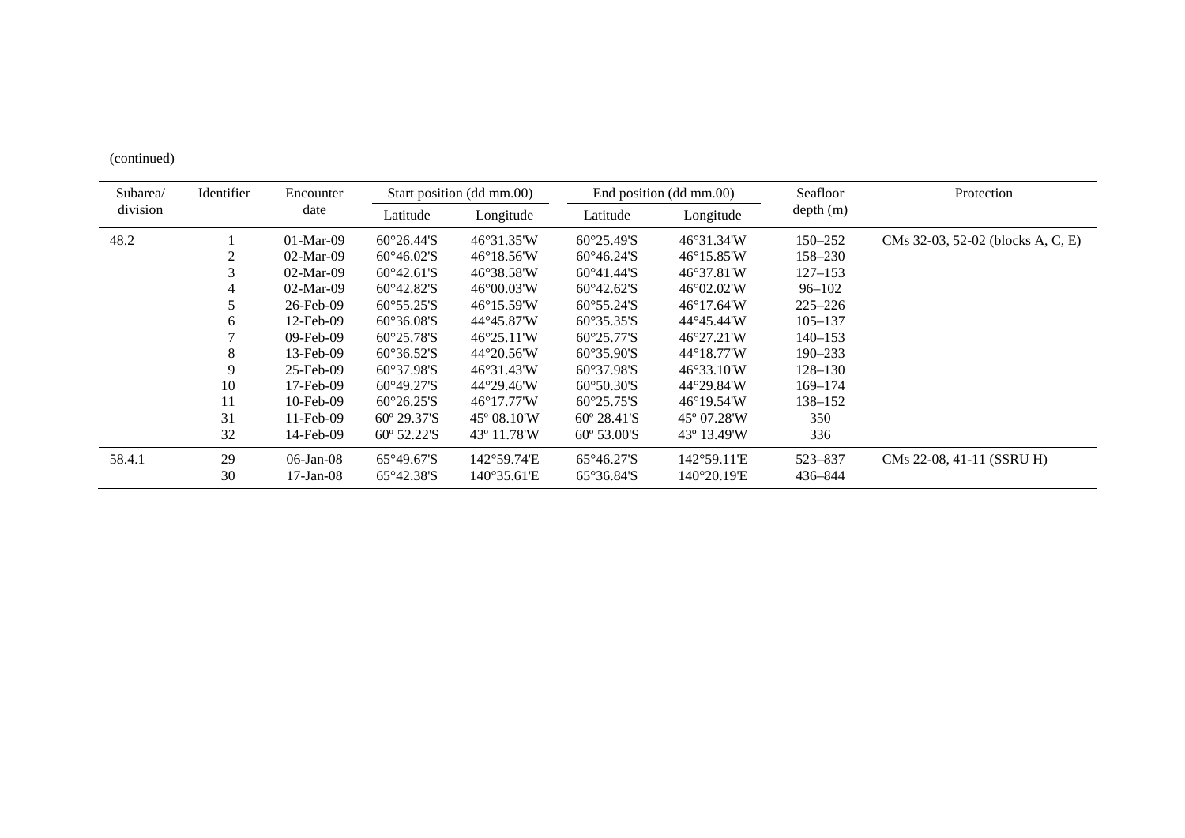(continued)

| Identifier<br>Subarea/ |    | Encounter       | Start position (dd mm.00)  |                             | End position (dd mm.00)      |                             | Seafloor    | Protection                        |
|------------------------|----|-----------------|----------------------------|-----------------------------|------------------------------|-----------------------------|-------------|-----------------------------------|
| division               |    |                 | Latitude                   | Longitude                   | Latitude                     | Longitude                   | depth(m)    |                                   |
| 48.2                   |    | $01-Mar-09$     | $60^{\circ}26.44$ 'S       | 46°31.35'W                  | $60^{\circ}25.49^{\circ}S$   | $46^{\circ}31.34^{\circ}W$  | $150 - 252$ | CMs 32-03, 52-02 (blocks A, C, E) |
|                        |    | $02$ -Mar-09    | $60^{\circ}46.02$ 'S       | $46^{\circ}18.56^{\circ}W$  | $60^{\circ}46.24^{\circ}S$   | $46^{\circ}15.85^{\circ}W$  | 158–230     |                                   |
|                        | 3  | $02$ -Mar-09    | $60^{\circ}42.61$ 'S       | 46°38.58'W                  | $60^{\circ}41.44$ 'S         | $46^{\circ}37.81$ W         | $127 - 153$ |                                   |
|                        |    | $02$ -Mar-09    | $60^{\circ}42.82^{\circ}S$ | $46^{\circ}00.03^{\circ}W$  | $60^{\circ}42.62^{\circ}S$   | $46^{\circ}02.02^{\prime}W$ | 96–102      |                                   |
|                        | 5. | 26-Feb-09       | $60^{\circ}55.25$ 'S       | $46^{\circ}15.59^{\circ}W$  | $60^{\circ}55.24$ 'S         | $46^{\circ}17.64$ W         | $225 - 226$ |                                   |
|                        | 6  | $12$ -Feb-09    | $60^{\circ}36.08$ 'S       | 44°45.87'W                  | $60^{\circ}35.35^{\circ}S$   | 44°45.44'W                  | $105 - 137$ |                                   |
|                        |    | $09$ -Feb- $09$ | $60^{\circ}25.78$ 'S       | $46^{\circ}25.11^{\circ}W$  | $60^{\circ}25.77$ 'S         | $46^{\circ}27.21$ W         | $140 - 153$ |                                   |
|                        | 8  | 13-Feb-09       | $60^{\circ}36.52$ 'S       | $44^{\circ}20.56$ W         | $60^{\circ}35.90$ 'S         | $44^{\circ}18.77^{\prime}W$ | $190 - 233$ |                                   |
|                        | 9  | $25$ -Feb-09    | $60^{\circ}37.98$ 'S       | 46°31.43'W                  | $60^{\circ}37.98$ 'S         | $46^{\circ}33.10^{\circ}W$  | $128 - 130$ |                                   |
|                        | 10 | $17$ -Feb- $09$ | $60^{\circ}49.27$ 'S       | 44°29.46'W                  | $60^{\circ}50.30^{\circ}S$   | 44°29.84'W                  | 169-174     |                                   |
|                        | 11 | $10$ -Feb-09    | $60^{\circ}26.25^{\circ}S$ | $46^{\circ}17.77^{\prime}W$ | $60^{\circ}25.75^{\circ}S$   | $46^{\circ}19.54^{\circ}$ W | 138–152     |                                   |
|                        | 31 | $11$ -Feb-09    | $60^{\circ}$ 29.37'S       | $45^{\circ}$ 08.10'W        | $60^{\circ}$ 28.41'S         | $45^{\circ}$ 07.28 W        | 350         |                                   |
|                        | 32 | 14-Feb-09       | $60^{\circ}$ 52.22'S       | $43^{\circ}$ 11.78 W        | $60^{\circ} 53.00^{\circ}$ S | $43^{\circ}$ 13.49 W        | 336         |                                   |
| 58.4.1                 | 29 | $06$ -Jan- $08$ | $65^{\circ}49.67^{\circ}S$ | 142°59.74'E                 | $65^{\circ}46.27$ 'S         | 142°59.11'E                 | 523-837     | CMs 22-08, 41-11 (SSRU H)         |
|                        | 30 | $17$ -Jan- $08$ | $65^{\circ}42.38^{\circ}S$ | $140^{\circ}35.61$ E        | $65^{\circ}36.84^{\circ}S$   | 140°20.19'E                 | 436–844     |                                   |